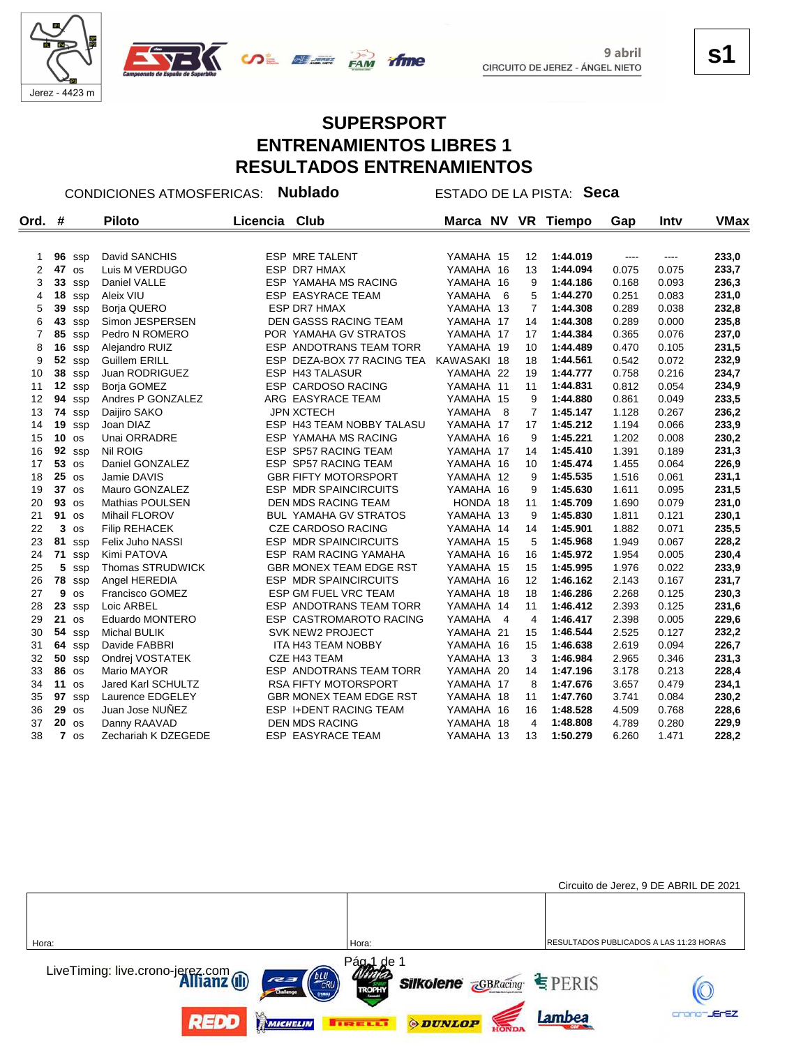



#### **SUPERSPORT ENTRENAMIENTOS LIBRES 1 RESULTADOS ENTRENAMIENTOS**

rfme

CONDICIONES ATMOSFERICAS: **Nublado** ESTADO DE LA PISTA: **Seca**

| Ord.           | #       |                | <b>Piloto</b>        | Licencia | <b>Club</b>                    | Marca NV    |                | <b>VR</b>         | <b>Tiempo</b> | Gap   | Inty     | <b>VMax</b> |
|----------------|---------|----------------|----------------------|----------|--------------------------------|-------------|----------------|-------------------|---------------|-------|----------|-------------|
|                |         |                |                      |          |                                |             |                |                   |               |       |          |             |
| 1              |         | $96$ ssp       | David SANCHIS        |          | <b>ESP MRE TALENT</b>          | YAMAHA 15   |                | $12 \overline{ }$ | 1:44.019      | $---$ | $\cdots$ | 233,0       |
| $\overline{2}$ | 47      | <b>OS</b>      | Luis M VERDUGO       |          | <b>ESP DR7 HMAX</b>            | YAMAHA 16   |                | 13                | 1:44.094      | 0.075 | 0.075    | 233,7       |
| 3              |         | 33 ssp         | Daniel VALLE         |          | ESP YAMAHA MS RACING           | YAMAHA 16   |                | 9                 | 1:44.186      | 0.168 | 0.093    | 236,3       |
| 4              | 18      | ssp            | Aleix VIU            |          | <b>ESP EASYRACE TEAM</b>       | YAMAHA      | - 6            | 5                 | 1:44.270      | 0.251 | 0.083    | 231,0       |
| 5              | 39      | ssp            | Borja QUERO          |          | ESP DR7 HMAX                   | YAMAHA 13   |                | $\overline{7}$    | 1:44.308      | 0.289 | 0.038    | 232,8       |
| 6              | 43      | SSD            | Simon JESPERSEN      |          | <b>DEN GASSS RACING TEAM</b>   | YAMAHA 17   |                | 14                | 1:44.308      | 0.289 | 0.000    | 235,8       |
| $\overline{7}$ | 85      | ssp            | Pedro N ROMERO       |          | POR YAMAHA GV STRATOS          | YAMAHA 17   |                | 17                | 1:44.384      | 0.365 | 0.076    | 237,0       |
| 8              | 16      | SSD            | Alejandro RUIZ       |          | ESP ANDOTRANS TEAM TORR        | YAMAHA 19   |                | 10                | 1:44.489      | 0.470 | 0.105    | 231,5       |
| 9              | 52      | ssp            | <b>Guillem ERILL</b> |          | ESP DEZA-BOX 77 RACING TEA     | KAWASAKI 18 |                | 18                | 1:44.561      | 0.542 | 0.072    | 232,9       |
| 10             | 38      | ssp            | Juan RODRIGUEZ       |          | ESP H43 TALASUR                | YAMAHA 22   |                | 19                | 1:44.777      | 0.758 | 0.216    | 234,7       |
| 11             | 12      | ssp            | Borja GOMEZ          |          | <b>ESP CARDOSO RACING</b>      | YAMAHA 11   |                | 11                | 1:44.831      | 0.812 | 0.054    | 234,9       |
| 12             | 94      | ssp            | Andres P GONZALEZ    |          | ARG EASYRACE TEAM              | YAMAHA 15   |                | 9                 | 1:44.880      | 0.861 | 0.049    | 233,5       |
| 13             |         | 74 ssp         | Daijiro SAKO         |          | <b>JPN XCTECH</b>              | YAMAHA      | 8              | $\overline{7}$    | 1:45.147      | 1.128 | 0.267    | 236,2       |
| 14             | 19      | ssp            | Joan DIAZ            |          | ESP H43 TEAM NOBBY TALASU      | YAMAHA 17   |                | 17                | 1:45.212      | 1.194 | 0.066    | 233,9       |
| 15             | 10      | <b>OS</b>      | Unai ORRADRE         |          | <b>ESP YAMAHA MS RACING</b>    | YAMAHA 16   |                | 9                 | 1:45.221      | 1.202 | 0.008    | 230,2       |
| 16             | 92      | ssp            | Nil ROIG             |          | ESP SP57 RACING TEAM           | YAMAHA 17   |                | 14                | 1:45.410      | 1.391 | 0.189    | 231,3       |
| 17             | 53      | <b>OS</b>      | Daniel GONZALEZ      |          | ESP SP57 RACING TEAM           | YAMAHA 16   |                | 10                | 1:45.474      | 1.455 | 0.064    | 226,9       |
| 18             | $25$ os |                | Jamie DAVIS          |          | <b>GBR FIFTY MOTORSPORT</b>    | YAMAHA 12   |                | 9                 | 1:45.535      | 1.516 | 0.061    | 231,1       |
| 19             | $37$ os |                | Mauro GONZALEZ       |          | <b>ESP MDR SPAINCIRCUITS</b>   | YAMAHA 16   |                | 9                 | 1:45.630      | 1.611 | 0.095    | 231,5       |
| 20             | 93 os   |                | Mathias POULSEN      |          | DEN MDS RACING TEAM            | HONDA 18    |                | 11                | 1:45.709      | 1.690 | 0.079    | 231,0       |
| 21             | 91 os   |                | <b>Mihail FLOROV</b> |          | <b>BUL YAMAHA GV STRATOS</b>   | YAMAHA 13   |                | 9                 | 1:45.830      | 1.811 | 0.121    | 230,1       |
| 22             | 3       | <b>OS</b>      | <b>Filip REHACEK</b> |          | <b>CZE CARDOSO RACING</b>      | YAMAHA 14   |                | 14                | 1:45.901      | 1.882 | 0.071    | 235,5       |
| 23             | 81      | ssp            | Felix Juho NASSI     |          | ESP MDR SPAINCIRCUITS          | YAMAHA 15   |                | 5                 | 1:45.968      | 1.949 | 0.067    | 228,2       |
| 24             |         | 71 ssp         | Kimi PATOVA          |          | ESP RAM RACING YAMAHA          | YAMAHA 16   |                | 16                | 1:45.972      | 1.954 | 0.005    | 230,4       |
| 25             | 5       | SSD            | Thomas STRUDWICK     |          | <b>GBR MONEX TEAM EDGE RST</b> | YAMAHA 15   |                | 15                | 1:45.995      | 1.976 | 0.022    | 233,9       |
| 26             |         | 78 ssp         | Angel HEREDIA        |          | <b>ESP MDR SPAINCIRCUITS</b>   | YAMAHA 16   |                | 12                | 1:46.162      | 2.143 | 0.167    | 231,7       |
| 27             | 9       | <b>OS</b>      | Francisco GOMEZ      |          | ESP GM FUEL VRC TEAM           | YAMAHA 18   |                | 18                | 1:46.286      | 2.268 | 0.125    | 230,3       |
| 28             | 23      | ssp            | Loic ARBEL           |          | <b>ESP ANDOTRANS TEAM TORR</b> | YAMAHA 14   |                | 11                | 1:46.412      | 2.393 | 0.125    | 231,6       |
| 29             | 21      | <b>OS</b>      | Eduardo MONTERO      |          | ESP CASTROMAROTO RACING        | YAMAHA      | $\overline{4}$ | $\overline{4}$    | 1:46.417      | 2.398 | 0.005    | 229,6       |
| 30             |         | <b>54</b> ssp  | <b>Michal BULIK</b>  |          | <b>SVK NEW2 PROJECT</b>        | YAMAHA 21   |                | 15                | 1:46.544      | 2.525 | 0.127    | 232,2       |
| 31             |         | 64 ssp         | Davide FABBRI        |          | ITA H43 TEAM NOBBY             | YAMAHA 16   |                | 15                | 1:46.638      | 2.619 | 0.094    | 226,7       |
| 32             |         | $50$ ssp       | Ondrej VOSTATEK      |          | CZE H43 TEAM                   | YAMAHA 13   |                | 3                 | 1:46.984      | 2.965 | 0.346    | 231,3       |
| 33             | 86      | os             | Mario MAYOR          |          | ESP ANDOTRANS TEAM TORR        | YAMAHA 20   |                | 14                | 1:47.196      | 3.178 | 0.213    | 228,4       |
| 34             | 11      | <b>OS</b>      | Jared Karl SCHULTZ   |          | <b>RSA FIFTY MOTORSPORT</b>    | YAMAHA 17   |                | 8                 | 1:47.676      | 3.657 | 0.479    | 234,1       |
| 35             | 97      | SSD            | Laurence EDGELEY     |          | <b>GBR MONEX TEAM EDGE RST</b> | YAMAHA 18   |                | 11                | 1:47.760      | 3.741 | 0.084    | 230,2       |
| 36             | 29      | os             | Juan Jose NUNEZ      |          | ESP I+DENT RACING TEAM         | YAMAHA 16   |                | 16                | 1:48.528      | 4.509 | 0.768    | 228,6       |
| 37             | 20      | <b>OS</b>      | Danny RAAVAD         |          | <b>DEN MDS RACING</b>          | YAMAHA 18   |                | $\overline{4}$    | 1:48.808      | 4.789 | 0.280    | 229,9       |
| 38             |         | $7 \text{ os}$ | Zechariah K DZEGEDE  |          | <b>ESP EASYRACE TEAM</b>       | YAMAHA 13   |                | 13                | 1:50.279      | 6.260 | 1.471    | 228,2       |



**s1**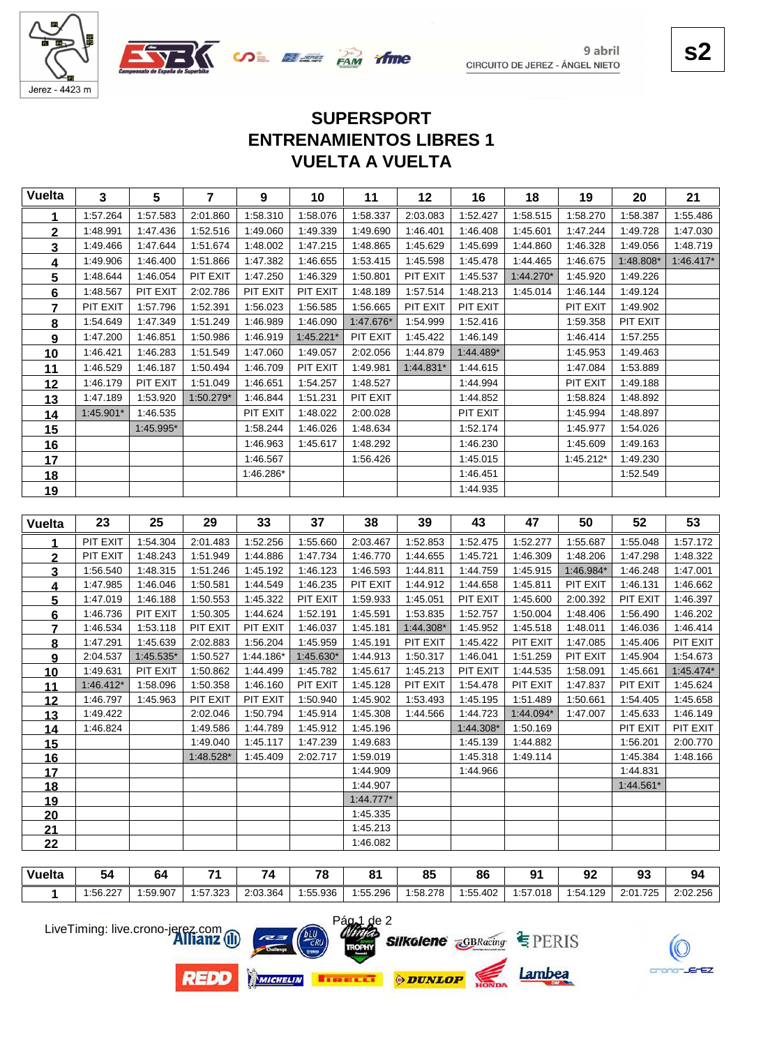



# **VUELTA A VUELTA ENTRENAMIENTOS LIBRES 1 SUPERSPORT**

| <b>Vuelta</b>   | 3           | 5         | $\overline{7}$       | 9                    | 10                   | 11                   | 12          | 16                    | 18                   | 19        | 20                   | 21                   |
|-----------------|-------------|-----------|----------------------|----------------------|----------------------|----------------------|-------------|-----------------------|----------------------|-----------|----------------------|----------------------|
| 1               | 1:57.264    | 1:57.583  | 2:01.860             | 1:58.310             | 1:58.076             | 1:58.337             | 2:03.083    | 1:52.427              | 1:58.515             | 1:58.270  | 1:58.387             | 1:55.486             |
| $\mathbf 2$     | 1:48.991    | 1:47.436  | 1:52.516             | 1:49.060             | 1:49.339             | 1:49.690             | 1:46.401    | 1:46.408              | 1:45.601             | 1:47.244  | 1:49.728             | 1:47.030             |
| 3               | 1:49.466    | 1:47.644  | 1:51.674             | 1:48.002             | 1:47.215             | 1:48.865             | 1:45.629    | 1:45.699              | 1:44.860             | 1:46.328  | 1:49.056             | 1:48.719             |
| 4               | 1:49.906    | 1:46.400  | 1:51.866             | 1:47.382             | 1:46.655             | 1:53.415             | 1:45.598    | 1:45.478              | 1:44.465             | 1:46.675  | 1:48.808*            | $1:46.417*$          |
| 5               | 1:48.644    | 1:46.054  | PIT EXIT             | 1:47.250             | 1:46.329             | 1:50.801             | PIT EXIT    | 1:45.537              | 1:44.270*            | 1:45.920  | 1:49.226             |                      |
| $\bf 6$         | 1:48.567    | PIT EXIT  | 2:02.786             | PIT EXIT             | PIT EXIT             | 1:48.189             | 1:57.514    | 1:48.213              | 1:45.014             | 1:46.144  | 1:49.124             |                      |
| $\overline{7}$  | PIT EXIT    | 1:57.796  | 1:52.391             | 1:56.023             | 1:56.585             | 1:56.665             | PIT EXIT    | PIT EXIT              |                      | PIT EXIT  | 1:49.902             |                      |
| 8               | 1:54.649    | 1:47.349  | 1:51.249             | 1:46.989             | 1:46.090             | 1:47.676*            | 1:54.999    | 1:52.416              |                      | 1:59.358  | PIT EXIT             |                      |
| 9               | 1:47.200    | 1:46.851  | 1:50.986             | 1:46.919             | $1:45.221*$          | PIT EXIT             | 1:45.422    | 1:46.149              |                      | 1:46.414  | 1:57.255             |                      |
| 10              | 1:46.421    | 1:46.283  | 1:51.549             | 1:47.060             | 1:49.057             | 2:02.056             | 1:44.879    | 1:44.489*             |                      | 1:45.953  | 1:49.463             |                      |
| 11              | 1:46.529    | 1:46.187  | 1:50.494             | 1:46.709             | PIT EXIT             | 1:49.981             | $1:44.831*$ | 1:44.615              |                      | 1:47.084  | 1:53.889             |                      |
| 12              | 1:46.179    | PIT EXIT  | 1:51.049             | 1:46.651             | 1:54.257             | 1:48.527             |             | 1:44.994              |                      | PIT EXIT  | 1:49.188             |                      |
| 13              | 1:47.189    | 1:53.920  | 1:50.279*            | 1:46.844             | 1:51.231             | PIT EXIT             |             | 1:44.852              |                      | 1:58.824  | 1:48.892             |                      |
| 14              | 1:45.901*   | 1:46.535  |                      | PIT EXIT             | 1:48.022             | 2:00.028             |             | PIT EXIT              |                      | 1:45.994  | 1:48.897             |                      |
| 15              |             | 1:45.995* |                      | 1:58.244             | 1:46.026             | 1:48.634             |             | 1:52.174              |                      | 1:45.977  | 1:54.026             |                      |
| 16              |             |           |                      | 1:46.963             | 1:45.617             | 1:48.292             |             | 1:46.230              |                      | 1:45.609  | 1:49.163             |                      |
| 17              |             |           |                      | 1:46.567             |                      | 1:56.426             |             | 1:45.015              |                      | 1:45.212* | 1:49.230             |                      |
| <u>18</u>       |             |           |                      | 1:46.286*            |                      |                      |             | 1:46.451              |                      |           | 1:52.549             |                      |
| 19              |             |           |                      |                      |                      |                      |             | 1:44.935              |                      |           |                      |                      |
|                 |             |           |                      |                      |                      |                      |             |                       |                      |           |                      |                      |
| <b>Vuelta</b>   | 23          | 25        | 29                   | 33                   | 37                   | 38                   | 39          | 43                    | 47                   | 50        | 52                   | 53                   |
| 1               | PIT EXIT    | 1:54.304  | 2:01.483             | 1:52.256             | 1:55.660             | 2:03.467             | 1:52.853    | 1:52.475              | 1:52.277             | 1:55.687  | 1:55.048             | 1:57.172             |
|                 |             |           |                      |                      |                      |                      |             |                       |                      |           |                      |                      |
| $\overline{2}$  | PIT EXIT    | 1:48.243  | 1:51.949             | 1:44.886             | 1:47.734             | 1:46.770             | 1:44.655    | 1:45.721              | 1:46.309             | 1:48.206  | 1:47.298             | 1:48.322             |
| <u>3</u>        | 1:56.540    | 1:48.315  | 1:51.246             | 1:45.192             | 1:46.123             | 1:46.593             | 1:44.811    | 1:44.759              | 1:45.915             | 1:46.984* | 1:46.248             | 1:47.001             |
| <u>4</u>        | 1:47.985    | 1:46.046  | 1:50.581             | 1:44.549             | 1:46.235             | PIT EXIT             | 1:44.912    | 1:44.658              | 1:45.811             | PIT EXIT  | 1:46.131             | 1:46.662             |
| $5\phantom{.0}$ | 1:47.019    | 1:46.188  | 1:50.553             | 1:45.322             | PIT EXIT             | 1:59.933             | 1:45.051    | PIT EXIT              | 1:45.600             | 2:00.392  | PIT EXIT             | 1:46.397             |
| <u>6</u>        | 1:46.736    | PIT EXIT  | 1:50.305             | 1:44.624             | 1:52.191             | 1:45.591             | 1:53.835    | 1:52.757              | 1:50.004             | 1:48.406  | 1:56.490             | 1:46.202             |
| 7               | 1:46.534    | 1:53.118  | PIT EXIT             | PIT EXIT             | 1:46.037             | 1:45.181             | 1:44.308*   | 1:45.952              | 1:45.518             | 1:48.011  | 1:46.036             | 1:46.414             |
| $\bf{8}$        | 1:47.291    | 1:45.639  | 2:02.883             | 1:56.204             | 1:45.959             | 1:45.191             | PIT EXIT    | 1:45.422              | PIT EXIT             | 1:47.085  | 1:45.406             | PIT EXIT             |
| 9               | 2:04.537    | 1:45.535* | 1:50.527             | 1:44.186*            | 1:45.630*            | 1:44.913             | 1:50.317    | 1:46.041              | 1:51.259             | PIT EXIT  | 1:45.904             | 1:54.673             |
| 10              | 1:49.631    | PIT EXIT  | 1:50.862             | 1:44.499             | 1:45.782             | 1:45.617             | 1:45.213    | PIT EXIT              | 1:44.535             | 1:58.091  | 1:45.661             | 1:45.474*            |
| <u>11</u>       | $1:46.412*$ | 1:58.096  | 1:50.358             | 1:46.160             | PIT EXIT             | 1:45.128             | PIT EXIT    | 1:54.478              | PIT EXIT             | 1:47.837  | PIT EXIT             | 1:45.624             |
| 12              | 1:46.797    | 1:45.963  | PIT EXIT             | PIT EXIT             | 1:50.940             | 1:45.902             | 1:53.493    | 1:45.195              | 1:51.489             | 1:50.661  | 1:54.405             | 1:45.658             |
| 13              | 1:49.422    |           | 2:02.046             | 1:50.794             | 1:45.914             | 1:45.308             | 1:44.566    | 1:44.723              | 1:44.094*            | 1:47.007  | 1:45.633             | 1:46.149             |
| <u>14</u>       | 1:46.824    |           | 1:49.586<br>1:49.040 | 1:44.789<br>1:45.117 | 1:45.912<br>1:47.239 | 1:45.196<br>1:49.683 |             | 1:44.308*<br>1:45.139 | 1:50.169<br>1:44.882 |           | PIT EXIT<br>1:56.201 | PIT EXIT<br>2:00.770 |
| <u>15</u>       |             |           | 1:48.528*            | 1:45.409             | 2:02.717             | 1:59.019             |             | 1:45.318              | 1:49.114             |           | 1:45.384             | 1:48.166             |
| 16<br>17        |             |           |                      |                      |                      | 1:44.909             |             | 1:44.966              |                      |           | 1:44.831             |                      |
| <u>18</u>       |             |           |                      |                      |                      | 1:44.907             |             |                       |                      |           | 1:44.561*            |                      |
| <u>19</u>       |             |           |                      |                      |                      | $1.44.777*$          |             |                       |                      |           |                      |                      |
| 20              |             |           |                      |                      |                      | 1:45.335             |             |                       |                      |           |                      |                      |
| 21<br>22        |             |           |                      |                      |                      | 1:45.213<br>1:46.082 |             |                       |                      |           |                      |                      |

| <b>Vuelta</b> | -<br>54  | ьz       |          | 7        | 70<br>ĸс | O4<br>u  | $\alpha$<br>u. | 86                  |          | - - -   | ۵۹<br>◡  |                 |
|---------------|----------|----------|----------|----------|----------|----------|----------------|---------------------|----------|---------|----------|-----------------|
|               | 1.56.227 | 1.59.907 | 1:57.323 | 2:03.364 | :55.936  | 1:55.296 | :58.278        | $1 - 55$<br>.55.402 | 1:57.018 | :54.129 | 2:01.725 | $\angle 02.256$ |

 $\overline{2}$ 



**REDD** 









Lambea

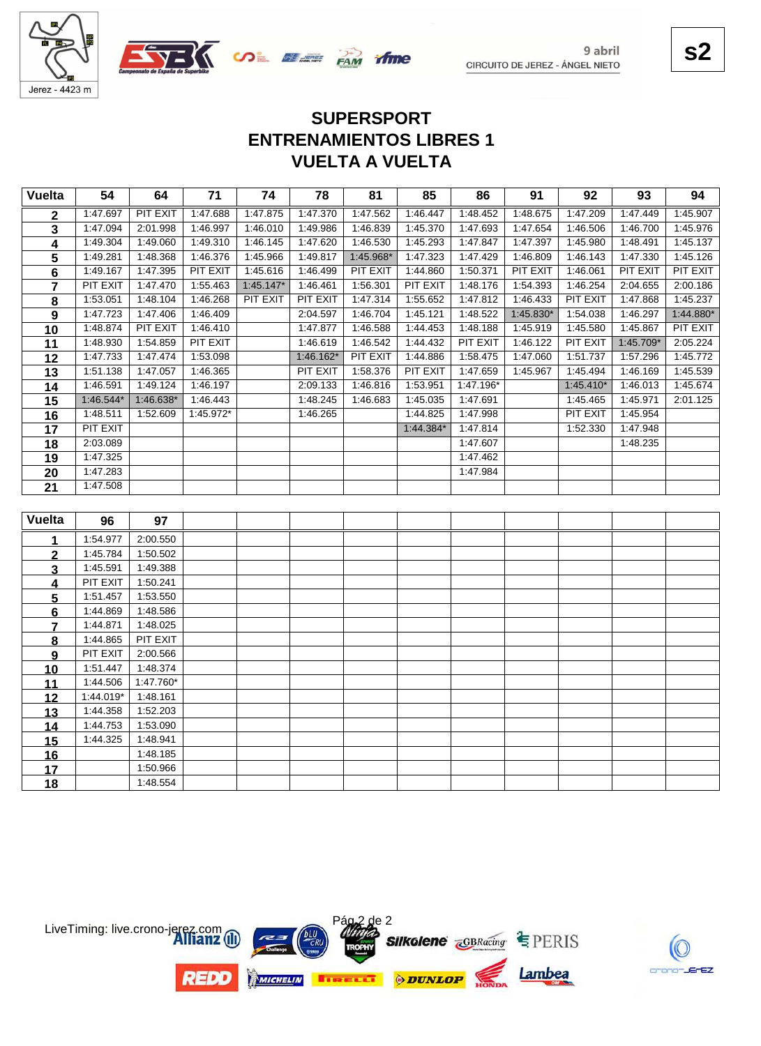





# **VUELTA A VUELTA ENTRENAMIENTOS LIBRES 1 SUPERSPORT**

| <b>Vuelta</b>  | 54              | 64              | 71        | 74          | 78              | 81        | 85        | 86        | 91        | 92              | 93        | 94        |
|----------------|-----------------|-----------------|-----------|-------------|-----------------|-----------|-----------|-----------|-----------|-----------------|-----------|-----------|
| 2              | 1:47.697        | <b>PIT EXIT</b> | 1:47.688  | 1:47.875    | 1:47.370        | 1:47.562  | 1:46.447  | 1:48.452  | 1:48.675  | 1:47.209        | 1:47.449  | 1:45.907  |
| 3              | 1:47.094        | 2:01.998        | 1:46.997  | 1:46.010    | 1:49.986        | 1:46.839  | 1:45.370  | 1:47.693  | 1:47.654  | 1:46.506        | 1:46.700  | 1:45.976  |
| 4              | 1:49.304        | 1:49.060        | 1:49.310  | 1:46.145    | 1:47.620        | 1:46.530  | 1:45.293  | 1:47.847  | 1:47.397  | 1:45.980        | 1:48.491  | 1:45.137  |
| 5              | 1:49.281        | 1:48.368        | 1:46.376  | 1:45.966    | 1:49.817        | 1:45.968* | 1:47.323  | 1:47.429  | 1:46.809  | 1:46.143        | 1:47.330  | 1:45.126  |
| 6              | 1:49.167        | 1:47.395        | PIT EXIT  | 1:45.616    | 1:46.499        | PIT EXIT  | 1:44.860  | 1:50.371  | PIT EXIT  | 1:46.061        | PIT EXIT  | PIT EXIT  |
| $\overline{7}$ | PIT EXIT        | 1:47.470        | 1:55.463  | $1:45.147*$ | 1:46.461        | 1:56.301  | PIT EXIT  | 1:48.176  | 1:54.393  | 1:46.254        | 2:04.655  | 2:00.186  |
| 8              | 1:53.051        | 1:48.104        | 1:46.268  | PIT EXIT    | <b>PIT EXIT</b> | 1:47.314  | 1:55.652  | 1:47.812  | 1:46.433  | <b>PIT EXIT</b> | 1:47.868  | 1:45.237  |
| 9              | 1:47.723        | 1:47.406        | 1:46.409  |             | 2:04.597        | 1:46.704  | 1:45.121  | 1:48.522  | 1:45.830* | 1:54.038        | 1:46.297  | 1:44.880* |
| 10             | 1:48.874        | PIT EXIT        | 1:46.410  |             | 1:47.877        | 1:46.588  | 1:44.453  | 1:48.188  | 1:45.919  | 1:45.580        | 1:45.867  | PIT EXIT  |
| 11             | 1:48.930        | 1:54.859        | PIT EXIT  |             | 1:46.619        | 1:46.542  | 1:44.432  | PIT EXIT  | 1:46.122  | PIT EXIT        | 1:45.709* | 2:05.224  |
| 12             | 1:47.733        | 1:47.474        | 1:53.098  |             | 1:46.162*       | PIT EXIT  | 1:44.886  | 1:58.475  | 1:47.060  | 1:51.737        | 1:57.296  | 1:45.772  |
| 13             | 1:51.138        | 1:47.057        | 1:46.365  |             | PIT EXIT        | 1:58.376  | PIT EXIT  | 1:47.659  | 1:45.967  | 1:45.494        | 1:46.169  | 1:45.539  |
| 14             | 1:46.591        | 1:49.124        | 1:46.197  |             | 2:09.133        | 1:46.816  | 1:53.951  | 1:47.196* |           | $1:45.410*$     | 1:46.013  | 1:45.674  |
| 15             | $1:46.544*$     | $1:46.638*$     | 1:46.443  |             | 1:48.245        | 1:46.683  | 1:45.035  | 1:47.691  |           | 1:45.465        | 1:45.971  | 2:01.125  |
| 16             | 1:48.511        | 1:52.609        | 1:45.972* |             | 1:46.265        |           | 1:44.825  | 1:47.998  |           | <b>PIT EXIT</b> | 1:45.954  |           |
| 17             | <b>PIT EXIT</b> |                 |           |             |                 |           | 1:44.384* | 1:47.814  |           | 1:52.330        | 1:47.948  |           |
| 18             | 2:03.089        |                 |           |             |                 |           |           | 1:47.607  |           |                 | 1:48.235  |           |
| 19             | 1:47.325        |                 |           |             |                 |           |           | 1:47.462  |           |                 |           |           |
| 20             | 1:47.283        |                 |           |             |                 |           |           | 1:47.984  |           |                 |           |           |
| 21             | 1:47.508        |                 |           |             |                 |           |           |           |           |                 |           |           |
|                |                 |                 |           |             |                 |           |           |           |           |                 |           |           |
| <b>Vuelta</b>  | 96              | 97              |           |             |                 |           |           |           |           |                 |           |           |
| 1              | 1:54.977        | 2:00.550        |           |             |                 |           |           |           |           |                 |           |           |
| $\overline{2}$ | 1:45.784        | 1:50.502        |           |             |                 |           |           |           |           |                 |           |           |
| 3              | 1:45.591        | 1:49.388        |           |             |                 |           |           |           |           |                 |           |           |
| 4              | PIT EXIT        | 1:50.241        |           |             |                 |           |           |           |           |                 |           |           |
| 5              | 1:51.457        | 1:53.550        |           |             |                 |           |           |           |           |                 |           |           |
| 6              | 1:44.869        | 1:48.586        |           |             |                 |           |           |           |           |                 |           |           |
| 7              | 1:44.871        | 1:48.025        |           |             |                 |           |           |           |           |                 |           |           |
| 8              | 1:44.865        | PIT EXIT        |           |             |                 |           |           |           |           |                 |           |           |
| 9              | PIT EXIT        | 2:00.566        |           |             |                 |           |           |           |           |                 |           |           |
| 10             | 1:51.447        | 1:48.374        |           |             |                 |           |           |           |           |                 |           |           |
| 11             | 1:44.506        | 1:47.760*       |           |             |                 |           |           |           |           |                 |           |           |
| 12             | 1:44.019*       | 1:48.161        |           |             |                 |           |           |           |           |                 |           |           |
| 13             | 1:44.358        | 1:52.203        |           |             |                 |           |           |           |           |                 |           |           |
| 14             | 1:44.753        | 1:53.090        |           |             |                 |           |           |           |           |                 |           |           |
| 15             | 1:44.325        | 1:48.941        |           |             |                 |           |           |           |           |                 |           |           |
| <u>16</u>      |                 | 1:48.185        |           |             |                 |           |           |           |           |                 |           |           |
| 17             |                 | 1:50.966        |           |             |                 |           |           |           |           |                 |           |           |
| 18             |                 | 1:48.554        |           |             |                 |           |           |           |           |                 |           |           |



**s2**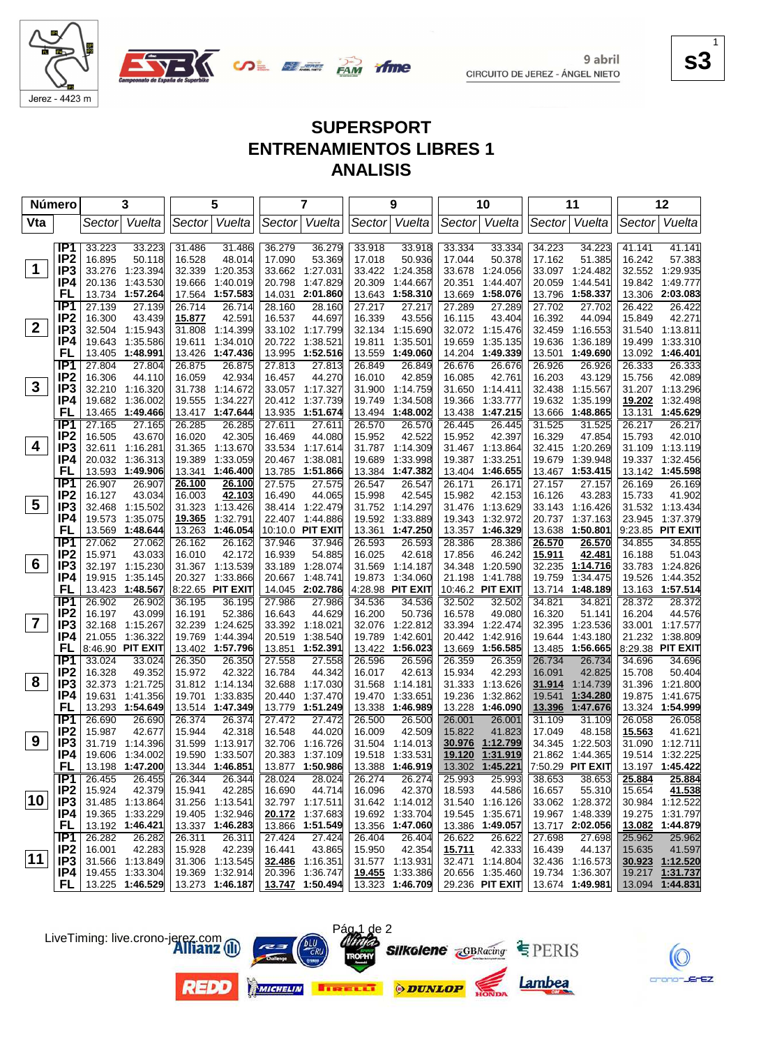

**SALE BANK** 

**s3** 1

#### **SUPERSPORT ENTRENAMIENTOS LIBRES 1 ANALISIS**

tfme

| <b>Número</b>           |                                    |                  | 3                                  |                  | 5                                  |                  | $\overline{7}$                     |                  | 9                                  |                  | 10                                 |                  | 11                                 |                  | 12                                 |
|-------------------------|------------------------------------|------------------|------------------------------------|------------------|------------------------------------|------------------|------------------------------------|------------------|------------------------------------|------------------|------------------------------------|------------------|------------------------------------|------------------|------------------------------------|
| Vta                     |                                    | Sector           | Vuelta                             |                  | Sector Vuelta                      |                  | Sector Vuelta                      |                  | Sector Vuelta                      |                  | Sector  Vuelta                     |                  | Sector  Vuelta                     | Sector           | Vuelta                             |
|                         | IP1                                |                  |                                    |                  |                                    |                  |                                    |                  |                                    | 33.334           |                                    | 34.223           |                                    |                  |                                    |
|                         | IP <sub>2</sub>                    | 33.223<br>16.895 | 33.223<br>50.118                   | 31.486<br>16.528 | 31.486<br>48.014                   | 36.279<br>17.090 | 36.279<br>53.369                   | 33.918<br>17.018 | 33.918<br>50.936                   | 17.044           | 33.334<br>50.378                   | 17.162           | 34.223<br>51.385                   | 41.141<br>16.242 | 41.141<br>57.383                   |
| $\mathbf 1$             | IP <sub>3</sub>                    |                  | 33.276 1:23.394                    |                  | 32.339 1:20.353                    |                  | 33.662 1:27.031                    | 33.422           | 1:24.358                           | 33.678           | 1:24.056                           | 33.097           | 1:24.482                           |                  | 32.552 1:29.935                    |
|                         | IP4                                | 20.136           | 1:43.530                           | 19.666           | 1:40.019                           | 20.798           | 1:47.829                           | 20.309           | 1:44.667                           | 20.351           | 1:44.407                           | 20.059           | 1:44.541                           | 19.842           | 1:49.777                           |
|                         | FL                                 | 13.734           | 1:57.264                           |                  | 17.564 1:57.583                    | 14.031           | 2:01.860                           | 13.643           | 1:58.310                           | 13.669           | 1:58.076                           | 13.796           | 1:58.337                           |                  | 13.306 2:03.083                    |
|                         | IP <sub>1</sub>                    | 27.139           | 27.139                             | 26.714           | 26.714                             | 28.160           | 28.160                             | 27.217           | 27.217                             | 27.289           | 27.289                             | 27.702           | 27.702                             | 26.422           | 26.422                             |
|                         | IP <sub>2</sub>                    | 16.300           | 43.439                             | 15.877           | 42.591                             | 16.537           | 44.697                             | 16.339           | 43.556                             | 16.115           | 43.404                             | 16.392           | 44.094                             | 15.849           | 42.271                             |
| $\overline{2}$          | IP <sub>3</sub>                    | 32.504           | 1:15.943                           | 31.808           | 1:14.399                           |                  | 33.102 1:17.799                    | 32.134           | 1:15.690                           |                  | 32.072 1:15.476                    | 32.459           | 1:16.553                           | 31.540           | 1:13.811                           |
|                         | IP4                                | 19.643           | 1:35.586                           | 19.611           | 1:34.010                           | 20.722           | 1:38.521                           | 19.811           | 1:35.501                           | 19.659           | 1:35.135                           | 19.636           | 1:36.189                           | 19.499           | 1:33.310                           |
|                         | FL                                 | 13.405           | 1:48.991                           |                  | 13.426 1:47.436                    | 13.995           | 1:52.516                           | 13.559           | 1:49.060                           | 14.204           | 1:49.339                           | 13.501           | 1:49.690                           |                  | 13.092 1:46.401                    |
|                         | IP1                                | 27.804           | 27.804                             | 26.875           | 26.875                             | 27.813           | 27.813                             | 26.849           | 26.849                             | 26.676           | 26.676                             | 26.926           | 26.926                             | 26.333           | 26.333                             |
|                         | IP <sub>2</sub>                    | 16.306           | 44.110                             | 16.059           | 42.934                             | 16.457           | 44.270                             | 16.010           | 42.859                             | 16.085           | 42.761                             | 16.203           | 43.129                             | 15.756           | 42.089                             |
| $\mathbf{3}$            | IP3                                |                  | 32.210 1:16.320                    | 31.738           | 1:14.672                           |                  | 33.057 1:17.327                    | 31.900           | 1:14.759                           | 31.650           | 1:14.411                           | 32.438           | 1:15.567                           |                  | 31.207 1:13.296                    |
|                         | IP4                                | 19.682           | 1:36.002                           | 19.555           | 1:34.227                           | 20.412           | 1:37.739                           | 19.749           | 1:34.508                           | 19.366           | 1:33.777                           | 19.632           | 1:35.199                           | 19.202           | 1:32.498                           |
|                         | FL                                 | 13.465           | 1:49.466                           |                  | 13.417 1:47.644                    | 13.935           | 1:51.674                           | 13.494           | 1:48.002                           | 13.438           | 1:47.215                           | 13.666           | 1:48.865                           | 13.131           | 1:45.629                           |
|                         | TP <sub>1</sub>                    | 27.165           | 27.165                             | 26.285           | 26.285                             | 27.611           | 27.611                             | 26.570           | 26.570                             | 26.445           | 26.445                             | 31.525           | 31.525                             | 26.217           | 26.217                             |
| 4                       | IP <sub>2</sub>                    | 16.505           | 43.670                             | 16.020           | 42.305                             | 16.469           | 44.080                             | 15.952           | 42.522                             | 15.952           | 42.397                             | 16.329           | 47.854                             | 15.793           | 42.010                             |
|                         | IP <sub>3</sub>                    |                  | 32.611 1:16.281                    |                  | 31.365 1:13.670                    |                  | 33.534 1:17.614                    | 31.787           | 1:14.309                           |                  | 31.467 1:13.864                    |                  | 32.415 1:20.269                    |                  | 31.109 1:13.119                    |
|                         | IP4<br>FL                          | 20.032           | 1:36.313                           | 19.389           | 1:33.059                           | 20.467<br>13.785 | 1:38.081                           | 19.689           | 1:33.998<br>1:47.382               | 19.387           | 1:33.251                           | 19.679           | 1:39.948                           | 19.337           | 1:32.456<br>13.142 1:45.598        |
|                         | IP1                                | 26.907           | 13.593 1:49.906<br>26.907          | 13.341<br>26.100 | 1:46.400<br>26.100                 | 27.575           | 1:51.866<br>27.575                 | 13.384<br>26.547 | 26.547                             | 13.404<br>26.171 | 1:46.655                           | 13.467<br>27.157 | 1:53.415<br>27.157                 | 26.169           | 26.169                             |
|                         | IP <sub>2</sub>                    | 16.127           | 43.034                             | 16.003           | 42.103                             | 16.490           | 44.065                             | 15.998           | 42.545                             | 15.982           | 26.171<br>42.153                   | 16.126           | 43.283                             | 15.733           | 41.902                             |
| 5                       | IP <sub>3</sub>                    |                  | 32.468 1:15.502                    | 31.323           | 1:13.426                           |                  | 38.414 1:22.479                    | 31.752           | 1:14.297                           | 31.476           | 1:13.629                           |                  | 33.143 1:16.426                    |                  | 31.532 1:13.434                    |
|                         | IP4                                | 19.573           | 1:35.075                           | 19.365           | 1:32.791                           |                  | 22.407 1:44.886                    | 19.592           | 1:33.889                           | 19.343           | 1:32.972                           | 20.737           | 1:37.163                           | 23.945           | 1:37.379                           |
|                         | FL                                 | 13.569           | 1:48.644                           | 13.263           | 1:46.054                           |                  | 10:10.0 PIT EXIT                   | 13.361           | 1:47.250                           |                  | 13.357 1:46.329                    | 13.638           | 1:50.801                           |                  | 9:23.85 PIT EXIT                   |
|                         | IP <sub>1</sub>                    | 27.062           | 27.062                             | 26.162           | 26.162                             | 37.946           | 37.946                             | 26.593           | 26.593                             | 28.386           | 28.386                             | 26.570           | 26.570                             | 34.855           | 34.855                             |
|                         | IP <sub>2</sub>                    | 15.971           | 43.033                             | 16.010           | 42.172                             | 16.939           | 54.885                             | 16.025           | 42.618                             | 17.856           | 46.242                             | 15.911           | 42.481                             | 16.188           | 51.043                             |
| 6                       | IP <sub>3</sub>                    |                  | 32.197 1:15.230                    |                  | 31.367 1:13.539                    |                  | 33.189 1:28.074                    | 31.569           | 1:14.187                           | 34.348           | 1:20.590                           | 32.235           | 1:14.716                           | 33.783           | 1:24.826                           |
|                         | IP4                                |                  | 19.915 1:35.145                    |                  | 20.327 1:33.866                    | 20.667           | 1:48.741                           | 19.873           | 1:34.060                           | 21.198           | 1:41.788                           | 19.759           | 1:34.475                           | 19.526           | 1:44.352                           |
|                         | FL                                 |                  | 13.423 1:48.567                    |                  | 8:22.65 PIT EXIT                   |                  | 14.045 2:02.786                    |                  | 4:28.98 PIT EXIT                   |                  | 10:46.2 PIT EXIT                   |                  | 13.714 1:48.189                    |                  | 13.163 1:57.514                    |
|                         | TP1                                | 26.902           | 26.902                             | 36.195           | 36.195                             | 27.986           | 27.986                             | 34.536           | 34.536                             | 32.502           | 32.502                             | 34.821           | 34.821                             | 28.372           | 28.372                             |
|                         | IP <sub>2</sub>                    | 16.197           | 43.099                             | 16.191           | 52.386                             | 16.643           | 44.629                             | 16.200           | 50.736                             | 16.578           | 49.080                             | 16.320           | 51.141                             | 16.204           | 44.576                             |
| $\overline{\mathbf{7}}$ | IP <sub>3</sub>                    | 32.168           | 1:15.267                           | 32.239           | 1:24.625                           |                  | 33.392 1:18.021                    | 32.076           | 1:22.812                           | 33.394           | 1:22.474                           | 32.395           | 1:23.536                           |                  | 33.001 1:17.577                    |
|                         | IP4                                | 21.055           | 1:36.322                           | 19.769           | 1:44.394                           | 20.519           | 1:38.540                           | 19.789           | 1:42.601                           | 20.442           | 1:42.916                           | 19.644           | 1:43.180                           |                  | 21.232 1:38.809                    |
|                         | FL                                 |                  | 8:46.90 PIT EXIT                   |                  | 13.402 1:57.796                    |                  | 13.851 1:52.391                    | 13.422           | 1:56.023                           |                  | 13.669 1:56.585                    | 13.485           | 1:56.665                           |                  | 8:29.38 PIT EXIT                   |
|                         | IP <sub>1</sub><br>IP <sub>2</sub> | 33.024<br>16.328 | 33.024                             | 26.350           | 26.350                             | 27.558           | 27.558                             | 26.596           | 26.596                             | 26.359           | 26.359                             | 26.734           | 26.734                             | 34.696           | 34.696                             |
| 8                       | IP <sub>3</sub>                    |                  | 49.352<br>32.373 1:21.725          | 15.972           | 42.322<br>31.812 1:14.134          | 16.784<br>32.688 | 44.342                             | 16.017<br>31.568 | 42.613                             | 15.934           | 42.293                             | 16.091           | 42.825                             | 15.708           | 50.404<br>1:21.800                 |
|                         | IP4                                | 19.631           | 1:41.356                           | 19.701           | 1:33.835                           | 20.440           | 1:17.030<br>1:37.470               | 19.470           | 1:14.181<br>1:33.651               | 31.333<br>19.236 | 1:13.626<br>1:32.862               | 31.914<br>19.541 | 1:14.739<br>1:34.280               | 31.396<br>19.875 | 1:41.675                           |
|                         | FL                                 | 13.293           | 1:54.649                           |                  | 13.514 1:47.349                    | 13.779           | 1:51.249                           | 13.338           | 1:46.989                           | 13.228           | 1:46.090                           | 13.396           | 1:47.676                           |                  | 13.324 1:54.999                    |
|                         | IP <sub>1</sub>                    | 26.690           | 26.690                             | 26.374           | 26.374                             | 27.472           | 27.472                             | 26.500           | 26.500                             | 26.001           | 26.001                             | 31.109           | 31.109                             | 26.058           | 26.058                             |
|                         | IP <sub>2</sub>                    | 15.987           | 42.677                             | 15.944           | 42.318                             | 16.548           | 44.020                             | 16.009           | 42.509                             | 15.822           | 41.823                             | 17.049           | 48.158                             | 15.563           | 41.621                             |
| 9                       | IP <sub>3</sub>                    |                  | 31.719 1:14.396                    |                  | 31.599 1:13.917                    |                  | 32.706 1:16.726                    |                  | 31.504 1:14.013                    |                  | 30.976 1:12.799                    |                  | 34.345 1:22.503                    |                  | 31.090 1:12.711                    |
|                         | IP4                                |                  | 19.606 1:34.002                    |                  | 19.590 1:33.507                    |                  | 20.383 1:37.109                    |                  | 19.518 1:33.531                    |                  | 19.120 1:31.919                    |                  | 21.862 1:44.365 19.514 1:32.225    |                  |                                    |
|                         | FL,                                |                  | 13.198 1:47.200                    |                  | 13.344 1:46.851                    |                  | 13.877 1:50.986                    |                  | 13.388 1:46.919                    |                  | 13.302 1:45.221                    |                  | 7:50.29 PIT EXIT                   |                  | 13.197 1:45.422                    |
|                         | IP1                                | 26.455           | 26.455                             | 26.344           | 26.344                             | 28.024           | 28.024                             | 26.274           | 26.274                             | 25.993           | 25.993                             | 38.653           | 38.653                             | 25.884           | 25.884                             |
|                         | IP <sub>2</sub>                    | 15.924           | 42.379                             | 15.941           | 42.285                             | 16.690           | 44.714                             | 16.096           | 42.370                             | 18.593           | 44.586                             | 16.657           | 55.310                             | 15.654           | 41.538                             |
| 10                      | IP <sub>3</sub>                    |                  | 31.485 1:13.864                    |                  | 31.256 1:13.541                    |                  | 32.797 1:17.511                    |                  | 31.642 1:14.012                    |                  | 31.540 1:16.126                    |                  | 33.062 1:28.372                    |                  | 30.984 1:12.522                    |
|                         | IP4                                |                  | 19.365 1:33.229                    |                  | 19.405 1:32.946                    |                  | 20.172 1:37.683                    |                  | 19.692 1:33.704                    |                  | 19.545 1:35.671                    |                  | 19.967 1:48.339                    |                  | 19.275 1:31.797                    |
|                         | FL,                                |                  | 13.192 1:46.421                    |                  | 13.337 1:46.283                    |                  | 13.866 1:51.549                    |                  | 13.356 1:47.060                    |                  | 13.386 1:49.057                    |                  | 13.717 2:02.056                    |                  | 13.082 1:44.879                    |
|                         | IP1                                | 26.282           | 26.282                             | 26.311           | 26.311                             | 27.424           | 27.424                             | 26.404           | 26.404                             | 26.622           | 26.622                             | 27.698           | 27.698                             | 25.962           | 25.962                             |
| $ 11\rangle$            | IP <sub>2</sub>                    | 16.001           | 42.283                             | 15.928           | 42.239                             | 16.441           | 43.865                             | 15.950           | 42.354                             | 15.711           | 42.333                             | 16.439           | 44.137                             | 15.635           | 41.597                             |
|                         | IP <sub>3</sub><br>IP4             |                  | 31.566 1:13.849<br>19.455 1:33.304 |                  | 31.306 1:13.545<br>19.369 1:32.914 |                  | 32.486 1:16.351                    |                  | 31.577 1:13.931<br>19.455 1:33.386 |                  | 32.471 1:14.804<br>20.656 1:35.460 |                  | 32.436 1:16.573<br>19.734 1:36.307 |                  | 30.923 1:12.520<br>19.217 1:31.737 |
|                         | FL.                                |                  | 13.225 1:46.529                    |                  | 13.273 1:46.187                    |                  | 20.396 1:36.747<br>13.747 1:50.494 |                  | 13.323 1:46.709                    |                  | 29.236 PIT EXIT                    |                  | 13.674 1:49.981                    |                  | 13.094 1:44.831                    |
|                         |                                    |                  |                                    |                  |                                    |                  |                                    |                  |                                    |                  |                                    |                  |                                    |                  |                                    |













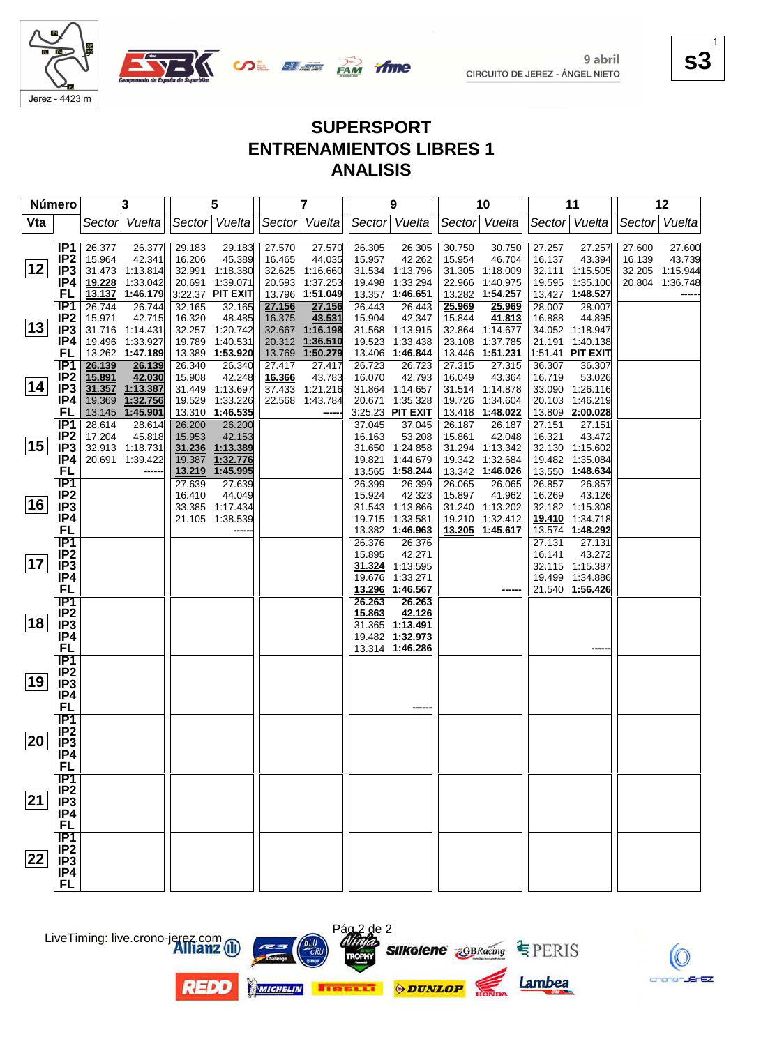

**SALE PAM** 

**s3** 1

#### **SUPERSPORT ENTRENAMIENTOS LIBRES 1 ANALISIS**

ifme

| Número       |                                                                            | 3                                                                                                                   | 5                                                                                                                | $\overline{\mathbf{7}}$                                                                               | 9                                                                                                                       | 10                                                                                                                     | 11                                                                                                                   | 12                                                                            |
|--------------|----------------------------------------------------------------------------|---------------------------------------------------------------------------------------------------------------------|------------------------------------------------------------------------------------------------------------------|-------------------------------------------------------------------------------------------------------|-------------------------------------------------------------------------------------------------------------------------|------------------------------------------------------------------------------------------------------------------------|----------------------------------------------------------------------------------------------------------------------|-------------------------------------------------------------------------------|
| Vta          |                                                                            | Sector Vuelta                                                                                                       | Sector Vuelta                                                                                                    | Sector Vuelta                                                                                         | Sector Vuelta                                                                                                           | Sector Vuelta                                                                                                          | Sector   Vuelta                                                                                                      | Sector Vuelta                                                                 |
| 12           | IP1<br>IP <sub>2</sub><br>IP <sub>3</sub><br>IP4                           | 26.377<br>26.377<br>15.964<br>42.341<br>31.473 1:13.814<br>19.228 1:33.042                                          | 29.183<br>29.183<br>16.206<br>45.389<br>32.991 1:18.380<br>20.691 1:39.071                                       | 27.570<br>27.570<br>16.465<br>44.035<br>32.625 1:16.660<br>20.593 1:37.253                            | 26.305<br>26.305<br>15.957<br>42.262<br>31.534 1:13.796<br>19.498<br>1:33.294                                           | 30.750<br>30.750<br>15.954<br>46.704<br>31.305 1:18.009<br>22.966<br>1:40.975                                          | 27.257<br>27.257<br>16.137<br>43.394<br>32.111 1:15.505<br>19.595<br>1:35.100                                        | 27.600<br>27.600<br>16.139<br>43.739<br>32.205 1:15.944<br>20.804<br>1:36.748 |
| $ 13\rangle$ | FL<br>IP <sub>1</sub><br>IP <sub>2</sub><br>IP <sub>3</sub><br>IP4         | 13.137 1:46.179<br>26.744<br>26.744<br>15.971<br>42.715<br>31.716 1:14.431<br>19.496 1:33.927                       | 3:22.37 PIT EXIT<br>32.165<br>32.165<br>16.320<br>48.485<br>32.257 1:20.742<br>19.789 1:40.531                   | 13.796 1:51.049<br>27.156<br>27.156<br>16.375<br>43.531<br>32.667 1:16.198<br>20.312 1:36.510         | 13.357<br>1:46.651<br>26.443<br>26.443<br>15.904<br>42.347<br>31.568 1:13.915<br>19.523<br>1:33.438                     | 13.282<br>1:54.257<br>25.969<br>25.969<br>15.844<br>41.813<br>32.864<br>1:14.677<br>23.108<br>1:37.785                 | 13.427<br>1:48.527<br>28.007<br>28.007<br>16.888<br>44.895<br>34.052 1:18.947<br>21.191<br>1:40.138                  |                                                                               |
| 14           | FL<br>TP1<br>IP <sub>2</sub><br>IP3<br>IP4<br><b>FL</b>                    | 13.262 1:47.189<br>26.139<br>26.139<br>15.891<br>42.030<br>31.357 1:13.387<br>19.369<br>1:32.756<br>13.145 1:45.901 | 13.389 1:53.920<br>26.340<br>26.340<br>15.908<br>42.248<br>31.449 1:13.697<br>19.529 1:33.226<br>13.310 1:46.535 | 13.769 1:50.279<br>27.417<br>27.417<br>16.366<br>43.783<br>37.433 1:21.216<br>22.568 1:43.784<br>---- | 13.406<br>1:46.844<br>26.723<br>26.723<br>16.070<br>42.793<br>31.864 1:14.657<br>1:35.328<br>20.671<br>3:25.23 PIT EXIT | 13.446<br>1:51.231<br>27.315<br>27.315<br>16.049<br>43.364<br>31.514 1:14.878<br>19.726<br>1:34.604<br>13.418 1:48.022 | 1:51.41 PIT EXIT<br>36.307<br>36.307<br>16.719<br>53.026<br>33.090 1:26.116<br>20.103<br>1:46.219<br>13.809 2:00.028 |                                                                               |
| 15           | <b>IP1</b><br>IP <sub>2</sub><br>IP3<br>IP4<br>FL                          | 28.614<br>28.614<br>17.204<br>45.818<br>32.913 1:18.731<br>20.691 1:39.422                                          | 26.200<br>26.200<br>15.953<br>42.153<br>31.236 1:13.389<br>1:32.776<br>19.387<br>13.219 1:45.995                 |                                                                                                       | 37.045<br>37.045<br>53.208<br>16.163<br>31.650 1:24.858<br>1:44.679<br>19.821<br>13.565<br>1:58.244                     | 26.187<br>26.187<br>15.861<br>42.048<br>31.294 1:13.342<br>19.342<br>1:32.684<br>13.342 1:46.026                       | 27.151<br>27.151<br>16.321<br>43.472<br>32.130 1:15.602<br>19.482 1:35.084<br>13.550<br>1:48.634                     |                                                                               |
| 16           | $\overline{IP1}$<br>IP <sub>2</sub><br>IP <sub>3</sub><br>IP4<br><b>FL</b> |                                                                                                                     | 27.639<br>27.639<br>44.049<br>16.410<br>33.385 1:17.434<br>21.105 1:38.539                                       |                                                                                                       | 26.399<br>26.399<br>15.924<br>42.323<br>31.543 1:13.866<br>1:33.581<br>19.715<br>13.382 1:46.963                        | 26.065<br>26.065<br>15.897<br>41.962<br>31.240 1:13.202<br>19.210<br>1:32.412<br>13.205 1:45.617                       | 26.857<br>26.857<br>16.269<br>43.126<br>32.182 1:15.308<br>19.410 1:34.718<br>13.574 1:48.292                        |                                                                               |
| 17           | IP1<br>IP <sub>2</sub><br>IP <sub>3</sub><br>IP4<br><b>FL</b>              |                                                                                                                     |                                                                                                                  |                                                                                                       | 26.376<br>26.376<br>15.895<br>42.271<br>31.324 1:13.595<br>1:33.271<br>19.676<br>13.296 1:46.567                        |                                                                                                                        | 27.131<br>27.131<br>16.141<br>43.272<br>32.115 1:15.387<br>19.499<br>1:34.886<br>21.540 1:56.426                     |                                                                               |
| 18           | $\overline{IP1}$<br>IP <sub>2</sub><br>IP <sub>3</sub><br>IP4<br><b>FL</b> |                                                                                                                     |                                                                                                                  |                                                                                                       | 26.263<br>26.263<br>15.863<br>42.126<br>$31.365$ 1:13.491<br>19.482 1:32.973<br>13.314 1:46.286                         |                                                                                                                        |                                                                                                                      |                                                                               |
| 19           | <b>IP1</b><br>IP <sub>2</sub><br>IP <sub>3</sub><br>IP4<br><b>FL</b>       |                                                                                                                     |                                                                                                                  |                                                                                                       |                                                                                                                         |                                                                                                                        |                                                                                                                      |                                                                               |
| 20           | IP1<br>IP <sub>2</sub><br>IP <sub>3</sub><br>IP4<br><b>FL</b>              |                                                                                                                     |                                                                                                                  |                                                                                                       |                                                                                                                         |                                                                                                                        |                                                                                                                      |                                                                               |
| 21           | $\overline{IP1}$<br>IP <sub>2</sub><br>IP <sub>3</sub><br>IP4<br><b>FL</b> |                                                                                                                     |                                                                                                                  |                                                                                                       |                                                                                                                         |                                                                                                                        |                                                                                                                      |                                                                               |
| 22           | $\overline{IP1}$<br>IP <sub>2</sub><br>IP3<br>IP4<br><b>FL</b>             |                                                                                                                     |                                                                                                                  |                                                                                                       |                                                                                                                         |                                                                                                                        |                                                                                                                      |                                                                               |



**REDD** 





Pág 2 de 2



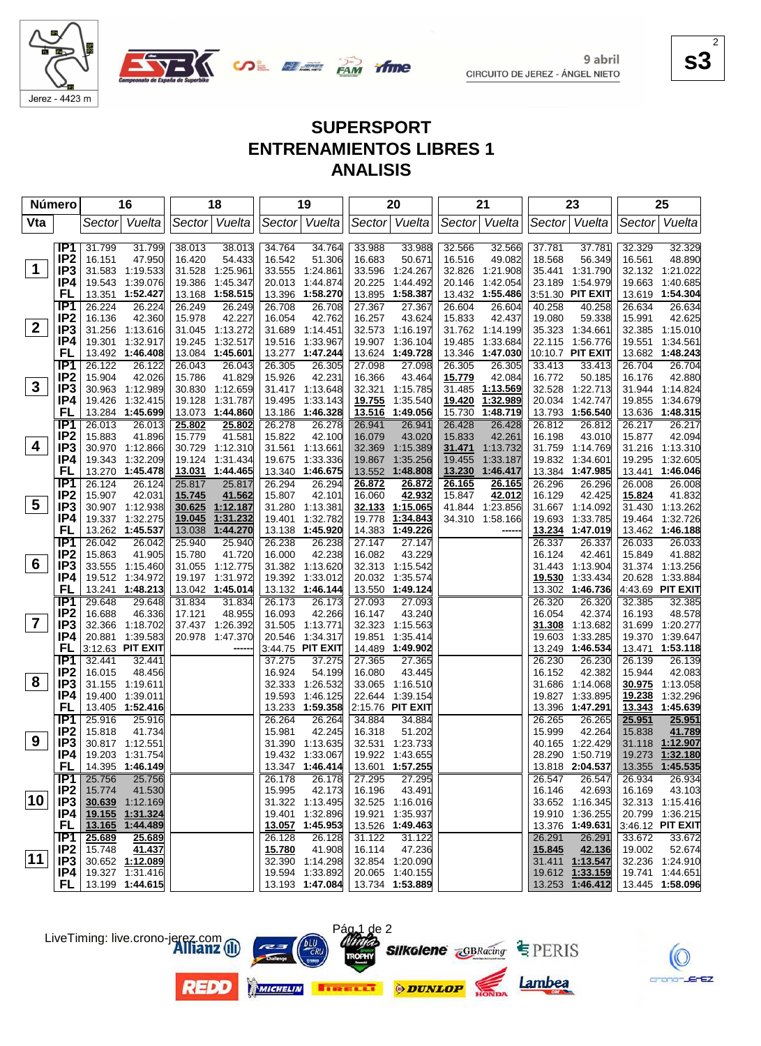

**SALE AND YING** 

**s3** 2

## **SUPERSPORT ENTRENAMIENTOS LIBRES 1 ANALISIS**

| <b>Número</b>   |                                    |                  | 16                                        |                  | 18                          |                  | 19                                 |                  | 20                                 |                  | 21                   |                  | 23                              |                  | 25                          |
|-----------------|------------------------------------|------------------|-------------------------------------------|------------------|-----------------------------|------------------|------------------------------------|------------------|------------------------------------|------------------|----------------------|------------------|---------------------------------|------------------|-----------------------------|
| Vta             |                                    |                  | Sector Vuelta                             |                  | Sector Vuelta               |                  | Sector Vuelta                      |                  | Sector Vuelta                      |                  | Sector Vuelta        |                  | Sector Vuelta                   | Sector           | Vuelta                      |
|                 | IP1                                | 31.799           | 31.799                                    | 38.013           | 38.013                      | 34.764           | 34.764                             | 33.988           | 33.988                             | 32.566           | 32.566               | 37.781           | 37.781                          | 32.329           | 32.329                      |
|                 | IP <sub>2</sub>                    | 16.151           | 47.950                                    | 16.420           | 54.433                      | 16.542           | 51.306                             | 16.683           | 50.671                             | 16.516           | 49.082               | 18.568           | 56.349                          | 16.561           | 48.890                      |
| $\mathbf 1$     | IP <sub>3</sub>                    |                  | 31.583 1:19.533                           |                  | 31.528 1:25.961             |                  | 33.555 1:24.861                    | 33.596           | 1:24.267                           |                  | 32.826 1:21.908      |                  | 35.441 1:31.790                 |                  | 32.132 1:21.022             |
|                 | IP4                                | 19.543           | 1:39.076                                  |                  | 19.386 1:45.347             | 20.013           | 1:44.874                           | 20.225           | 1:44.492                           | 20.146           | 1:42.054             | 23.189           | 1:54.979                        |                  | 19.663 1:40.685             |
|                 | FL                                 |                  | 13.351 1:52.427                           |                  | 13.168 1:58.515             |                  | 13.396 1:58.270                    | 13.895           | 1:58.387                           |                  | 13.432 1:55.486      |                  | 3:51.30 PIT EXIT                |                  | 13.619 1:54.304             |
|                 | IP <sub>1</sub>                    | 26.224           | 26.224                                    | 26.249           | 26.249                      | 26.708           | 26.708                             | 27.367           | 27.367                             | 26.604           | 26.604               | 40.258           | 40.258                          | 26.634           | 26.634                      |
|                 | IP <sub>2</sub>                    | 16.136           | 42.360                                    | 15.978           | 42.227                      | 16.054           | 42.762                             | 16.257           | 43.624                             | 15.833           | 42.437               | 19.080           | 59.338                          | 15.991           | 42.625                      |
| $\mathbf{2}$    | IP3                                |                  | 31.256 1:13.616                           |                  | 31.045 1:13.272             |                  | 31.689 1:14.451                    | 32.573           | 1:16.197                           |                  | 31.762 1:14.199      |                  | 35.323 1:34.661                 |                  | 32.385 1:15.010             |
|                 | IP4                                | 19.301           | 1:32.917                                  | 19.245           | 1:32.517                    | 19.516           | 1:33.967                           | 19.907           | 1:36.104                           | 19.485           | 1:33.684             |                  | 22.115 1:56.776                 | 19.551           | 1:34.561                    |
|                 | <b>FL</b>                          |                  | 13.492 1:46.408                           |                  | 13.084 1:45.601             |                  | 13.277 1:47.244                    | 13.624           | 1:49.728                           |                  | 13.346 1:47.030      |                  | 10:10.7 PIT EXIT                |                  | 13.682 1:48.243             |
|                 | TP1                                | 26.122           | 26.122                                    | 26.043           | 26.043                      | 26.305           | 26.305                             | 27.098           | 27.098                             | 26.305           | 26.305               | 33.413           | 33.413                          | 26.704           | 26.704                      |
| $\mathbf{3}$    | IP <sub>2</sub><br>IP <sub>3</sub> | 15.904           | 42.026<br>30.963 1:12.989                 | 15.786           | 41.829                      | 15.926           | 42.231                             | 16.366<br>32.321 | 43.464<br>1:15.785                 | 15.779<br>31.485 | 42.084               | 16.772           | 50.185                          | 16.176           | 42.880                      |
|                 | IP4                                | 19.426           | 1:32.415                                  | 19.128           | 30.830 1:12.659<br>1:31.787 | 19.495           | 31.417 1:13.648<br>1:33.143        | 19.755           | 1:35.540                           | 19.420           | 1:13.569<br>1:32.989 | 20.034           | 32.528 1:22.713<br>1:42.747     | 19.855           | 31.944 1:14.824<br>1:34.679 |
|                 | FL                                 | 13.284           | 1:45.699                                  |                  | 13.073 1:44.860             |                  | 13.186 1:46.328                    | 13.516           | 1:49.056                           | 15.730           | 1:48.719             |                  | 13.793 1:56.540                 |                  | 13.636 1:48.315             |
|                 | TP <sub>1</sub>                    | 26.013           | 26.013                                    | 25.802           | 25.802                      | 26.278           | 26.278                             | 26.941           | 26.941                             | 26.428           | 26.428               | 26.812           | 26.812                          | 26.217           | 26.217                      |
|                 | IP <sub>2</sub>                    | 15.883           | 41.896                                    | 15.779           | 41.581                      | 15.822           | 42.100                             | 16.079           | 43.020                             | 15.833           | 42.261               | 16.198           | 43.010                          | 15.877           | 42.094                      |
| 4               | IP <sub>3</sub>                    |                  | 30.970 1:12.866                           |                  | 30.729 1:12.310             |                  | 31.561 1:13.661                    | 32.369           | 1:15.389                           | 31.471           | 1:13.732             |                  | 31.759 1:14.769                 |                  | 31.216 1:13.310             |
|                 | IP4                                |                  | 19.343 1:32.209                           |                  | 19.124 1:31.434             | 19.675           | 1:33.336                           | 19.867           | 1:35.256                           | 19.455           | 1:33.187             |                  | 19.832 1:34.601                 |                  | 19.295 1:32.605             |
|                 | FL                                 |                  | 13.270 1:45.478                           |                  | 13.031 1:44.465             |                  | 13.340 1:46.675                    | 13.552           | 1:48.808                           | 13.230           | 1:46.417             |                  | 13.384 1:47.985                 |                  | 13.441 1:46.046             |
|                 | IP1                                | 26.124           | 26.124                                    | 25.817           | 25.817                      | 26.294           | 26.294                             | 26.872           | 26.872                             | 26.165           | 26.165               | 26.296           | 26.296                          | 26.008           | 26.008                      |
|                 | IP <sub>2</sub>                    | 15.907           | 42.031                                    | 15.745           | 41.562                      | 15.807           | 42.101                             | 16.060           | 42.932                             | 15.847           | 42.012               | 16.129           | 42.425                          | 15.824           | 41.832                      |
| $5\phantom{.0}$ | IP <sub>3</sub>                    |                  | 30.907 1:12.938                           | 30.625           | 1:12.187                    |                  | 31.280 1:13.381                    | 32.133           | 1:15.065                           |                  | 41.844 1:23.856      |                  | 31.667 1:14.092                 |                  | 31.430 1:13.262             |
|                 | IP4                                |                  | 19.337 1:32.275                           | 19.045           | 1:31.232                    | 19.401           | 1:32.782                           | 19.778           | 1:34.843                           |                  | 34.310 1:58.166      | 19.693           | 1:33.785                        | 19.464           | 1:32.726                    |
|                 | FL                                 |                  | 13.262 1:45.537                           | 13.038           | 1:44.270                    |                  | 13.138 1:45.920<br>26.238          | 14.383           | 1:49.226<br>27.147                 |                  | -----                |                  | 13.234 1:47.019                 |                  | 13.462 1:46.188             |
|                 | IP <sub>1</sub><br>IP <sub>2</sub> | 26.042<br>15.863 | 26.042<br>41.905                          | 25.940<br>15.780 | 25.940<br>41.720            | 26.238<br>16.000 | 42.238                             | 27.147<br>16.082 | 43.229                             |                  |                      | 26.337<br>16.124 | 26.337<br>42.461                | 26.033<br>15.849 | 26.033<br>41.882            |
| 6               | IP <sub>3</sub>                    |                  | 33.555 1:15.460                           |                  | 31.055 1:12.775             |                  | 31.382 1:13.620                    |                  | 32.313 1:15.542                    |                  |                      |                  | 31.443 1:13.904                 |                  | 31.374 1:13.256             |
|                 | IP4                                |                  | 19.512 1:34.972                           |                  | 19.197 1:31.972             |                  | 19.392 1:33.012                    | 20.032           | 1:35.574                           |                  |                      | 19.530           | 1:33.434                        |                  | 20.628 1:33.884             |
|                 | FL                                 |                  | 13.241 1:48.213                           |                  | 13.042 1:45.014             |                  | 13.132 1:46.144                    |                  | 13.550 1:49.124                    |                  |                      | 13.302           | 1:46.736                        |                  | 4:43.69 PIT EXIT            |
|                 | IP1                                | 29.648           | 29.648                                    | 31.834           | 31.834                      | 26.173           | 26.173                             | 27.093           | 27.093                             |                  |                      | 26.320           | 26.320                          | 32.385           | 32.385                      |
|                 | IP <sub>2</sub>                    | 16.688           | 46.336                                    | 17.121           | 48.955                      | 16.093           | 42.266                             | 16.147           | 43.240                             |                  |                      | 16.054           | 42.374                          | 16.193           | 48.578                      |
| $\overline{7}$  | IP <sub>3</sub>                    |                  | 32.366 1:18.702                           |                  | 37.437 1:26.392             |                  | 31.505 1:13.771                    | 32.323           | 1:15.563                           |                  |                      | 31.308           | 1:13.682                        |                  | 31.699 1:20.277             |
|                 | IP4                                |                  | 20.881 1:39.583                           |                  | 20.978 1:47.370             |                  | 20.546 1:34.317                    | 19.851           | 1:35.414                           |                  |                      | 19.603           | 1:33.285                        | 19.370           | 1:39.647                    |
|                 | FL                                 |                  | 3:12.63 PIT EXIT                          |                  | ----                        |                  | 3:44.75 PIT EXIT                   | 14.489           | 1:49.902                           |                  |                      | 13.249           | 1:46.534                        |                  | 13.471 1:53.118             |
|                 | TP1                                | 32.441           | 32.441                                    |                  |                             | 37.275           | 37.275                             | 27.365           | 27.365                             |                  |                      | 26.230           | 26.230                          | 26.139           | 26.139                      |
| 8               | IP <sub>2</sub><br>IP <sub>3</sub> | 16.015           | 48.456<br>31.155 1:19.611                 |                  |                             | 16.924           | 54.199                             | 16.080           | 43.445                             |                  |                      | 16.152           | 42.382<br>31.686 1:14.068       | 15.944           | 42.083                      |
|                 | IP4                                |                  | 19.400 1:39.011                           |                  |                             |                  | 32.333 1:26.532<br>19.593 1:46.125 | 33.065<br>22.644 | 1:16.510<br>1:39.154               |                  |                      |                  | 19.827 1:33.895                 | 19.238           | 30.975 1:13.058<br>1:32.296 |
|                 | FL                                 |                  | 13.405 1:52.416                           |                  |                             |                  | 13.233 1:59.358                    |                  | 2:15.76 PIT EXIT                   |                  |                      |                  | 13.396 1:47.291                 |                  | 13.343 1:45.639             |
|                 | IP <sub>1</sub>                    | 25.916           | 25.916                                    |                  |                             | 26.264           | 26.264                             | 34.884           | 34.884                             |                  |                      | 26.265           | 26.265                          | 25.951           | 25.951                      |
|                 | IP <sub>2</sub>                    | 15.818           | 41.734                                    |                  |                             | 15.981           | 42.245                             | 16.318           | 51.202                             |                  |                      | 15.999           | 42.264                          | 15.838           | 41.789                      |
| 9               | IP <sub>3</sub>                    |                  | 30.817 1:12.551                           |                  |                             |                  | 31.390 1:13.635                    |                  | 32.531 1:23.733                    |                  |                      |                  | 40.165 1:22.429                 |                  | 31.118 1:12.907             |
|                 | IP4                                |                  | 19.203 1:31.754                           |                  |                             |                  | 19.432 1:33.067                    |                  | 19.922 1:43.655                    |                  |                      |                  | 28.290 1:50.719 19.273 1:32.180 |                  |                             |
|                 | FL                                 |                  | 14.395 1:46.149                           |                  |                             |                  | $13.347$ 1:46.414                  |                  | 13.601 1:57.255                    |                  |                      |                  | 13.818 2:04.537                 |                  | 13.355 1:45.535             |
|                 | IP1                                | 25.756           | 25.756                                    |                  |                             | 26.178           |                                    | 26.178 27.295    | 27.295                             |                  |                      | 26.547           | 26.547                          | 26.934           | 26.934                      |
| 10              | IP <sub>2</sub>                    | 15.774           | 41.530                                    |                  |                             | 15.995           | 42.173                             | 16.196           | 43.491                             |                  |                      | 16.146           | 42.693                          | 16.169           | 43.103                      |
|                 | IP <sub>3</sub>                    |                  | 30.639 1:12.169                           |                  |                             |                  | 31.322 1:13.495                    |                  | 32.525 1:16.016                    |                  |                      |                  | 33.652 1:16.345                 |                  | 32.313 1:15.416             |
|                 |                                    |                  | IP4 19.155 1:31.324<br>FL 13.165 1:44.489 |                  |                             |                  | 19.401 1:32.896                    |                  | 19.921 1:35.937<br>13.526 1:49.463 |                  |                      |                  | 19.910 1:36.255                 |                  | 20.799 1:36.215             |
|                 | IP1                                | 25.689           | 25.689                                    |                  |                             | 26.128           | 13.057 1:45.953<br>26.128          | 31.122           | 31.122                             |                  |                      | 26.291           | 13.376 1:49.631<br>26.291       | 33.672           | 3:46.12 PIT EXIT<br>33.672  |
|                 | IP <sub>2</sub>                    | 15.748           | 41.437                                    |                  |                             | 15.780           | 41.908                             | 16.114           | 47.236                             |                  |                      | 15.845           | 42.136                          | 19.002           | 52.674                      |
| $ 11\rangle$    | IP3                                |                  | 30.652 1:12.089                           |                  |                             |                  | 32.390 1:14.298                    |                  | 32.854 1:20.090                    |                  |                      |                  | 31.411 1:13.547                 |                  | 32.236 1:24.910             |
|                 | IP4                                |                  | 19.327 1:31.416                           |                  |                             |                  | 19.594 1:33.892                    |                  | 20.065 1:40.155                    |                  |                      |                  | 19.612 1:33.159                 |                  | 19.741 1:44.651             |
|                 |                                    |                  | <b>FL</b>   13.199 1:44.615               |                  |                             |                  | 13.193 1:47.084                    |                  | 13.734 1:53.889                    |                  |                      |                  | 13.253 1:46.412                 |                  | 13.445 1:58.096             |



LiveTiming: live.crono-jerez.com











 $EZ$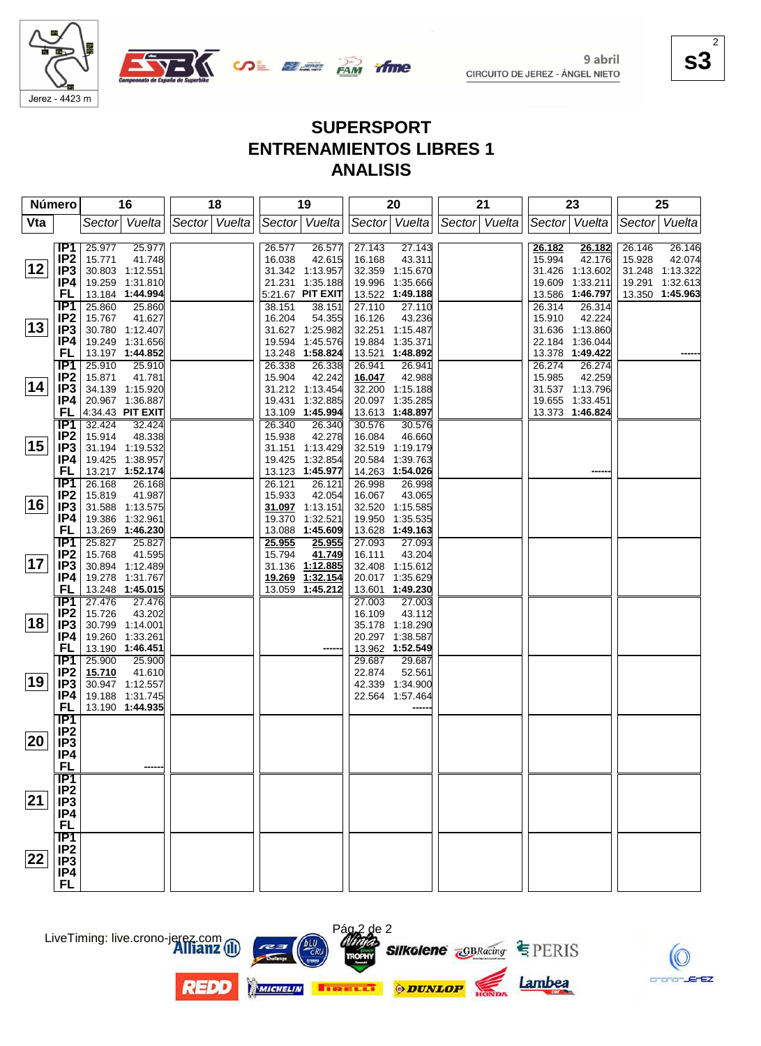

**SALE AND YING** 

**s3** 2

# **SUPERSPORT ENTRENAMIENTOS LIBRES 1 ANALISIS**

|     | Número                             | 16                                   | 18            | 19                                   | 20                                   | 21            | 23                                   | 25                         |
|-----|------------------------------------|--------------------------------------|---------------|--------------------------------------|--------------------------------------|---------------|--------------------------------------|----------------------------|
| Vta |                                    | Sector Vuelta                        | Sector Vuelta | Sector Vuelta                        | Sector Vuelta                        | Sector Vuelta | Sector Vuelta                        | Sector Vuelta              |
|     |                                    |                                      |               |                                      |                                      |               |                                      |                            |
|     | IP1<br>IP <sub>2</sub>             | 25.977<br>25.977<br>15.771<br>41.748 |               | 26.577<br>26.577<br>16.038<br>42.615 | 27.143<br>27.143<br>16.168<br>43.311 |               | 26.182<br>26.182<br>15.994<br>42.176 | 26.146<br>26.146<br>15.928 |
| 12  | IP3                                | 30.803 1:12.551                      |               | 31.342 1:13.957                      | 32.359 1:15.670                      |               | 31.426 1:13.602                      | 42.074<br>31.248 1:13.322  |
|     | IP4                                | 19.259 1:31.810                      |               | 21.231 1:35.188                      | 1:35.666<br>19.996                   |               | 1:33.211<br>19.609                   | 1:32.613<br>19.291         |
|     | FL                                 | 13.184 1:44.994                      |               | 5:21.67 PIT EXIT                     | 13.522 1:49.188                      |               | 13.586 1:46.797                      | 13.350 1:45.963            |
|     | IP <sub>1</sub>                    | 25.860<br>25.860                     |               | 38.151<br>38.151                     | 27.110<br>27.110                     |               | 26.314<br>26.314                     |                            |
|     | IP <sub>2</sub>                    | 15.767<br>41.627                     |               | 16.204<br>54.355                     | 16.126<br>43.236                     |               | 15.910<br>42.224                     |                            |
| 13  | IP3                                | 30.780 1:12.407                      |               | 31.627 1:25.982                      | 32.251 1:15.487                      |               | 31.636 1:13.860                      |                            |
|     | IP4                                | 19.249 1:31.656                      |               | 19.594 1:45.576                      | 19.884<br>1:35.371                   |               | 22.184 1:36.044                      |                            |
|     | FL                                 | 13.197 1:44.852                      |               | 13.248 1:58.824                      | 13.521<br>1:48.892                   |               | 13.378 1:49.422                      |                            |
|     | IP1                                | 25.910<br>25.910                     |               | 26.338<br>26.338                     | 26.941<br>26.941                     |               | 26.274<br>26.274                     |                            |
| 14  | IP <sub>2</sub><br>IP3             | 15.871<br>41.781<br>34.139 1:15.920  |               | 15.904<br>42.242<br>31.212 1:13.454  | 16.047<br>42.988<br>32.200 1:15.188  |               | 15.985<br>42.259<br>31.537 1:13.796  |                            |
|     | IP4                                | 20.967 1:36.887                      |               | 19.431<br>1:32.885                   | 20.097<br>1:35.285                   |               | 19.655 1:33.451                      |                            |
|     | FL                                 | 4:34.43 PIT EXIT                     |               | 13.109 1:45.994                      | 13.613<br>1:48.897                   |               | 13.373 1:46.824                      |                            |
|     | IP1                                | 32.424<br>32.424                     |               | 26.340<br>26.340                     | 30.576<br>30.576                     |               |                                      |                            |
|     | IP <sub>2</sub>                    | 15.914<br>48.338                     |               | 42.278<br>15.938                     | 16.084<br>46.660                     |               |                                      |                            |
| 15  | IP3                                | 31.194 1:19.532                      |               | 31.151 1:13.429                      | 32.519 1:19.179                      |               |                                      |                            |
|     | IP4                                | 19.425 1:38.957                      |               | 19.425 1:32.854                      | 20.584<br>1:39.763                   |               |                                      |                            |
|     | FL                                 | 13.217 1:52.174                      |               | 13.123 1:45.977                      | 14.263 1:54.026                      |               |                                      |                            |
|     | IP <sub>1</sub>                    | 26.168<br>26.168                     |               | 26.121<br>26.121                     | 26.998<br>26.998                     |               |                                      |                            |
| 16  | IP2<br>IP <sub>3</sub>             | 15.819<br>41.987<br>31.588 1:13.575  |               | 42.054<br>15.933<br>31.097 1:13.151  | 16.067<br>43.065<br>32.520 1:15.585  |               |                                      |                            |
|     | IP4                                | 19.386 1:32.961                      |               | 1:32.521<br>19.370                   | 19.950<br>1:35.535                   |               |                                      |                            |
|     | FL                                 | 13.269 1:46.230                      |               | 13.088 1:45.609                      | 13.628 1:49.163                      |               |                                      |                            |
|     | IP1                                | 25.827<br>25.827                     |               | 25.955<br>25.955                     | 27.093<br>27.093                     |               |                                      |                            |
|     | IP2                                | 15.768<br>41.595                     |               | 15.794<br>41.749                     | 16.111<br>43.204                     |               |                                      |                            |
| 17  | IP <sub>3</sub>                    | 30.894 1:12.489                      |               | 31.136<br>1:12.885                   | 32.408 1:15.612                      |               |                                      |                            |
|     | IP4                                | 19.278 1:31.767                      |               | 19.269 1:32.154                      | 20.017 1:35.629                      |               |                                      |                            |
|     | FL                                 | 13.248 1:45.015                      |               | 13.059 1:45.212                      | 13.601 1:49.230                      |               |                                      |                            |
|     | IP1                                | 27.476<br>27.476                     |               |                                      | 27.003<br>27.003                     |               |                                      |                            |
| 18  | IP <sub>2</sub><br>IP <sub>3</sub> | 15.726<br>43.202<br>30.799 1:14.001  |               |                                      | 16.109<br>43.112<br>35.178 1:18.290  |               |                                      |                            |
|     | IP4                                | 19.260 1:33.261                      |               |                                      | 20.297 1:38.587                      |               |                                      |                            |
|     | <b>FL</b>                          | 13.190 1:46.451                      |               |                                      | 13.962 1:52.549                      |               |                                      |                            |
|     | IP1                                | 25.900<br>25.900                     |               |                                      | 29.687<br>29.687                     |               |                                      |                            |
|     | IP <sub>2</sub>                    | 15.710<br>41.610                     |               |                                      | 22.874<br>52.561                     |               |                                      |                            |
| 19  | IP <sub>3</sub>                    | 30.947 1:12.557                      |               |                                      | 42.339<br>1:34.900                   |               |                                      |                            |
|     | IP4                                | 19.188 1:31.745                      |               |                                      | 22.564<br>1:57.464                   |               |                                      |                            |
|     | <b>FL</b>                          | 13.190 1:44.935                      |               |                                      |                                      |               |                                      |                            |
|     | IP1                                |                                      |               |                                      |                                      |               |                                      |                            |
| 20  | IP <sub>2</sub><br>IP <sub>3</sub> |                                      |               |                                      |                                      |               |                                      |                            |
|     | IP4                                |                                      |               |                                      |                                      |               |                                      |                            |
|     | <b>FL</b>                          |                                      |               |                                      |                                      |               |                                      |                            |
|     | $\overline{IP1}$                   |                                      |               |                                      |                                      |               |                                      |                            |
|     | IP <sub>2</sub>                    |                                      |               |                                      |                                      |               |                                      |                            |
| 21  | IP3                                |                                      |               |                                      |                                      |               |                                      |                            |
|     | IP4                                |                                      |               |                                      |                                      |               |                                      |                            |
|     | <b>FL</b>                          |                                      |               |                                      |                                      |               |                                      |                            |
|     | $\overline{IP1}$                   |                                      |               |                                      |                                      |               |                                      |                            |
| 22  | IP <sub>2</sub><br>IP <sub>3</sub> |                                      |               |                                      |                                      |               |                                      |                            |
|     | IP4                                |                                      |               |                                      |                                      |               |                                      |                            |
|     | FL                                 |                                      |               |                                      |                                      |               |                                      |                            |





**REDD** 



Pág 2 de 2



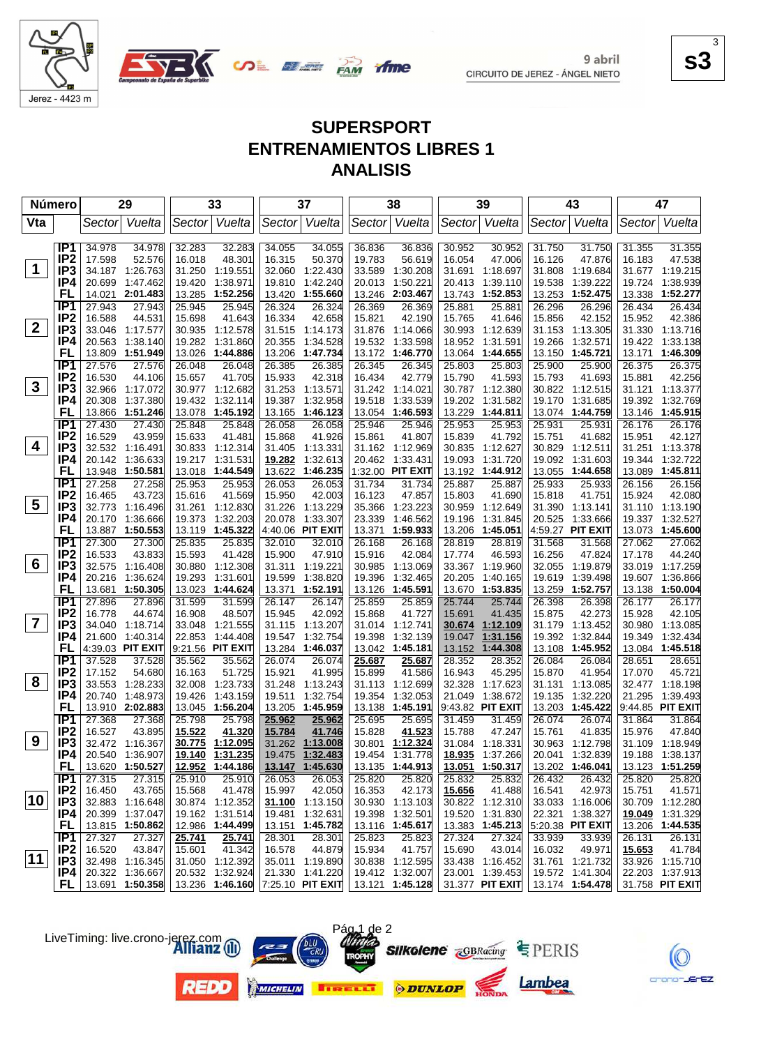

**SALE AND YING** 

**s3**

 $EZ$ 

3

# **SUPERSPORT ENTRENAMIENTOS LIBRES 1 ANALISIS**

| <b>Número</b>  |                        |                  | 29                                 |                  | 33                                                  |                  | 37                                 |                  | 38                                                 |                  | 39                          |                  | 43                                 |                  | 47                                 |
|----------------|------------------------|------------------|------------------------------------|------------------|-----------------------------------------------------|------------------|------------------------------------|------------------|----------------------------------------------------|------------------|-----------------------------|------------------|------------------------------------|------------------|------------------------------------|
| Vta            |                        | Sector           | Vuelta                             |                  | Sector Vuelta                                       |                  | Sector Vuelta                      | Sector           | Vuelta                                             |                  | Sector Vuelta               | Sector           | Vuelta                             | Sector           | Vuelta                             |
|                | IP1                    | 34.978           | 34.978                             | 32.283           | 32.283                                              | 34.055           | 34.055                             | 36.836           | 36.836                                             | 30.952           | 30.952                      | 31.750           | 31.750                             | 31.355           | 31.355                             |
|                | IP <sub>2</sub>        | 17.598           | 52.576                             | 16.018           | 48.301                                              | 16.315           | 50.370                             | 19.783           | 56.619                                             | 16.054           | 47.006                      | 16.126           | 47.876                             | 16.183           | 47.538                             |
| $\mathbf 1$    | IP3                    | 34.187           | 1:26.763                           | 31.250           | 1:19.551                                            | 32.060           | 1:22.430                           | 33.589           | 1:30.208                                           | 31.691           | 1:18.697                    | 31.808           | 1:19.684                           | 31.677           | 1:19.215                           |
|                | IP4                    | 20.699           | 1:47.462                           | 19.420           | 1:38.971                                            | 19.810           | 1:42.240                           | 20.013           | 1:50.221                                           | 20.413           | 1:39.110                    | 19.538           | 1:39.222                           | 19.724           | 1:38.939                           |
|                | <b>FL</b>              | 14.021           | 2:01.483                           | 13.285           | 1:52.256                                            | 13.420           | 1:55.660                           | 13.246           | 2:03.467                                           | 13.743           | 1:52.853                    | 13.253           | 1:52.475                           | 13.338           | 1:52.277                           |
|                | IP <sub>1</sub>        | 27.943           | 27.943                             | 25.945           | 25.945                                              | 26.324           | 26.324                             | 26.369           | 26.369                                             | 25.881           | 25.881                      | 26.296           | 26.296                             | 26.434           | 26.434                             |
|                | IP <sub>2</sub>        | 16.588           | 44.531                             | 15.698           | 41.643                                              | 16.334           | 42.658                             | 15.821           | 42.190                                             | 15.765           | 41.646                      | 15.856           | 42.152                             | 15.952           | 42.386                             |
| $\overline{2}$ | IP3                    | 33.046           | 1:17.577                           | 30.935           | 1:12.578                                            | 31.515           | 1:14.173                           | 31.876           | 1:14.066                                           | 30.993           | 1:12.639                    |                  | 31.153 1:13.305                    |                  | 31.330 1:13.716                    |
|                | IP4                    | 20.563           | 1:38.140                           | 19.282           | 1:31.860                                            | 20.355           | 1:34.528                           | 19.532           | 1:33.598                                           | 18.952           | 1:31.591                    | 19.266           | 1:32.571                           |                  | 19.422 1:33.138                    |
|                | <b>FL</b>              | 13.809           | 1:51.949                           | 13.026           | 1:44.886                                            | 13.206           | 1:47.734                           | 13.172           | 1:46.770                                           | 13.064           | 1:44.655                    | 13.150           | 1:45.721                           | 13.171           | 1:46.309                           |
|                | TP <sub>1</sub>        | 27.576           | 27.576                             | 26.048           | 26.048                                              | 26.385           | 26.385                             | 26.345           | 26.345                                             | 25.803           | 25.803                      | 25.900           | 25.900                             | 26.375           | 26.375                             |
|                | IP <sub>2</sub>        | 16.530           | 44.106                             | 15.657           | 41.705                                              | 15.933           | 42.318                             | 16.434           | 42.779                                             | 15.790           | 41.593                      | 15.793           | 41.693                             | 15.881           | 42.256                             |
| $\mathbf{3}$   | IP3                    | 32.966           | 1:17.072                           |                  | 30.977 1:12.682                                     | 31.253           | 1:13.571                           | 31.242           | 1:14.021                                           |                  | 30.787 1:12.380             |                  | 30.822 1:12.515                    | 31.121           | 1:13.377                           |
|                | IP4                    | 20.308           | 1:37.380                           | 19.432           | 1:32.114                                            | 19.387           | 1:32.958                           | 19.518           | 1:33.539                                           | 19.202           | 1:31.582                    |                  | 19.170 1:31.685                    | 19.392           | 1:32.769                           |
|                | FL                     | 13.866           | 1:51.246                           | 13.078           | 1:45.192                                            | 13.165           | 1:46.123                           | 13.054           | 1:46.593                                           | 13.229           | 1:44.811                    |                  | 13.074 1:44.759                    | 13.146           | 1:45.915                           |
|                | IP <sub>1</sub>        | 27.430           | 27.430                             | 25.848           | 25.848                                              | 26.058           | 26.058                             | 25.946           | 25.946                                             | 25.953           | 25.953                      | 25.931           | 25.931                             | 26.176           | 26.176                             |
| 4              | IP <sub>2</sub>        | 16.529           | 43.959                             | 15.633           | 41.481                                              | 15.868           | 41.926                             | 15.861           | 41.807                                             | 15.839           | 41.792                      | 15.751           | 41.682                             | 15.951           | 42.127                             |
|                | IP3<br>IP4             |                  | 32.532 1:16.491<br>1:36.633        |                  | 30.833 1:12.314<br>1:31.531                         | 31.405<br>19.282 | 1:13.331                           | 31.162           | 1:12.969<br>1:33.431                               | 30.835           | 1:12.627                    | 30.829<br>19.092 | 1:12.511<br>1:31.603               | 31.251           | 1:13.378<br>1:32.722               |
|                | FL                     | 20.142           | 13.948 1:50.581                    | 19.217           | 13.018 1:44.549                                     | 13.622           | 1:32.613<br>1:46.235               | 20.462           | 1:32.00 PIT EXIT                                   | 19.093           | 1:31.720<br>13.192 1:44.912 | 13.055           | 1:44.658                           | 19.344           | 13.089 1:45.811                    |
|                | IP <sub>1</sub>        | 27.258           | 27.258                             | 25.953           | 25.953                                              | 26.053           | 26.053                             | 31.734           | 31.734                                             | 25.887           | 25.887                      | 25.933           | 25.933                             | 26.156           | 26.156                             |
|                | IP <sub>2</sub>        | 16.465           | 43.723                             | 15.616           | 41.569                                              | 15.950           | 42.003                             | 16.123           | 47.857                                             | 15.803           | 41.690                      | 15.818           | 41.751                             | 15.924           | 42.080                             |
| 5              | IP3                    | 32.773           | 1:16.496                           |                  | 31.261 1:12.830                                     | 31.226           | 1:13.229                           | 35.366           | 1:23.223                                           | 30.959           | 1:12.649                    | 31.390           | 1:13.141                           |                  | 31.110 1:13.190                    |
|                | IP4                    | 20.170           | 1:36.666                           | 19.373           | 1:32.203                                            | 20.078           | 1:33.307                           | 23.339           | 1:46.562                                           | 19.196           | 1:31.845                    | 20.525           | 1:33.666                           | 19.337           | 1:32.527                           |
|                | FL                     | 13.887           | 1:50.553                           |                  | 13.119 1:45.322                                     |                  | 4:40.06 PIT EXIT                   | 13.371           | 1:59.933                                           | 13.206           | 1:45.051                    |                  | 4:59.27 PIT EXIT                   |                  | 13.073 1:45.600                    |
|                | IP <sub>1</sub>        | 27.300           | 27.300                             | 25.835           | 25.835                                              | 32.010           | 32.010                             | 26.168           | 26.168                                             | 28.819           | 28.819                      | 31.568           | 31.568                             | 27.062           | 27.062                             |
|                | IP <sub>2</sub>        | 16.533           | 43.833                             | 15.593           | 41.428                                              | 15.900           | 47.910                             | 15.916           | 42.084                                             | 17.774           | 46.593                      | 16.256           | 47.824                             | 17.178           | 44.240                             |
| 6              | IP <sub>3</sub>        |                  | 32.575 1:16.408                    | 30.880           | 1:12.308                                            | 31.311           | 1:19.221                           | 30.985           | 1:13.069                                           | 33.367           | 1:19.960                    | 32.055           | 1:19.879                           | 33.019           | 1:17.259                           |
|                | IP4                    | 20.216           | 1:36.624                           | 19.293           | 1:31.601                                            | 19.599           | 1:38.820                           | 19.396           | 1:32.465                                           | 20.205           | 1:40.165                    | 19.619           | 1:39.498                           |                  | 19.607 1:36.866                    |
|                | FL                     | 13.681           | 1:50.305                           |                  | 13.023 1:44.624                                     | 13.371           | 1:52.191                           | 13.126           | 1:45.591                                           | 13.670           | 1:53.835                    | 13.259           | 1:52.757                           | 13.138           | 1:50.004                           |
|                | IP1                    | 27.896           | 27.896                             | 31.599           | 31.599                                              | 26.147           | 26.147                             | 25.859           | 25.859                                             | 25.744           | 25.744                      | 26.398           | 26.398                             | 26.177           | 26.177                             |
|                | IP <sub>2</sub>        | 16.778           | 44.674                             | 16.908           | 48.507                                              | 15.945           | 42.092                             | 15.868           | 41.727                                             | 15.691           | 41.435                      | 15.875           | 42.273                             | 15.928           | 42.105                             |
| $\overline{7}$ | IP3                    | 34.040           | 1:18.714                           | 33.048           | 1:21.555                                            | 31.115           | 1:13.207                           | 31.014           | 1:12.741                                           | 30.674           | 1:12.109                    | 31.179           | 1:13.452                           | 30.980           | 1:13.085                           |
|                | IP4                    | 21.600           | 1:40.314                           | 22.853           | 1:44.408                                            | 19.547           | 1:32.754                           | 19.398           | 1:32.139                                           | 19.047           | 1:31.156                    | 19.392           | 1:32.844                           | 19.349           | 1:32.434                           |
|                | FL                     |                  | 4:39.03 PIT EXIT                   |                  | 9:21.56 PIT EXIT                                    | 13.284           | 1:46.037                           | 13.042           | 1:45.181                                           | 13.152           | 1:44.308                    | 13.108           | 1:45.952                           |                  | 13.084 1:45.518                    |
|                | IP1<br>IP <sub>2</sub> | 37.528<br>17.152 | 37.528<br>54.680                   | 35.562<br>16.163 | 35.562<br>51.725                                    | 26.074<br>15.921 | 26.074<br>41.995                   | 25.687<br>15.899 | 25.687<br>41.586                                   | 28.352<br>16.943 | 28.352<br>45.295            | 26.084<br>15.870 | 26.084<br>41.954                   | 28.651<br>17.070 | 28.651<br>45.721                   |
| 8              | IP <sub>3</sub>        | 33.553           | 1:28.233                           | 32.008           | 1:23.733                                            | 31.248           | 1:13.243                           | 31.113           | 1:12.699                                           | 32.328           | 1:17.623                    | 31.131           | 1:13.085                           | 32.477           | 1:18.198                           |
|                | IP4                    | 20.740           | 1:48.973                           | 19.426           | 1:43.159                                            | 19.511           | 1:32.754                           | 19.354           | 1:32.053                                           | 21.049           | 1:38.672                    | 19.135           | 1:32.220                           | 21.295           | 1:39.493                           |
|                | FL                     |                  | 13.910 2:02.883                    |                  | 13.045 1:56.204                                     | 13.205           | 1:45.959                           | 13.138           | 1:45.191                                           |                  | 9:43.82 PIT EXIT            | 13.203           | 1:45.422                           |                  | 9:44.85 PIT EXIT                   |
|                | IP1                    | 27.368           | 27.368                             | 25.798           | 25.798                                              | 25.962           | 25.962                             | 25.695           | 25.695                                             | 31.459           | 31.459                      | 26.074           | 26.074                             | 31.864           | 31.864                             |
|                | IP <sub>2</sub>        | 16.527           | 43.895                             | 15.522           | 41.320                                              | 15.784           | 41.746                             | 15.828           | 41.523                                             | 15.788           | 47.247                      | 15.761           | 41.835                             | 15.976           | 47.840                             |
| 9              | IP <sub>3</sub>        |                  | 32.472 1:16.367                    |                  | 30.775 1:12.095                                     |                  | 31.262 1:13.008                    | 30.801           | 1:12.324                                           |                  | 31.084 1:18.331             |                  | 30.963 1:12.798                    |                  | 31.109 1:18.949                    |
|                | IP4                    |                  | 20.540 1:36.907                    |                  | 19.140 1:31.235                                     |                  | 19.475 1:32.483                    | 19.454           | 1:31.778                                           |                  | 18.935 1:37.266             |                  | 20.041 1:32.839                    |                  | 19.188 1:38.137                    |
|                | FL,                    |                  | 13.620 1:50.527                    |                  | 12.952 1:44.186                                     |                  | 13.147 1:45.630                    |                  | 13.135 1:44.913                                    |                  | 13.051 1:50.317             |                  | 13.202 1:46.041                    |                  | 13.123 1:51.259                    |
|                | IP1                    | 27.315           | 27.315                             | 25.910           | 25.910                                              | 26.053           | 26.053                             | 25.820           | 25.820                                             | 25.832           | 25.832                      | 26.432           | 26.432                             | 25.820           | 25.820                             |
|                | IP <sub>2</sub>        | 16.450           | 43.765                             | 15.568           | 41.478                                              | 15.997           | 42.050                             | 16.353           | 42.173                                             | 15.656           | 41.488                      | 16.541           | 42.973                             | 15.751           | 41.571                             |
| 10             | IP <sub>3</sub>        |                  | 32.883 1:16.648                    |                  | 30.874 1:12.352                                     |                  | 31.100 1:13.150                    |                  | 30.930 1:13.103                                    |                  | 30.822 1:12.310             |                  | 33.033 1:16.006                    |                  | 30.709 1:12.280                    |
|                | IP4                    |                  | 20.399 1:37.047                    |                  | 19.162 1:31.514                                     | 19.481           | 1:32.631                           | 19.398           | 1:32.501                                           |                  | 19.520 1:31.830             |                  | 22.321 1:38.327                    |                  | 19.049 1:31.329                    |
|                | FL.                    |                  | 13.815 1:50.862                    |                  | 12.986 1:44.499                                     |                  | 13.151 1:45.782                    |                  | 13.116 1:45.617                                    |                  | 13.383 1:45.213             |                  | 5:20.38 PIT EXIT                   |                  | 13.206 1:44.535                    |
|                | IP1                    | 27.327           | 27.327                             | 25.741           | 25.741                                              | 28.301           | 28.301                             | 25.823           | 25.823                                             | 27.324           | 27.324                      | 33.939           | 33.939                             | 26.131           | 26.131                             |
| $ 11\rangle$   | IP <sub>2</sub>        | 16.520           | 43.847                             | 15.601           | 41.342                                              | 16.578           | 44.879                             | 15.934           | 41.757                                             | 15.690           | 43.014                      | 16.032           | 49.971                             | 15.653           | 41.784                             |
|                | IP3                    |                  | 32.498 1:16.345                    |                  | 31.050 1:12.392                                     |                  | 35.011 1:19.890<br>21.330 1:41.220 |                  | 30.838 1:12.595                                    |                  | 33.438 1:16.452             |                  | 31.761 1:21.732<br>19.572 1:41.304 |                  | 33.926 1:15.710                    |
|                | IP4<br>FL.             |                  | 20.322 1:36.667<br>13.691 1:50.358 |                  | 20.532 1:32.924<br>13.236 1:46.160 7:25.10 PIT EXIT |                  |                                    |                  | 19.412 1:32.007<br>13.121 1:45.128 31.377 PIT EXIT |                  | 23.001 1:39.453             |                  | 13.174 1:54.478                    |                  | 22.203 1:37.913<br>31.758 PIT EXIT |
|                |                        |                  |                                    |                  |                                                     |                  |                                    |                  |                                                    |                  |                             |                  |                                    |                  |                                    |

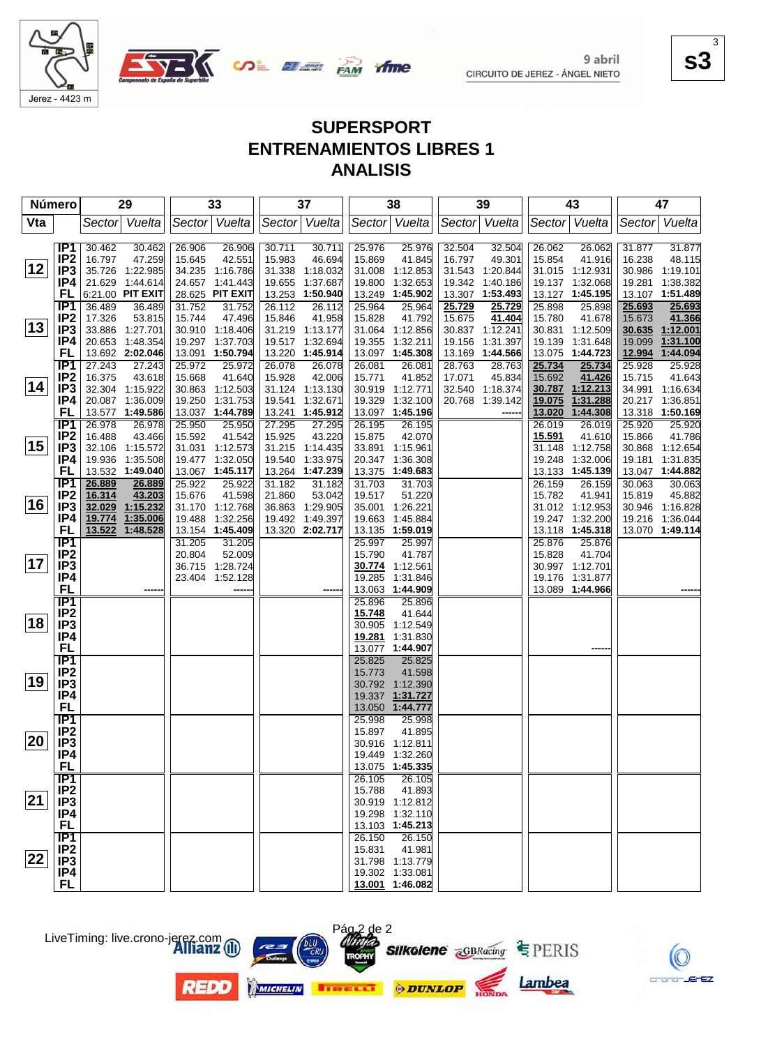

**SALE AND DESCRIPTION** 

**s3** 3

# **SUPERSPORT ENTRENAMIENTOS LIBRES 1 ANALISIS**

time

| <b>Número</b> |                                    | 29                                   | 33                                   | 37                                  | 38                                       | 39                                  | 43                                   | 47                                     |
|---------------|------------------------------------|--------------------------------------|--------------------------------------|-------------------------------------|------------------------------------------|-------------------------------------|--------------------------------------|----------------------------------------|
| Vta           |                                    | Vuelta<br>Sector                     | Sector Vuelta                        | Sector Vuelta                       | Vuelta<br>Sector                         | Sector Vuelta                       | Vuelta<br>Sector                     | Vuelta<br>Sector                       |
|               | IP1                                | 30.462<br>30.462                     | 26.906<br>26.906                     | 30.711<br>30.711                    | 25.976<br>25.976                         | 32.504<br>32.504                    | 26.062<br>26.062                     | 31.877<br>31.877                       |
| 12            | IP <sub>2</sub><br>IP <sub>3</sub> | 16.797<br>47.259<br>35.726 1:22.985  | 42.551<br>15.645<br>34.235 1:16.786  | 46.694<br>15.983<br>31.338 1:18.032 | 15.869<br>41.845<br>31.008<br>1:12.853   | 16.797<br>49.301<br>31.543 1:20.844 | 15.854<br>41.916<br>31.015 1:12.931  | 16.238<br>48.115<br>30.986<br>1:19.101 |
|               | IP4                                | 21.629 1:44.614                      | 24.657 1:41.443                      | 19.655<br>1:37.687                  | 19.800<br>1:32.653                       | 19.342<br>1:40.186                  | 19.137 1:32.068                      | 19.281<br>1:38.382                     |
|               | FL                                 | 6:21.00 PIT EXIT                     | 28.625 PIT EXIT                      | 13.253 1:50.940                     | 13.249<br>1:45.902                       | 13.307 1:53.493                     | 13.127 1:45.195                      | 13.107 1:51.489                        |
|               | IP <sub>1</sub>                    | 36.489<br>36.489                     | 31.752<br>31.752                     | 26.112<br>26.112                    | 25.964<br>25.964                         | 25.729<br>25.729                    | 25.898<br>25.898                     | 25.693<br>25.693                       |
|               | IP <sub>2</sub>                    | 17.326<br>53.815                     | 47.496<br>15.744                     | 15.846<br>41.958                    | 41.792<br>15.828                         | 15.675<br>41.404                    | 15.780<br>41.678                     | 15.673<br>41.366                       |
| 13            | IP <sub>3</sub>                    | 33.886 1:27.701                      | 30.910 1:18.406                      | 31.219 1:13.177                     | 31.064<br>1:12.856                       | 30.837 1:12.241                     | 30.831<br>1:12.509                   | 30.635 1:12.001                        |
|               | IP4                                | 20.653 1:48.354                      | 19.297 1:37.703                      | 19.517 1:32.694                     | 19.355<br>1:32.211                       | 1:31.397<br>19.156                  | 19.139<br>1:31.648                   | 1:31.100<br>19.099                     |
|               | FL<br><b>IP1</b>                   | 13.692 2:02.046                      | 13.091 1:50.794                      | 13.220<br>1:45.914<br>26.078        | 13.097<br>1:45.308                       | 13.169<br>1:44.566<br>28.763        | 13.075 1:44.723                      | 12.994<br>1:44.094                     |
|               | IP <sub>2</sub>                    | 27.243<br>27.243<br>16.375<br>43.618 | 25.972<br>25.972<br>15.668<br>41.640 | 26.078<br>15.928<br>42.006          | 26.081<br>26.081<br>15.771<br>41.852     | 28.763<br>45.834<br>17.071          | 25.734<br>25.734<br>15.692<br>41.426 | 25.928<br>25.928<br>15.715<br>41.643   |
| 14            | IP3                                | 32.304 1:15.922                      | 30.863 1:12.503                      | 31.124 1:13.130                     | 30.919<br>1:12.771                       | 32.540 1:18.374                     | 30.787<br>1:12.213                   | 34.991 1:16.634                        |
|               | IP4                                | 20.087 1:36.009                      | 19.250 1:31.753                      | 19.541<br>1:32.671                  | 19.329<br>1:32.100                       | 20.768 1:39.142                     | 19.075<br>1:31.288                   | 20.217 1:36.851                        |
|               | FL                                 | 13.577 1:49.586                      | 13.037 1:44.789                      | 13.241<br>1:45.912                  | 13.097<br>1:45.196                       |                                     | 13.020<br>1:44.308                   | 13.318 1:50.169                        |
|               | IP1                                | 26.978<br>26.978                     | 25.950<br>25.950                     | 27.295<br>27.295                    | 26.195<br>26.195                         |                                     | 26.019<br>26.019                     | 25.920<br>25.920                       |
|               | IP <sub>2</sub>                    | 16.488<br>43.466                     | 41.542<br>15.592                     | 15.925<br>43.220                    | 15.875<br>42.070                         |                                     | 15.591<br>41.610                     | 41.786<br>15.866                       |
| 15            | IP3                                | 32.106 1:15.572                      | 31.031 1:12.573                      | 31.215 1:14.435                     | 33.891<br>1:15.961                       |                                     | 1:12.758<br>31.148                   | 30.868 1:12.654                        |
|               | IP4                                | 19.936<br>1:35.508                   | 19.477 1:32.050                      | 19.540<br>1:33.975                  | 20.347<br>1:36.308                       |                                     | 19.248<br>1:32.006                   | 19.181<br>1:31.835                     |
|               | FL<br>$\overline{IP1}$             | 13.532 1:49.040<br>26.889<br>26.889  | 13.067 1:45.117<br>25.922            | 13.264 1:47.239<br>31.182<br>31.182 | 13.375<br>1:49.683<br>31.703<br>31.703   |                                     | 13.133 1:45.139<br>26.159<br>26.159  | 13.047 1:44.882<br>30.063<br>30.063    |
|               | IP <sub>2</sub>                    | 43.203<br>16.314                     | 25.922<br>15.676<br>41.598           | 21.860<br>53.042                    | 19.517<br>51.220                         |                                     | 15.782<br>41.941                     | 15.819<br>45.882                       |
| 16            | IP <sub>3</sub>                    | 1:15.232<br>32.029                   | 31.170 1:12.768                      | 1:29.905<br>36.863                  | 35.001<br>1:26.221                       |                                     | 31.012 1:12.953                      | 30.946 1:16.828                        |
|               | IP4                                | 1:35.006<br>19.774                   | 19.488<br>1:32.256                   | 19.492 1:49.397                     | 19.663<br>1:45.884                       |                                     | 19.247 1:32.200                      | 19.216 1:36.044                        |
|               | FL                                 | 13.522<br>1:48.528                   | 13.154 1:45.409                      | 13.320 2:02.717                     | 13.135<br>1:59.019                       |                                     | 13.118 1:45.318                      | 13.070 1:49.114                        |
|               | $\overline{IP1}$                   |                                      | 31.205<br>31.205                     |                                     | 25.997<br>25.997                         |                                     | 25.876<br>25.876                     |                                        |
|               | IP <sub>2</sub>                    |                                      | 20.804<br>52.009                     |                                     | 15.790<br>41.787                         |                                     | 15.828<br>41.704                     |                                        |
| 17            | IP <sub>3</sub>                    |                                      | 36.715 1:28.724                      |                                     | 30.774<br>1:12.561                       |                                     | 30.997 1:12.701                      |                                        |
|               | IP4<br><b>FL</b>                   |                                      | 23.404 1:52.128                      |                                     | 19.285<br>1:31.846<br>1:44.909<br>13.063 |                                     | 19.176 1:31.877<br>13.089 1:44.966   |                                        |
|               | $\overline{IP1}$                   |                                      |                                      |                                     | 25.896<br>25.896                         |                                     |                                      |                                        |
|               | IP <sub>2</sub>                    |                                      |                                      |                                     | 15.748<br>41.644                         |                                     |                                      |                                        |
| 18            | IP <sub>3</sub>                    |                                      |                                      |                                     | 30.905<br>1:12.549                       |                                     |                                      |                                        |
|               | IP4                                |                                      |                                      |                                     | 1:31.830<br>19.281                       |                                     |                                      |                                        |
|               | FL                                 |                                      |                                      |                                     | 1:44.907<br>13.077                       |                                     |                                      |                                        |
|               | TP1                                |                                      |                                      |                                     | 25.825<br>25.825                         |                                     |                                      |                                        |
| 19            | IP <sub>2</sub><br>IP <sub>3</sub> |                                      |                                      |                                     | 41.598<br>15.773                         |                                     |                                      |                                        |
|               | IP4                                |                                      |                                      |                                     | 30.792 1:12.390<br>19.337 1:31.727       |                                     |                                      |                                        |
|               | <b>FL</b>                          |                                      |                                      |                                     | 13.050 1:44.777                          |                                     |                                      |                                        |
|               | $\overline{IP1}$                   |                                      |                                      |                                     | 25.998<br>25.998                         |                                     |                                      |                                        |
|               | IP <sub>2</sub>                    |                                      |                                      |                                     | 15.897<br>41.895                         |                                     |                                      |                                        |
| 20            | IP <sub>3</sub>                    |                                      |                                      |                                     | 30.916 1:12.811                          |                                     |                                      |                                        |
|               | IP4                                |                                      |                                      |                                     | 19.449 1:32.260                          |                                     |                                      |                                        |
|               | <b>FL</b>                          |                                      |                                      |                                     | 13.075 1:45.335                          |                                     |                                      |                                        |
|               | IP1                                |                                      |                                      |                                     | 26.105<br>26.105                         |                                     |                                      |                                        |
| 21            | $IP2$<br>$IP3$                     |                                      |                                      |                                     | 15.788<br>41.893<br>30.919 1:12.812      |                                     |                                      |                                        |
|               | IP4                                |                                      |                                      |                                     | 19.298 1:32.110                          |                                     |                                      |                                        |
|               | <b>FL</b>                          |                                      |                                      |                                     | 13.103 1:45.213                          |                                     |                                      |                                        |
|               | IP1                                |                                      |                                      |                                     | 26.150<br>26.150                         |                                     |                                      |                                        |
|               | IP <sub>2</sub>                    |                                      |                                      |                                     | 15.831<br>41.981                         |                                     |                                      |                                        |
| $ 22\rangle$  | IP3                                |                                      |                                      |                                     | 31.798 1:13.779                          |                                     |                                      |                                        |
|               | IP4                                |                                      |                                      |                                     | 19.302 1:33.081                          |                                     |                                      |                                        |
|               | <b>FL</b>                          |                                      |                                      |                                     | 13.001 1:46.082                          |                                     |                                      |                                        |





LiveTiming: live.crono-jerez.com

**REDO**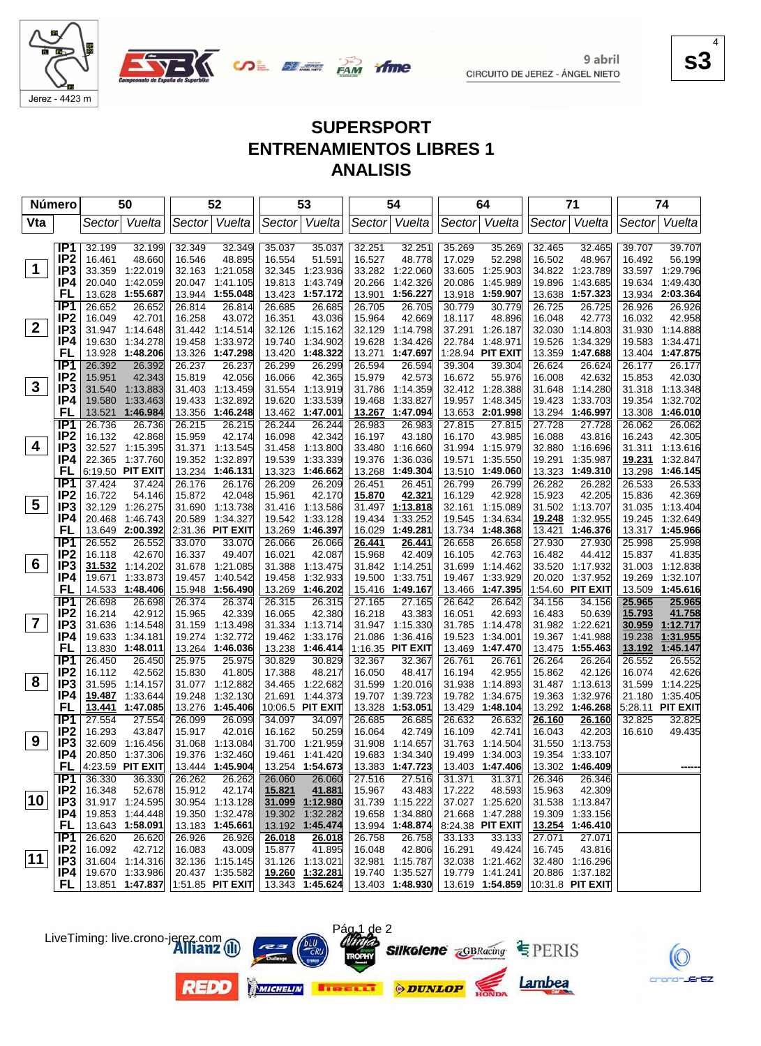

**SAME OF DRAW** 

**s3** 4

# **SUPERSPORT ENTRENAMIENTOS LIBRES 1 ANALISIS**

time

| <b>Número</b>           |                        |                  | 50                                      |                  | 52                                 |                  | 53                        |                  | 54                              |                  | 64                        |                  | 71                        |               | 74                          |
|-------------------------|------------------------|------------------|-----------------------------------------|------------------|------------------------------------|------------------|---------------------------|------------------|---------------------------------|------------------|---------------------------|------------------|---------------------------|---------------|-----------------------------|
| Vta                     |                        |                  | Sector Vuelta                           |                  | Sector Vuelta                      |                  | Sector Vuelta             |                  | Sector Vuelta                   |                  | Sector Vuelta             |                  | Sector Vuelta             | Sector        | Vuelta                      |
|                         |                        |                  |                                         |                  |                                    |                  |                           |                  |                                 |                  |                           |                  |                           |               |                             |
|                         | IP1<br>IP <sub>2</sub> | 32.199           | 32.199                                  | 32.349           | 32.349                             | 35.037           | 35.037                    | 32.251           | 32.251                          | 35.269           | 35.269                    | 32.465           | 32.465                    | 39.707        | 39.707                      |
| $\mathbf 1$             | IP <sub>3</sub>        | 16.461<br>33.359 | 48.660<br>1:22.019                      | 16.546<br>32.163 | 48.895<br>1:21.058                 | 16.554<br>32.345 | 51.591<br>1:23.936        | 16.527<br>33.282 | 48.778<br>1:22.060              | 17.029<br>33.605 | 52.298<br>1:25.903        | 16.502           | 48.967<br>34.822 1:23.789 | 16.492        | 56.199<br>33.597 1:29.796   |
|                         | IP4                    | 20.040           | 1:42.059                                |                  | 20.047 1:41.105                    | 19.813           | 1:43.749                  | 20.266           | 1:42.326                        | 20.086           | 1:45.989                  | 19.896           | 1:43.685                  | 19.634        | 1:49.430                    |
|                         | FL                     | 13.628           | 1:55.687                                |                  | 13.944 1:55.048                    | 13.423           | 1:57.172                  | 13.901           | 1:56.227                        | 13.918           | 1:59.907                  | 13.638           | 1:57.323                  |               | 13.934 2:03.364             |
|                         | IP <sub>1</sub>        | 26.652           | 26.652                                  | 26.814           | 26.814                             | 26.685           | 26.685                    | 26.705           | 26.705                          | 30.779           | 30.779                    | 26.725           | 26.725                    | 26.926        | 26.926                      |
|                         | IP <sub>2</sub>        | 16.049           | 42.701                                  | 16.258           | 43.072                             | 16.351           | 43.036                    | 15.964           | 42.669                          | 18.117           | 48.896                    | 16.048           | 42.773                    | 16.032        | 42.958                      |
| $\overline{2}$          | IP <sub>3</sub>        |                  | 31.947 1:14.648                         |                  | 31.442 1:14.514                    | 32.126           | 1:15.162                  | 32.129           | 1:14.798                        | 37.291           | 1:26.187                  | 32.030           | 1:14.803                  | 31.930        | 1:14.888                    |
|                         | IP4                    | 19.630           | 1:34.278                                | 19.458           | 1:33.972                           | 19.740           | 1:34.902                  | 19.628           | 1:34.426                        | 22.784           | 1:48.971                  | 19.526           | 1:34.329                  | 19.583        | 1:34.471                    |
|                         | FL                     | 13.928           | 1:48.206                                |                  | 13.326 1:47.298                    | 13.420           | 1:48.322                  | 13.271           | 1:47.697                        |                  | 1:28.94 PIT EXIT          | 13.359           | 1:47.688                  |               | 13.404 1:47.875             |
|                         | TP <sub>1</sub>        | 26.392           | 26.392                                  | 26.237           | 26.237                             | 26.299           | 26.299                    | 26.594           | 26.594                          | 39.304           | 39.304                    | 26.624           | 26.624                    | 26.177        | 26.177                      |
|                         | IP <sub>2</sub>        | 15.951           | 42.343                                  | 15.819           | 42.056                             | 16.066           | 42.365                    | 15.979           | 42.573                          | 16.672           | 55.976                    | 16.008           | 42.632                    | 15.853        | 42.030                      |
| $\mathbf{3}$            | IP <sub>3</sub>        | 31.540           | 1:13.883                                | 31.403           | 1:13.459                           | 31.554           | 1:13.919                  | 31.786           | 1:14.359                        |                  | 32.412 1:28.388           | 31.648           | 1:14.280                  |               | 31.318 1:13.348             |
|                         | IP4                    | 19.580           | 1:33.463                                | 19.433           | 1:32.892                           | 19.620           | 1:33.539                  | 19.468           | 1:33.827                        | 19.957           | 1:48.345                  | 19.423           | 1:33.703                  | 19.354        | 1:32.702                    |
|                         | FL                     | 13.521           | 1:46.984                                |                  | 13.356 1:46.248                    | 13.462           | 1:47.001                  | 13.267           | 1:47.094                        |                  | 13.653 2:01.998           | 13.294           | 1:46.997                  | 13.308        | 1:46.010                    |
|                         | TP <sub>1</sub>        | 26.736           | 26.736                                  | 26.215           | 26.215                             | 26.244           | 26.244                    | 26.983           | 26.983                          | 27.815           | 27.815                    | 27.728           | 27.728                    | 26.062        | 26.062                      |
|                         | IP <sub>2</sub>        | 16.132           | 42.868                                  | 15.959           | 42.174                             | 16.098           | 42.342                    | 16.197           | 43.180                          | 16.170           | 43.985                    | 16.088           | 43.816                    | 16.243        | 42.305                      |
| 4                       | IP <sub>3</sub>        |                  | 32.527 1:15.395                         |                  | 31.371 1:13.545                    | 31.458           | 1:13.800                  | 33.480           | 1:16.660                        | 31.994           | 1:15.979                  | 32.880           | 1:16.696                  | 31.311        | 1:13.616                    |
|                         | IP4                    | 22.365           | 1:37.760                                | 19.352           | 1:32.897                           | 19.539           | 1:33.339                  | 19.376           | 1:36.036                        | 19.571           | 1:35.550                  | 19.291           | 1:35.987                  | <u>19.231</u> | 1:32.847                    |
|                         | FL                     |                  | 6:19.50 PIT EXIT                        |                  | 13.234 1:46.131                    | 13.323           | 1:46.662                  | 13.268           | 1:49.304                        | 13.510           | 1:49.060                  | 13.323           | 1:49.310                  | 13.298        | 1:46.145                    |
|                         | IP1                    | 37.424           | 37.424                                  | 26.176           | 26.176                             | 26.209           | 26.209                    | 26.451           | 26.451                          | 26.799           | 26.799                    | 26.282           | 26.282                    | 26.533        | 26.533                      |
| 5                       | IP <sub>2</sub>        | 16.722           | 54.146                                  | 15.872           | 42.048                             | 15.961           | 42.170                    | 15.870           | 42.321                          | 16.129           | 42.928                    | 15.923           | 42.205                    | 15.836        | 42.369                      |
|                         | IP <sub>3</sub>        |                  | 32.129 1:26.275                         |                  | 31.690 1:13.738                    |                  | 31.416 1:13.586           | 31.497           | 1:13.818                        | 32.161           | 1:15.089                  |                  | 31.502 1:13.707           | 31.035        | 1:13.404                    |
|                         | IP4<br>FL              | 20.468           | 1:46.743                                | 20.589           | 1:34.327<br>2:31.36 PIT EXIT       | 19.542           | 1:33.128                  | 19.434           | 1:33.252                        | 19.545           | 1:34.634                  | 19.248           | 1:32.955                  | 19.245        | 1:32.649<br>13.317 1:45.966 |
|                         | IP <sub>1</sub>        | 26.552           | 13.649 2:00.392<br>26.552               |                  | 33.070                             | 13.269           | 1:46.397<br>26.066        | 16.029<br>26.441 | 1:49.281                        | 26.658           | 13.734 1:48.368<br>26.658 | 13.421<br>27.930 | 1:46.376<br>27.930        | 25.998        | 25.998                      |
|                         | IP <sub>2</sub>        | 16.118           | 42.670                                  | 33.070<br>16.337 | 49.407                             | 26.066<br>16.021 | 42.087                    | 15.968           | 26.441<br>42.409                | 16.105           | 42.763                    | 16.482           | 44.412                    | 15.837        | 41.835                      |
| 6                       | IP <sub>3</sub>        | 31.532           | 1:14.202                                |                  | 31.678 1:21.085                    | 31.388           | 1:13.475                  | 31.842           | 1:14.251                        | 31.699           | 1:14.462                  | 33.520           | 1:17.932                  | 31.003        | 1:12.838                    |
|                         | IP4                    | 19.671           | 1:33.873                                | 19.457           | 1:40.542                           | 19.458           | 1:32.933                  | 19.500           | 1:33.751                        | 19.467           | 1:33.929                  | 20.020           | 1:37.952                  | 19.269        | 1:32.107                    |
|                         | FL                     |                  | 14.533 1:48.406                         |                  | 15.948 1:56.490                    |                  | 13.269 1:46.202           | 15.416           | 1:49.167                        | 13.466           | 1:47.395                  |                  | 1:54.60 PIT EXIT          | 13.509        | 1:45.616                    |
|                         | TP1                    | 26.698           | 26.698                                  | 26.374           | 26.374                             | 26.315           | 26.315                    | 27.165           | 27.165                          | 26.642           | 26.642                    | 34.156           | 34.156                    | 25.965        | 25.965                      |
|                         | IP <sub>2</sub>        | 16.214           | 42.912                                  | 15.965           | 42.339                             | 16.065           | 42.380                    | 16.218           | 43.383                          | 16.051           | 42.693                    | 16.483           | 50.639                    | 15.793        | 41.758                      |
| $\overline{\mathbf{7}}$ | IP <sub>3</sub>        | 31.636           | 1:14.548                                | 31.159           | 1:13.498                           | 31.334           | 1:13.714                  | 31.947           | 1:15.330                        | 31.785           | 1:14.478                  | 31.982           | 1:22.621                  | 30.959        | 1:12.717                    |
|                         | IP4                    | 19.633           | 1:34.181                                | 19.274           | 1:32.772                           |                  | 19.462 1:33.176           | 21.086           | 1:36.416                        | 19.523           | 1:34.001                  | 19.367           | 1:41.988                  | 19.238        | 1:31.955                    |
|                         | FL                     |                  | 13.830 1:48.011                         |                  | 13.264 1:46.036                    | 13.238           | 1:46.414                  |                  | 1:16.35 PIT EXIT                | 13.469           | 1:47.470                  | 13.475           | 1:55.463                  | 13.192        | 1:45.147                    |
|                         | IP <sub>1</sub>        | 26.450           | 26.450                                  | 25.975           | 25.975                             | 30.829           | 30.829                    | 32.367           | 32.367                          | 26.761           | 26.761                    | 26.264           | 26.264                    | 26.552        | 26.552                      |
|                         | IP <sub>2</sub>        | 16.112           | 42.562                                  | 15.830           | 41.805                             | 17.388           | 48.217                    | 16.050           | 48.417                          | 16.194           | 42.955                    | 15.862           | 42.126                    | 16.074        | 42.626                      |
| 8                       | IP <sub>3</sub>        |                  | 31.595 1:14.157                         |                  | 31.077 1:12.882                    | 34.465           | 1:22.682                  | 31.599           | 1:20.016                        | 31.938           | 1:14.893                  | 31.487           | 1:13.613                  | 31.599        | 1:14.225                    |
|                         | IP4                    |                  | 19.487 1:33.644                         | 19.248           | 1:32.130                           | 21.691           | 1:44.373                  | 19.707           | 1:39.723                        | 19.782           | 1:34.675                  | 19.363           | 1:32.976                  | 21.180        | 1:35.405                    |
|                         | FL                     | <u>13.441</u>    | 1:47.085                                |                  | 13.276 1:45.406                    |                  | 10:06.5 PIT EXIT          | 13.328           | 1:53.051                        | 13.429           | 1:48.104                  | 13.292           | 1:46.268                  |               | 5:28.11 PIT EXIT            |
|                         | IP <sub>1</sub>        | 27.554           | 27.554                                  | 26.099           | 26.099                             | 34.097           | 34.097                    | 26.685           | 26.685                          | 26.632           | 26.632                    | 26.160           | 26.160                    | 32.825        | 32.825                      |
| 9                       | IP <sub>2</sub>        | 16.293           | 43.847                                  | 15.917           | 42.016                             | 16.162           | 50.259                    | 16.064           | 42.749                          | 16.109           | 42.741                    | 16.043           | 42.203                    | 16.610        | 49.435                      |
|                         | IP <sub>3</sub>        |                  | 32.609 1:16.456                         |                  | 31.068 1:13.084                    |                  | 31.700 1:21.959           |                  | 31.908 1:14.657                 |                  | 31.763 1:14.504           |                  | 31.550 1:13.753           |               |                             |
|                         | IP4                    |                  | 20.850 1:37.306                         |                  | 19.376 1:32.460<br>13.444 1:45.904 |                  | 19.461 1:41.420           |                  | 19.683 1:34.340                 |                  | 19.499 1:34.003           |                  | 19.354 1:33.107           |               |                             |
|                         |                        |                  | <b>FL</b> $ 4:23.59$ PIT EXIT<br>36.330 | 26.262           | 26.262                             | 26.060           | 13.254 1:54.673<br>26.060 | 27.516           | 13.383 1:47.723<br>27.516       | 31.371           | 13.403 1:47.406<br>31.371 | 26.346           | 13.302 1:46.409<br>26.346 |               |                             |
|                         | IP1<br>IP <sub>2</sub> | 36.330<br>16.348 | 52.678                                  | 15.912           | 42.174                             | 15.821           | 41.881                    | 15.967           | 43.483                          | 17.222           | 48.593                    | 15.963           | 42.309                    |               |                             |
| 10                      | IP <sub>3</sub>        |                  | 31.917 1:24.595                         |                  | 30.954 1:13.128                    |                  | 31.099 1:12.980           |                  | 31.739 1:15.222                 |                  | 37.027 1:25.620           |                  | 31.538 1:13.847           |               |                             |
|                         | IP4                    |                  | 19.853 1:44.448                         |                  | 19.350 1:32.478                    |                  | 19.302 1:32.282           | 19.658           | 1:34.880                        |                  | 21.668 1:47.288           |                  | 19.309 1:33.156           |               |                             |
|                         | FL,                    |                  | 13.643 1:58.091                         |                  | 13.183 1:45.661                    |                  | 13.192 1:45.474           |                  | 13.994 1:48.874                 |                  | 8:24.38 PIT EXIT          |                  | 13.254 1:46.410           |               |                             |
|                         | IP1                    | 26.620           | 26.620                                  | 26.926           | 26.926                             | 26.018           | 26.018                    | 26.758           | 26.758                          | 33.133           | 33.133                    | 27.071           | 27.071                    |               |                             |
|                         | IP <sub>2</sub>        | 16.092           | 42.712                                  | 16.083           | 43.009                             | 15.877           | 41.895                    | 16.048           | 42.806                          | 16.291           | 49.424                    | 16.745           | 43.816                    |               |                             |
| $ 11\rangle$            | IP <sub>3</sub>        |                  | 31.604 1:14.316                         |                  | 32.136 1:15.145                    |                  | 31.126 1:13.021           |                  | 32.981 1:15.787                 |                  | 32.038 1:21.462           |                  | 32.480 1:16.296           |               |                             |
|                         | IP4                    |                  | 19.670 1:33.986                         |                  | 20.437 1:35.582                    |                  | 19.260 1:32.281           |                  | 19.740 1:35.527                 |                  | 19.779 1:41.241           |                  | 20.886 1:37.182           |               |                             |
|                         | FL.                    |                  | 13.851 1:47.837                         |                  | 1:51.85 PIT EXIT                   |                  | 13.343 1:45.624           |                  | 13.403 1:48.930 13.619 1:54.859 |                  |                           |                  | 10:31.8 PIT EXIT          |               |                             |

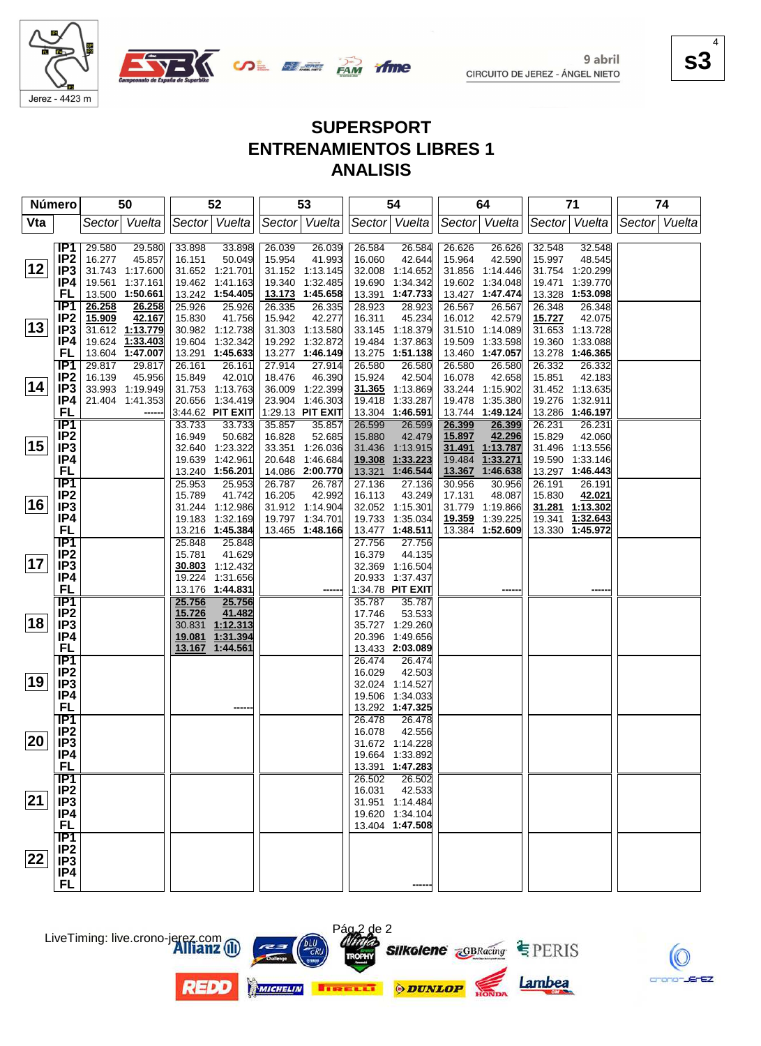

**SALE AND YING** 

**s3** 4

# **SUPERSPORT ENTRENAMIENTOS LIBRES 1 ANALISIS**

| <b>Número</b> |                        | 50                                  | 52                                   | 53                                   | 54                                   | 64                                    | 71                                       | 74            |
|---------------|------------------------|-------------------------------------|--------------------------------------|--------------------------------------|--------------------------------------|---------------------------------------|------------------------------------------|---------------|
| Vta           |                        | Vuelta<br>Sector                    | Sector Vuelta                        | Sector Vuelta                        | Sector Vuelta                        | Sector Vuelta                         | Sector Vuelta                            | Sector Vuelta |
|               | IP1                    | 29.580<br>29.580                    | 33.898<br>33.898                     | 26.039<br>26.039                     | 26.584<br>26.584                     | 26.626<br>26.626                      | 32.548<br>32.548                         |               |
| 12            | IP <sub>2</sub><br>IP3 | 16.277<br>45.857<br>31.743 1:17.600 | 50.049<br>16.151<br>31.652 1:21.701  | 15.954<br>41.993<br>31.152 1:13.145  | 42.644<br>16.060<br>32.008 1:14.652  | 15.964<br>42.590<br>31.856 1:14.446   | 15.997<br>48.545<br>31.754 1:20.299      |               |
|               | IP4                    | 19.561 1:37.161                     | 19.462 1:41.163                      | 1:32.485<br>19.340                   | 19.690<br>1:34.342                   | 19.602<br>1:34.048                    | 19.471<br>1:39.770                       |               |
|               | FL                     | 13.500 1:50.661                     | 13.242 1:54.405                      | 13.173 1:45.658                      | 13.391 1:47.733                      | 13.427 1:47.474                       | 13.328<br>1:53.098                       |               |
|               | IP <sub>1</sub>        | 26.258<br>26.258                    | 25.926<br>25.926                     | 26.335<br>26.335                     | 28.923<br>28.923                     | 26.567<br>26.567                      | 26.348<br>26.348                         |               |
| 13            | IP <sub>2</sub>        | 42.167<br>15.909                    | 15.830<br>41.756                     | 15.942<br>42.277                     | 16.311<br>45.234                     | 16.012<br>42.579                      | 15.727<br>42.075                         |               |
|               | IP3<br>IP4             | 31.612 1:13.779<br>19.624 1:33.403  | 30.982 1:12.738<br>19.604 1:32.342   | 31.303 1:13.580<br>19.292 1:32.872   | 33.145 1:18.379<br>19.484            | 31.510 1:14.089<br>1:33.598<br>19.509 | 31.653 1:13.728<br>19.360 1:33.088       |               |
|               | FL                     | 13.604 1:47.007                     | 13.291 1:45.633                      | 13.277 1:46.149                      | 1:37.863<br>13.275 1:51.138          | 13.460 1:47.057                       | 13.278<br>1:46.365                       |               |
|               | IP1                    | 29.817<br>29.817                    | 26.161<br>26.161                     | 27.914<br>27.914                     | 26.580<br>26.580                     | 26.580<br>26.580                      | 26.332<br>26.332                         |               |
|               | IP <sub>2</sub>        | 16.139<br>45.956                    | 15.849<br>42.010                     | 18.476<br>46.390                     | 15.924<br>42.504                     | 16.078<br>42.658                      | 15.851<br>42.183                         |               |
| 14            | IP3                    | 33.993 1:19.949                     | 31.753 1:13.763                      | 36.009 1:22.399                      | 1:13.869<br>31.365                   | 33.244 1:15.902                       | 31.452 1:13.635                          |               |
|               | IP4                    | 21.404 1:41.353                     | 20.656 1:34.419                      | 23.904 1:46.303                      | 1:33.287<br>19.418                   | 19.478<br>1:35.380                    | 19.276 1:32.911                          |               |
|               | FL<br><b>IP1</b>       |                                     | 3:44.62 PIT EXIT                     | 1:29.13 PIT EXIT                     | 13.304<br>1:46.591                   | 13.744 1:49.124                       | 13.286 1:46.197                          |               |
|               | IP <sub>2</sub>        |                                     | 33.733<br>33.733<br>50.682<br>16.949 | 35.857<br>35.857<br>16.828<br>52.685 | 26.599<br>26.599<br>15.880<br>42.479 | 26.399<br>26.399<br>15.897<br>42.296  | 26.231<br>26.231<br>15.829<br>42.060     |               |
| 15            | IP <sub>3</sub>        |                                     | 32.640 1:23.322                      | 33.351 1:26.036                      | 31.436<br>1:13.915                   | 31.491 1:13.787                       | 31.496 1:13.556                          |               |
|               | IP4                    |                                     | 19.639 1:42.961                      | 20.648 1:46.684                      | 19.308<br>1:33.223                   | 19.484<br>1:33.271                    | 19.590 1:33.146                          |               |
|               | FL                     |                                     | 13.240 1:56.201                      | 14.086 2:00.770                      | 13.321<br>1:46.544                   | 13.367 1:46.638                       | 13.297 1:46.443                          |               |
|               | $\overline{IP1}$       |                                     | 25.953<br>25.953                     | 26.787<br>26.787                     | 27.136<br>27.136                     | 30.956<br>30.956                      | 26.191<br>26.191                         |               |
| 16            | IP <sub>2</sub>        |                                     | 41.742<br>15.789                     | 42.992<br>16.205                     | 43.249<br>16.113                     | 17.131<br>48.087                      | 42.021<br>15.830                         |               |
|               | IP <sub>3</sub><br>IP4 |                                     | 31.244 1:12.986<br>19.183 1:32.169   | 31.912 1:14.904<br>19.797 1:34.701   | 32.052 1:15.301<br>19.733 1:35.034   | 31.779 1:19.866<br>19.359<br>1:39.225 | 31.281<br>1:13.302<br>1:32.643<br>19.341 |               |
|               | <b>FL</b>              |                                     | 13.216 1:45.384                      | 13.465 1:48.166                      | 13.477 1:48.511                      | 1:52.609<br>13.384                    | 13.330 1:45.972                          |               |
|               | IP1                    |                                     | 25.848<br>25.848                     |                                      | 27.756<br>27.756                     |                                       |                                          |               |
|               | IP <sub>2</sub>        |                                     | 41.629<br>15.781                     |                                      | 16.379<br>44.135                     |                                       |                                          |               |
| 17            | IP <sub>3</sub>        |                                     | 30.803 1:12.432                      |                                      | 32.369 1:16.504                      |                                       |                                          |               |
|               | IP4                    |                                     | 19.224 1:31.656                      |                                      | 20.933 1:37.437                      |                                       |                                          |               |
|               | FL<br>$\overline{IP1}$ |                                     | 13.176 1:44.831<br>25.756<br>25.756  |                                      | 1:34.78 PIT EXIT<br>35.787<br>35.787 |                                       |                                          |               |
|               | IP <sub>2</sub>        |                                     | 15.726<br>41.482                     |                                      | 17.746<br>53.533                     |                                       |                                          |               |
| 18            | IP <sub>3</sub>        |                                     | 30.831 1:12.313                      |                                      | 35.727 1:29.260                      |                                       |                                          |               |
|               | IP4                    |                                     | 19.081 1:31.394                      |                                      | 20.396 1:49.656                      |                                       |                                          |               |
|               | <b>FL</b>              |                                     | 1:44.561<br>13.167                   |                                      | 13.433 2:03.089                      |                                       |                                          |               |
|               | TP1<br>IP <sub>2</sub> |                                     |                                      |                                      | 26.474<br>26.474<br>16.029           |                                       |                                          |               |
| 19            | IP <sub>3</sub>        |                                     |                                      |                                      | 42.503<br>32.024 1:14.527            |                                       |                                          |               |
|               | IP4                    |                                     |                                      |                                      | 19.506<br>1:34.033                   |                                       |                                          |               |
|               | <b>FL</b>              |                                     |                                      |                                      | 13.292 1:47.325                      |                                       |                                          |               |
|               | $\overline{IP1}$       |                                     |                                      |                                      | 26.478<br>26.478                     |                                       |                                          |               |
| 20            | IP <sub>2</sub>        |                                     |                                      |                                      | 16.078<br>42.556                     |                                       |                                          |               |
|               | IP <sub>3</sub><br>IP4 |                                     |                                      |                                      | 31.672 1:14.228<br>19.664 1:33.892   |                                       |                                          |               |
|               | <b>FL</b>              |                                     |                                      |                                      | 13.391 1:47.283                      |                                       |                                          |               |
|               | IP1                    |                                     |                                      |                                      | 26.502<br>26.502                     |                                       |                                          |               |
|               | IP <sub>2</sub>        |                                     |                                      |                                      | 16.031<br>42.533                     |                                       |                                          |               |
| 21            | IP <sub>3</sub>        |                                     |                                      |                                      | 31.951 1:14.484                      |                                       |                                          |               |
|               | IP4                    |                                     |                                      |                                      | 19.620 1:34.104                      |                                       |                                          |               |
|               | <b>FL</b><br>IP1       |                                     |                                      |                                      | 13.404 1:47.508                      |                                       |                                          |               |
|               | IP <sub>2</sub>        |                                     |                                      |                                      |                                      |                                       |                                          |               |
| 22            | IP <sub>3</sub>        |                                     |                                      |                                      |                                      |                                       |                                          |               |
|               | IP4                    |                                     |                                      |                                      |                                      |                                       |                                          |               |
|               | <b>FL</b>              |                                     |                                      |                                      |                                      |                                       |                                          |               |





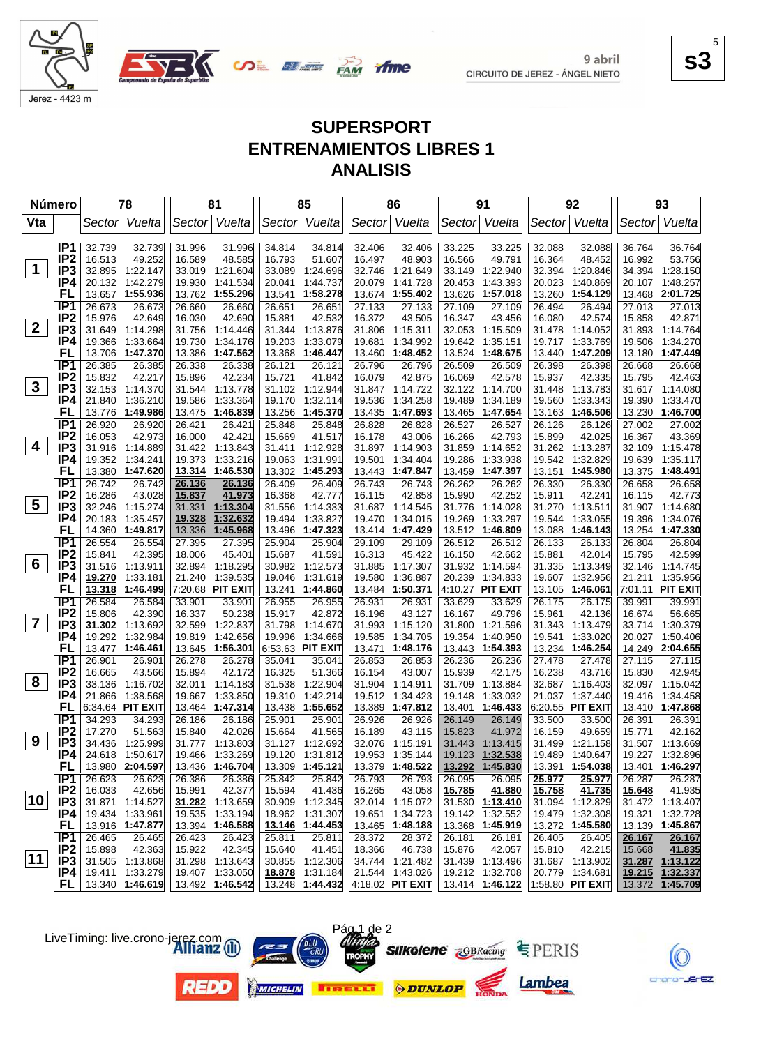

**SALE AND YING** 

**s3** 5

 $EZ$ 

# **SUPERSPORT ENTRENAMIENTOS LIBRES 1 ANALISIS**

|              | Número                             | 78                                 |          |        | 81                                 |                  | 85                                 |                  | 86                                                                             |                  | 91                                 |                  | 92                                 |                  | 93                                 |
|--------------|------------------------------------|------------------------------------|----------|--------|------------------------------------|------------------|------------------------------------|------------------|--------------------------------------------------------------------------------|------------------|------------------------------------|------------------|------------------------------------|------------------|------------------------------------|
| Vta          |                                    | Sector                             | Vuelta   | Sector | Vuelta                             |                  | Sector Vuelta                      | Sector           | Vuelta                                                                         |                  | Sector Vuelta                      | Sector           | Vuelta                             | Sector           | Vuelta                             |
|              |                                    |                                    |          |        |                                    |                  |                                    |                  |                                                                                |                  |                                    |                  |                                    |                  |                                    |
|              | IP <sub>1</sub>                    | 32.739                             | 32.739   | 31.996 | 31.996                             | 34.814           | 34.814                             | 32.406           | 32.406                                                                         | 33.225           | 33.225                             | 32.088           | 32.088                             | 36.764           | 36.764                             |
| $\mathbf 1$  | IP <sub>2</sub><br>IP <sub>3</sub> | 16.513<br>32.895 1:22.147          | 49.252   | 16.589 | 48.585<br>33.019 1:21.604          | 16.793<br>33.089 | 51.607<br>1:24.696                 | 16.497           | 48.903<br>1:21.649                                                             | 16.566<br>33.149 | 49.791<br>1:22.940                 | 16.364<br>32.394 | 48.452<br>1:20.846                 | 16.992<br>34.394 | 53.756<br>1:28.150                 |
|              | IP4                                | 20.132 1:42.279                    |          |        | 19.930 1:41.534                    | 20.041           | 1:44.737                           | 32.746<br>20.079 | 1:41.728                                                                       | 20.453           | 1:43.393                           | 20.023           | 1:40.869                           |                  | 20.107 1:48.257                    |
|              | FL                                 | 13.657                             | 1:55.936 |        | 13.762 1:55.296                    | 13.541           | 1:58.278                           | 13.674           | 1:55.402                                                                       | 13.626           | 1:57.018                           | 13.260           | 1:54.129                           | 13.468           | 2:01.725                           |
|              | IP <sub>1</sub>                    | 26.673                             | 26.673   | 26.660 | 26.660                             | 26.651           | 26.651                             | 27.133           | 27.133                                                                         | 27.109           | 27.109                             | 26.494           | 26.494                             | 27.013           | 27.013                             |
|              | IP <sub>2</sub>                    | 15.976                             | 42.649   | 16.030 | 42.690                             | 15.881           | 42.532                             | 16.372           | 43.505                                                                         | 16.347           | 43.456                             | 16.080           | 42.574                             | 15.858           | 42.871                             |
| $\mathbf{2}$ | IP <sub>3</sub>                    | 31.649                             | 1:14.298 |        | 31.756 1:14.446                    |                  | 31.344 1:13.876                    | 31.806           | 1:15.311                                                                       | 32.053           | 1:15.509                           |                  | 31.478 1:14.052                    | 31.893           | 1:14.764                           |
|              | IP4                                | 19.366                             | 1:33.664 | 19.730 | 1:34.176                           | 19.203           | 1:33.079                           | 19.681           | 1:34.992                                                                       | 19.642           | 1:35.151                           | 19.717           | 1:33.769                           | 19.506           | 1:34.270                           |
|              | <b>FL</b>                          | 13.706                             | 1:47.370 |        | 13.386 1:47.562                    | 13.368           | 1:46.447                           | 13.460           | 1:48.452                                                                       | 13.524           | 1:48.675                           | 13.440           | 1:47.209                           | 13.180           | 1:47.449                           |
|              | IP1                                | 26.385                             | 26.385   | 26.338 | 26.338                             | 26.121           | 26.121                             | 26.796           | 26.796                                                                         | 26.509           | 26.509                             | 26.398           | 26.398                             | 26.668           | 26.668                             |
|              | IP <sub>2</sub>                    | 15.832                             | 42.217   | 15.896 | 42.234                             | 15.721           | 41.842                             | 16.079           | 42.875                                                                         | 16.069           | 42.578                             | 15.937           | 42.335                             | 15.795           | 42.463                             |
| 3            | IP <sub>3</sub>                    | 32.153 1:14.370                    |          |        | 31.544 1:13.778                    |                  | 31.102 1:12.944                    | 31.847           | 1:14.722                                                                       |                  | 32.122 1:14.700                    | 31.448           | 1:13.783                           |                  | 31.617 1:14.080                    |
|              | IP4                                | 21.840                             | 1:36.210 | 19.586 | 1:33.364                           | 19.170           | 1:32.114                           | 19.536           | 1:34.258                                                                       | 19.489           | 1:34.189                           | 19.560           | 1:33.343                           | 19.390           | 1:33.470                           |
|              | FL                                 | 13.776                             | 1:49.986 |        | 13.475 1:46.839                    | 13.256           | 1:45.370                           | 13.435           | 1:47.693                                                                       | 13.465           | 1:47.654                           | 13.163           | 1:46.506                           | 13.230           | 1:46.700                           |
|              | IP1                                | 26.920                             | 26.920   | 26.421 | 26.421                             | 25.848           | 25.848                             | 26.828           | 26.828                                                                         | 26.527           | 26.527                             | 26.126           | 26.126                             | 27.002           | 27.002                             |
| 4            | IP <sub>2</sub>                    | 16.053                             | 42.973   | 16.000 | 42.421                             | 15.669           | 41.517                             | 16.178           | 43.006                                                                         | 16.266           | 42.793                             | 15.899           | 42.025                             | 16.367           | 43.369                             |
|              | IP3                                | 31.916 1:14.889                    |          |        | 31.422 1:13.843                    | 31.411           | 1:12.928                           | 31.897           | 1:14.903                                                                       | 31.859           | 1:14.652                           |                  | 31.262 1:13.287                    | 32.109           | 1:15.478                           |
|              | IP4<br>FL                          | 19.352<br>13.380 1:47.620          | 1:34.241 | 19.373 | 1:33.216<br>13.314 1:46.530        | 19.063           | 1:31.991<br>13.302 1:45.293        | 19.501<br>13.443 | 1:34.404<br>1:47.847                                                           | 19.286<br>13.459 | 1:33.938<br>1:47.397               | 19.542<br>13.151 | 1:32.829<br>1:45.980               | 19.639<br>13.375 | 1:35.117<br>1:48.491               |
|              | IP <sub>1</sub>                    | 26.742                             | 26.742   | 26.136 | 26.136                             | 26.409           |                                    | 26.743           |                                                                                | 26.262           |                                    |                  |                                    | 26.658           | 26.658                             |
|              | IP <sub>2</sub>                    | 16.286                             | 43.028   | 15.837 | 41.973                             | 16.368           | 26.409<br>42.777                   | 16.115           | 26.743<br>42.858                                                               | 15.990           | 26.262<br>42.252                   | 26.330<br>15.911 | 26.330<br>42.241                   | 16.115           | 42.773                             |
| 5            | IP3                                | 32.246                             | 1:15.274 | 31.331 | 1:13.304                           | 31.556           | 1:14.333                           | 31.687           | 1:14.545                                                                       | 31.776           | 1:14.028                           |                  | 31.270 1:13.511                    |                  | 31.907 1:14.680                    |
|              | IP4                                | 20.183                             | 1:35.457 | 19.328 | 1:32.632                           | 19.494           | 1:33.827                           | 19.470           | 1:34.015                                                                       | 19.269           | 1:33.297                           | 19.544           | 1:33.055                           | 19.396           | 1:34.076                           |
|              | FL                                 | 14.360 1:49.817                    |          | 13.336 | 1:45.968                           |                  | 13.496 1:47.323                    | 13.414           | 1:47.429                                                                       |                  | 13.512 1:46.809                    | 13.088           | 1:46.143                           |                  | 13.254 1:47.330                    |
|              | IP1                                | 26.554                             | 26.554   | 27.395 | 27.395                             | 25.904           | 25.904                             | 29.109           | 29.109                                                                         | 26.512           | 26.512                             | 26.133           | 26.133                             | 26.804           | 26.804                             |
|              | IP <sub>2</sub>                    | 15.841                             | 42.395   | 18.006 | 45.401                             | 15.687           | 41.591                             | 16.313           | 45.422                                                                         | 16.150           | 42.662                             | 15.881           | 42.014                             | 15.795           | 42.599                             |
| 6            | IP <sub>3</sub>                    | 31.516                             | 1:13.911 |        | 32.894 1:18.295                    |                  | 30.982 1:12.573                    | 31.885           | 1:17.307                                                                       | 31.932           | 1:14.594                           | 31.335           | 1:13.349                           |                  | 32.146 1:14.745                    |
|              | IP4                                | 19.270                             | 1:33.181 |        | 21.240 1:39.535                    | 19.046           | 1:31.619                           | 19.580           | 1:36.887                                                                       | 20.239           | 1:34.833                           | 19.607           | 1:32.956                           |                  | 21.211 1:35.956                    |
|              | FL                                 | 13.318                             | 1:46.499 |        | 7:20.68 PIT EXIT                   | 13.241           | 1:44.860                           | 13.484           | 1:50.371                                                                       |                  | 4:10.27 PIT EXIT                   | 13.105           | 1:46.061                           |                  | 7:01.11 PIT EXIT                   |
|              | IP1                                | 26.584                             | 26.584   | 33.901 | 33.901                             | 26.955           | 26.955                             | 26.931           | 26.931                                                                         | 33.629           | 33.629                             | 26.175           | 26.175                             | 39.991           | 39.991                             |
| 7            | IP <sub>2</sub>                    | 15.806                             | 42.390   | 16.337 | 50.238                             | 15.917           | 42.872                             | 16.196           | 43.127                                                                         | 16.167           | 49.796                             | 15.961           | 42.136                             | 16.674           | 56.665                             |
|              | IP <sub>3</sub><br>IP4             | 31.302                             | 1:13.692 | 32.599 | 1:22.837                           | 31.798           | 1:14.670                           | 31.993           | 1:15.120                                                                       | 31.800           | 1:21.596                           | 31.343           | 1:13.479                           |                  | 33.714 1:30.379                    |
|              | FL                                 | 19.292<br>13.477 1:46.461          | 1:32.984 |        | 19.819 1:42.656<br>13.645 1:56.301 | 19.996           | 1:34.666<br>6:53.63 PIT EXIT       | 19.585<br>13.471 | 1:34.705<br>1:48.176                                                           | 19.354<br>13.443 | 1:40.950<br>1:54.393               | 19.541<br>13.234 | 1:33.020<br>1:46.254               | 20.027           | 1:50.406<br>14.249 2:04.655        |
|              | IP1                                | 26.901                             | 26.901   | 26.278 | 26.278                             | 35.041           | 35.041                             | 26.853           | 26.853                                                                         | 26.236           | 26.236                             | 27.478           | 27.478                             | 27.115           | 27.115                             |
|              | IP <sub>2</sub>                    | 16.665                             | 43.566   | 15.894 | 42.172                             | 16.325           | 51.366                             | 16.154           | 43.007                                                                         | 15.939           | 42.175                             | 16.238           | 43.716                             | 15.830           | 42.945                             |
| 8            | IP <sub>3</sub>                    | 33.136                             | 1:16.702 | 32.011 | 1:14.183                           | 31.538           | 1:22.904                           | 31.904           | 1:14.911                                                                       | 31.709           | 1:13.884                           |                  | 32.687 1:16.403                    |                  | 32.097 1:15.042                    |
|              | IP4                                | 21.866                             | 1:38.568 |        | 19.667 1:33.850                    | 19.310           | 1:42.214                           | 19.512           | 1:34.423                                                                       | 19.148           | 1:33.032                           |                  | 21.037 1:37.440                    | 19.416           | 1:34.458                           |
|              | FL                                 | 6:34.64 PIT EXIT                   |          |        | 13.464 1:47.314                    |                  | 13.438 1:55.652                    | 13.389           | 1:47.812                                                                       | 13.401           | 1:46.433                           |                  | 6:20.55 PIT EXIT                   |                  | 13.410 1:47.868                    |
|              | IP <sub>1</sub>                    | 34.293                             | 34.293   | 26.186 | 26.186                             | 25.901           | 25.901                             | 26.926           | 26.926                                                                         | 26.149           | 26.149                             | 33.500           | 33.500                             | 26.391           | 26.391                             |
|              | IP <sub>2</sub>                    | 17.270                             | 51.563   | 15.840 | 42.026                             | 15.664           | 41.565                             | 16.189           | 43.115                                                                         | 15.823           | 41.972                             | 16.159           | 49.659                             | 15.771           | 42.162                             |
| 9            | IP <sub>3</sub>                    | 34.436                             | 1:25.999 |        | 31.777 1:13.803                    |                  | 31.127 1:12.692                    |                  | 32.076 1:15.191                                                                |                  | 31.443 1:13.415                    |                  | 31.499 1:21.158                    |                  | 31.507 1:13.669                    |
|              | IP4                                | 24.618 1:50.617                    |          |        | 19.466 1:33.269 19.120 1:31.812    |                  |                                    |                  | 19.953 1:35.144                                                                |                  | 19.123 1:32.538                    |                  | 19.489 1:40.647                    |                  | 19.227 1:32.896                    |
|              | <b>FL</b>                          | 13.980 2:04.597                    |          |        | 13.436 1:46.704                    |                  | 13.309 1:45.121                    |                  | 13.379 1:48.522                                                                |                  | 13.292 1:45.830                    |                  | 13.391 1:54.038                    |                  | 13.401 1:46.297                    |
|              | IP1                                | 26.623                             | 26.623   | 26.386 | 26.386                             | 25.842           | 25.842                             | 26.793           | 26.793                                                                         | 26.095           | 26.095                             | 25.977           | 25.977                             | 26.287           | 26.287                             |
| 10           | IP <sub>2</sub>                    | 16.033                             | 42.656   | 15.991 | 42.377                             | 15.594           | 41.436                             | 16.265           | 43.058                                                                         | 15.785           | 41.880                             | 15.758           | 41.735                             | 15.648           | 41.935                             |
|              | IP <sub>3</sub>                    | 31.871 1:14.527<br>19.434 1:33.961 |          |        | 31.282 1:13.659                    |                  | 30.909 1:12.345                    |                  | 32.014 1:15.072                                                                |                  | 31.530 1:13.410<br>19.142 1:32.552 |                  | 31.094 1:12.829                    |                  | 31.472 1:13.407                    |
|              | IP4<br>FL,                         | 13.916 1:47.877                    |          |        | 19.535 1:33.194<br>13.394 1:46.588 |                  | 18.962 1:31.307<br>13.146 1:44.453 |                  | 19.651 1:34.723<br>13.465 1:48.188                                             |                  | 13.368 1:45.919                    |                  | 19.479 1:32.308<br>13.272 1:45.580 |                  | 19.321 1:32.728<br>13.139 1:45.867 |
|              | IP1                                | 26.465                             | 26.465   | 26.423 | 26.423                             | 25.811           | 25.811                             | 28.372           | 28.372                                                                         | 26.181           | 26.181                             | 26.405           | 26.405                             | 26.167           | 26.167                             |
|              | IP <sub>2</sub>                    | 15.898                             | 42.363   | 15.922 | 42.345                             | 15.640           | 41.451                             | 18.366           | 46.738                                                                         | 15.876           | 42.057                             | 15.810           | 42.215                             | 15.668           | 41.835                             |
| 11           | IP3                                | 31.505 1:13.868                    |          |        | 31.298 1:13.643                    |                  | 30.855 1:12.306                    |                  | 34.744 1:21.482                                                                |                  | 31.439 1:13.496                    |                  | 31.687 1:13.902                    |                  | 31.287 1:13.122                    |
|              | IP4                                | 19.411 1:33.279                    |          |        | 19.407 1:33.050                    |                  | 18.878 1:31.184                    |                  | 21.544 1:43.026   19.212 1:32.708                                              |                  |                                    |                  | 20.779 1:34.681                    |                  | 19.215 1:32.337                    |
|              | FL.                                | 13.340 1:46.619                    |          |        | 13.492 1:46.542                    |                  |                                    |                  | $\overline{13.248}$ 1:44.432 4:18.02 PIT EXIT 13.414 1:46.122 1:58.80 PIT EXIT |                  |                                    |                  |                                    |                  | 13.372 1:45.709                    |

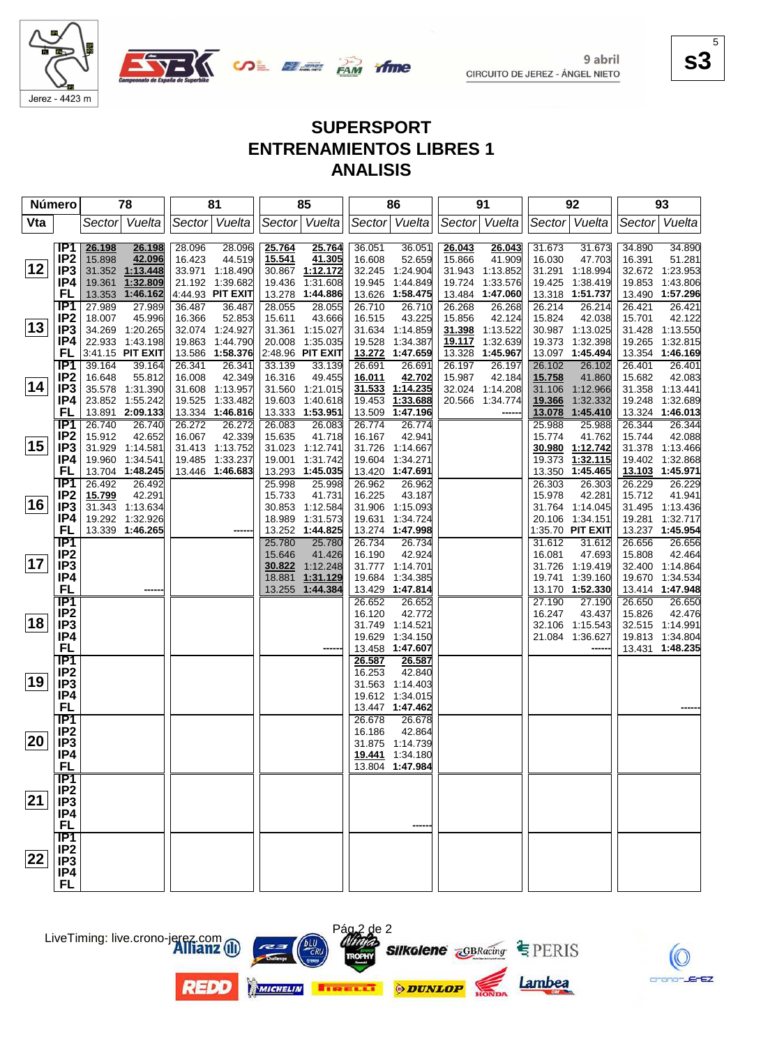

Jerez - 4423 m

9 abril CIRCUITO DE JEREZ - ÁNGEL NIETO **s3** 5

## **SUPERSPORT ENTRENAMIENTOS LIBRES 1 ANALISIS**

ifme

| <b>Número</b> |                                    | 78                                   | 81                                   | 85                                       | 86                                       | 91                                    | 92                                   | 93                                   |
|---------------|------------------------------------|--------------------------------------|--------------------------------------|------------------------------------------|------------------------------------------|---------------------------------------|--------------------------------------|--------------------------------------|
| Vta           |                                    | Vuelta<br>Sector                     | Sector Vuelta                        | Sector Vuelta                            | Vuelta<br>Sector                         | Sector Vuelta                         | Sector Vuelta                        | Vuelta<br>Sector                     |
|               | IP <sub>1</sub>                    | 26.198<br>26.198                     | 28.096<br>28.096                     | 25.764<br>25.764                         | 36.051<br>36.051                         | 26.043<br>26.043                      | 31.673<br>31.673                     | 34.890<br>34.890                     |
| 12            | IP <sub>2</sub><br>IP <sub>3</sub> | 42.096<br>15.898<br>31.352 1:13.448  | 44.519<br>16.423                     | 41.305<br>15.541                         | 16.608<br>52.659<br>32.245               | 15.866<br>41.909                      | 16.030<br>47.703<br>31.291 1:18.994  | 51.281<br>16.391<br>32.672 1:23.953  |
|               | IP4                                | 19.361<br>1:32.809                   | 33.971 1:18.490<br>21.192 1:39.682   | 1:12.172<br>30.867<br>19.436<br>1:31.608 | 1:24.904<br>19.945<br>1:44.849           | 31.943 1:13.852<br>19.724<br>1:33.576 | 1:38.419<br>19.425                   | 1:43.806<br>19.853                   |
|               | FL                                 | 13.353 1:46.162                      | 4:44.93 PIT EXIT                     | 13.278<br>1:44.886                       | 13.626<br>1:58.475                       | 13.484 1:47.060                       | 13.318 1:51.737                      | 13.490 1:57.296                      |
|               | IP <sub>1</sub>                    | 27.989<br>27.989                     | 36.487<br>36.487                     | 28.055<br>28.055                         | 26.710<br>26.710                         | 26.268<br>26.268                      | 26.214<br>26.214                     | 26.421<br>26.421                     |
|               | IP <sub>2</sub>                    | 18.007<br>45.996                     | 16.366<br>52.853                     | 15.611<br>43.666                         | 16.515<br>43.225                         | 15.856<br>42.124                      | 15.824<br>42.038                     | 42.122<br>15.701                     |
| 13            | IP <sub>3</sub>                    | 34.269 1:20.265                      | 32.074 1:24.927                      | 31.361 1:15.027                          | 31.634 1:14.859                          | 31.398<br>1:13.522                    | 30.987 1:13.025                      | 31.428 1:13.550                      |
|               | IP4                                | 22.933 1:43.198                      | 1:44.790<br>19.863                   | 20.008 1:35.035                          | 19.528<br>1:34.387                       | 1:32.639<br>19.117                    | 19.373 1:32.398                      | 1:32.815<br>19.265                   |
|               | FL<br>TP1                          | 3:41.15 PIT EXIT<br>39.164           | 13.586 1:58.376                      | 2:48.96 PIT EXIT                         | 13.272<br>1:47.659                       | 13.328<br>1:45.967                    | 13.097 1:45.494                      | 13.354 1:46.169                      |
|               | IP <sub>2</sub>                    | 39.164<br>16.648<br>55.812           | 26.341<br>26.341<br>42.349<br>16.008 | 33.139<br>33.139<br>16.316<br>49.455     | 26.691<br>26.691<br>16.011<br>42.702     | 26.197<br>26.197<br>15.987<br>42.184  | 26.102<br>26.102<br>15.758<br>41.860 | 26.401<br>26.401<br>42.083<br>15.682 |
| 14            | IP3                                | 35.578 1:31.390                      | 31.608 1:13.957                      | 31.560 1:21.015                          | 31.533<br>1:14.235                       | 32.024 1:14.208                       | 31.106<br>1:12.966                   | 31.358 1:13.441                      |
|               | IP4                                | 23.852 1:55.242                      | 19.525<br>1:33.482                   | 19.603<br>1:40.618                       | 19.453<br>1:33.688                       | 20.566 1:34.774                       | 19.366<br>1:32.332                   | 19.248 1:32.689                      |
|               | FL                                 | 13.891 2:09.133                      | 13.334 1:46.816                      | 13.333 1:53.951                          | 13.509<br>1:47.196                       |                                       | 13.078<br>1:45.410                   | 13.324 1:46.013                      |
|               | IP1                                | 26.740<br>26.740                     | 26.272<br>26.272                     | 26.083<br>26.083                         | 26.774<br>26.774                         |                                       | 25.988<br>25.988                     | 26.344<br>26.344                     |
|               | IP <sub>2</sub>                    | 15.912<br>42.652                     | 16.067<br>42.339                     | 15.635<br>41.718                         | 16.167<br>42.941                         |                                       | 15.774<br>41.762                     | 15.744<br>42.088                     |
| 15            | IP3                                | 31.929 1:14.581                      | 31.413 1:13.752                      | 31.023 1:12.741                          | 31.726<br>1:14.667                       |                                       | 30.980<br>1:12.742                   | 31.378 1:13.466                      |
|               | IP4                                | 19.960 1:34.541                      | 1:33.237<br>19.485                   | 1:31.742<br>19.001                       | 19.604<br>1:34.271                       |                                       | 1:32.115<br>19.373                   | 19.402 1:32.868                      |
|               | FL<br>IP <sub>1</sub>              | 13.704 1:48.245                      | 13.446 1:46.683                      | 13.293 1:45.035                          | 13.420 1:47.691                          |                                       | 13.350 1:45.465                      | 13.103 1:45.971                      |
|               | IP <sub>2</sub>                    | 26.492<br>26.492<br>15.799<br>42.291 |                                      | 25.998<br>25.998<br>15.733<br>41.731     | 26.962<br>26.962<br>16.225<br>43.187     |                                       | 26.303<br>26.303<br>15.978<br>42.281 | 26.229<br>26.229<br>15.712<br>41.941 |
| 16            | IP <sub>3</sub>                    | 31.343 1:13.634                      |                                      | 30.853 1:12.584                          | 31.906<br>1:15.093                       |                                       | 31.764 1:14.045                      | 31.495 1:13.436                      |
|               | IP4                                | 19.292 1:32.926                      |                                      | 1:31.573<br>18.989                       | 19.631<br>1:34.724                       |                                       | 20.106 1:34.151                      | 19.281 1:32.717                      |
|               | FL                                 | 13.339 1:46.265                      |                                      | 13.252 1:44.825                          | 13.274 1:47.998                          |                                       | 1:35.70 PIT EXIT                     | 13.237 1:45.954                      |
|               | IP1                                |                                      |                                      | 25.780<br>25.780                         | 26.734<br>26.734                         |                                       | 31.612<br>31.612                     | 26.656<br>26.656                     |
|               | IP <sub>2</sub>                    |                                      |                                      | 15.646<br>41.426                         | 16.190<br>42.924                         |                                       | 16.081<br>47.693                     | 15.808<br>42.464                     |
| 17            | IP <sub>3</sub>                    |                                      |                                      | 30.822<br>1:12.248                       | 31.777<br>1:14.701                       |                                       | 31.726 1:19.419                      | 32.400 1:14.864                      |
|               | IP4                                |                                      |                                      | 1:31.129<br>18.881<br>1:44.384<br>13.255 | 19.684<br>1:34.385                       |                                       | 19.741 1:39.160                      | 19.670 1:34.534<br>13.414 1:47.948   |
|               | FL<br>$\overline{IP1}$             | ----                                 |                                      |                                          | 13.429<br>1:47.814<br>26.652<br>26.652   |                                       | 13.170 1:52.330<br>27.190<br>27.190  | 26.650<br>26.650                     |
|               | IP <sub>2</sub>                    |                                      |                                      |                                          | 16.120<br>42.772                         |                                       | 16.247<br>43.437                     | 15.826<br>42.476                     |
| 18            | IP <sub>3</sub>                    |                                      |                                      |                                          | 1:14.521<br>31.749                       |                                       | 32.106 1:15.543                      | 32.515 1:14.991                      |
|               | IP4                                |                                      |                                      |                                          | 19.629<br>1:34.150                       |                                       | 21.084<br>1:36.627                   | 19.813<br>1:34.804                   |
|               | FL                                 |                                      |                                      |                                          | 13.458<br>1:47.607                       |                                       |                                      | 13.431 1:48.235                      |
|               | TP1                                |                                      |                                      |                                          | 26.587<br>26.587                         |                                       |                                      |                                      |
| 19            | IP <sub>2</sub>                    |                                      |                                      |                                          | 16.253<br>42.840                         |                                       |                                      |                                      |
|               | IP <sub>3</sub><br>IP4             |                                      |                                      |                                          | 31.563<br>1:14.403<br>19.612<br>1:34.015 |                                       |                                      |                                      |
|               | <b>FL</b>                          |                                      |                                      |                                          | 13.447 1:47.462                          |                                       |                                      |                                      |
|               | $\overline{IP1}$                   |                                      |                                      |                                          | 26.678<br>26.678                         |                                       |                                      |                                      |
|               | IP <sub>2</sub>                    |                                      |                                      |                                          | 16.186<br>42.864                         |                                       |                                      |                                      |
| 20            | IP <sub>3</sub>                    |                                      |                                      |                                          | 31.875 1:14.739                          |                                       |                                      |                                      |
|               | IP4                                |                                      |                                      |                                          | 19.441 1:34.180                          |                                       |                                      |                                      |
|               | <b>FL</b>                          |                                      |                                      |                                          | 13.804 1:47.984                          |                                       |                                      |                                      |
|               | IP1                                |                                      |                                      |                                          |                                          |                                       |                                      |                                      |
| 21            | IP <sub>2</sub><br>IP <sub>3</sub> |                                      |                                      |                                          |                                          |                                       |                                      |                                      |
|               | IP4                                |                                      |                                      |                                          |                                          |                                       |                                      |                                      |
|               | <b>FL</b>                          |                                      |                                      |                                          |                                          |                                       |                                      |                                      |
|               |                                    |                                      |                                      |                                          |                                          |                                       |                                      |                                      |
|               | $\frac{IP1}{IP2}$                  |                                      |                                      |                                          |                                          |                                       |                                      |                                      |
| 22            | IP <sub>3</sub>                    |                                      |                                      |                                          |                                          |                                       |                                      |                                      |
|               | IP4                                |                                      |                                      |                                          |                                          |                                       |                                      |                                      |
|               | <b>FL</b>                          |                                      |                                      |                                          |                                          |                                       |                                      |                                      |



**REDO** 





Pág 2 de 2



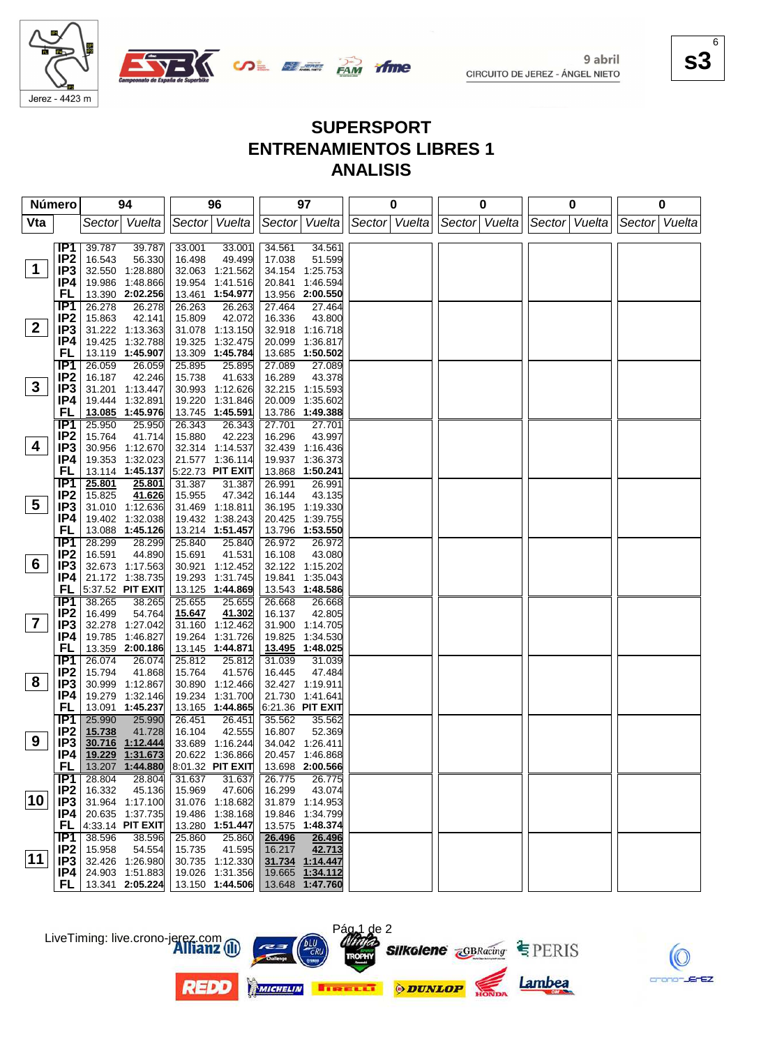

**SALE AND YING** 

#### **s3** 6

#### **SUPERSPORT ENTRENAMIENTOS LIBRES 1 ANALISIS**

| <b>Número</b>   |                        | 94                                     | 96                                   | 97                                  | 0               | 0             | 0             | 0                 |
|-----------------|------------------------|----------------------------------------|--------------------------------------|-------------------------------------|-----------------|---------------|---------------|-------------------|
| Vta             |                        | Sector Vuelta                          | Sector Vuelta                        | Sector Vuelta                       | Sector   Vuelta | Sector Vuelta | Sector Vuelta | Vuelta<br>Sectorl |
|                 |                        |                                        |                                      |                                     |                 |               |               |                   |
|                 | IP1 I                  | 39.787<br>39.787                       | 33.001<br>33.001                     | 34.561<br>34.561                    |                 |               |               |                   |
| $\mathbf{1}$    | IP <sub>2</sub><br>IP3 | 16.543<br>56.330<br>32.550 1:28.880    | 16.498<br>49.499<br>32.063 1:21.562  | 17.038<br>51.599<br>34.154 1:25.753 |                 |               |               |                   |
|                 | IP4                    | 19.986 1:48.866                        | 19.954 1:41.516                      | 20.841<br>1:46.594                  |                 |               |               |                   |
|                 | FL                     | 13.390 2:02.256                        | 13.461 1:54.977                      | 13.956 2:00.550                     |                 |               |               |                   |
|                 | IP1                    | 26.278<br>26.278                       | 26.263<br>26.263                     | 27.464<br>27.464                    |                 |               |               |                   |
|                 | IP <sub>2</sub>        | 15.863<br>42.141                       | 15.809<br>42.072                     | 16.336<br>43.800                    |                 |               |               |                   |
| $\overline{2}$  | IP3                    | 31.222 1:13.363                        | 31.078 1:13.150                      | 32.918 1:16.718                     |                 |               |               |                   |
|                 | IP4                    | 19.425 1:32.788                        | 19.325 1:32.475                      | 20.099 1:36.817                     |                 |               |               |                   |
|                 | FL                     | 13.119 1:45.907                        | 13.309 1:45.784                      | 13.685 1:50.502                     |                 |               |               |                   |
|                 | IP1                    | 26.059<br>26.059                       | 25.895<br>25.895                     | 27.089<br>27.089                    |                 |               |               |                   |
|                 | IP <sub>2</sub>        | 16.187<br>42.246                       | 15.738<br>41.633                     | 16.289<br>43.378                    |                 |               |               |                   |
| $3\phantom{a}$  | IP3                    | 31.201 1:13.447                        | 30.993 1:12.626                      | 32.215 1:15.593                     |                 |               |               |                   |
|                 | IP4                    | 19.444 1:32.891                        | 19.220 1:31.846                      | 20.009 1:35.602                     |                 |               |               |                   |
|                 | FL                     | 13.085 1:45.976                        | 13.745 1:45.591                      | 13.786 1:49.388                     |                 |               |               |                   |
|                 | IP <sub>1</sub>        | 25.950<br>25.950                       | 26.343<br>26.343                     | 27.701<br>27.701                    |                 |               |               |                   |
| 4               | IP <sub>2</sub>        | 15.764<br>41.714                       | 15.880<br>42.223                     | 16.296<br>43.997                    |                 |               |               |                   |
|                 | IP3<br>IP4             | 30.956 1:12.670<br>19.353 1:32.023     | 32.314 1:14.537<br>21.577 1:36.114   | 32.439 1:16.436<br>19.937 1:36.373  |                 |               |               |                   |
|                 | FL                     | 13.114 1:45.137                        | 5:22.73 PIT EXIT                     | 13.868 1:50.241                     |                 |               |               |                   |
|                 | IP1                    | 25.801<br>25.801                       | 31.387<br>31.387                     | 26.991<br>26.991                    |                 |               |               |                   |
|                 | IP <sub>2</sub>        | 41.626<br>15.825                       | 47.342<br>15.955                     | 16.144<br>43.135                    |                 |               |               |                   |
| $5\overline{)}$ | IP3                    | 31.010 1:12.636                        | 31.469 1:18.811                      | 36.195 1:19.330                     |                 |               |               |                   |
|                 | IP4                    | 19.402 1:32.038                        | 19.432 1:38.243                      | 20.425 1:39.755                     |                 |               |               |                   |
|                 | FL                     | 13.088 1:45.126                        | 13.214 1:51.457                      | 13.796 1:53.550                     |                 |               |               |                   |
|                 | IP1                    | 28.299<br>28.299                       | 25.840<br>25.840                     | 26.972<br>26.972                    |                 |               |               |                   |
|                 | IP <sub>2</sub>        | 16.591<br>44.890                       | 15.691<br>41.531                     | 16.108<br>43.080                    |                 |               |               |                   |
| 6               | IP <sub>3</sub>        | 32.673 1:17.563                        | 30.921 1:12.452                      | 32.122 1:15.202                     |                 |               |               |                   |
|                 | P4                     | 21.172 1:38.735                        | 19.293 1:31.745                      | 19.841 1:35.043                     |                 |               |               |                   |
|                 | FL.                    | $5:37.52$ PIT EXIT                     | 13.125 1:44.869                      | 13.543 1:48.586                     |                 |               |               |                   |
|                 | IP1                    | 38.265<br>38.265<br>16.499             | 25.655<br>25.655<br>41.302           | 26.668<br>26.668<br>42.805          |                 |               |               |                   |
| $\overline{7}$  | IP <sub>2</sub><br>IP3 | 54.764<br>32.278 1:27.042              | 15.647<br>31.160 1:12.462            | 16.137<br>31.900 1:14.705           |                 |               |               |                   |
|                 | IP4                    | 19.785 1:46.827                        | 19.264 1:31.726                      | 19.825 1:34.530                     |                 |               |               |                   |
|                 | FL                     | 13.359 2:00.186                        | 13.145 1:44.871                      | 13.495 1:48.025                     |                 |               |               |                   |
|                 | IP1                    | 26.074<br>26.074                       | 25.812<br>25.812                     | 31.039<br>31.039                    |                 |               |               |                   |
|                 | IP <sub>2</sub>        | 15.794<br>41.868                       | 15.764<br>41.576                     | 16.445<br>47.484                    |                 |               |               |                   |
| 8               | IP3                    | 30.999 1:12.867                        | 30.890 1:12.466                      | 32.427 1:19.911                     |                 |               |               |                   |
|                 | IP4                    | 19.279 1:32.146                        | 19.234 1:31.700                      | 21.730 1:41.641                     |                 |               |               |                   |
|                 | FL                     | 13.091 1:45.237                        | 13.165 1:44.865                      | 6:21.36 PIT EXIT                    |                 |               |               |                   |
|                 | <b>IP1</b>             | 25.990<br>25.990                       | 26.451<br>26.451                     | 35.562<br>35.562                    |                 |               |               |                   |
|                 | IP <sub>2</sub>        | 15.738<br>41.728                       | 16.104<br>42.555                     | 16.807<br>52.369                    |                 |               |               |                   |
| 9               | IP3                    | 30.716 1:12.444                        | 33.689 1:16.244                      | 34.042 1:26.411                     |                 |               |               |                   |
|                 |                        | IP4 19.229 1:31.673<br>13.207 1:44.880 | 20.622 1:36.866                      | 20.457 1:46.868                     |                 |               |               |                   |
|                 | FL.<br>IP <sub>1</sub> | 28.804<br>28.804                       | 8:01.32 PIT EXIT<br>31.637<br>31.637 | 13.698 2:00.566<br>26.775<br>26.775 |                 |               |               |                   |
|                 | IP <sub>2</sub>        | 16.332<br>45.136                       | 15.969<br>47.606                     | 43.074<br>16.299                    |                 |               |               |                   |
| 10              | IP3                    | 31.964 1:17.100                        | 31.076 1:18.682                      | 31.879 1:14.953                     |                 |               |               |                   |
|                 | P4                     | 20.635 1:37.735                        | 19.486 1:38.168                      | 19.846 1:34.799                     |                 |               |               |                   |
|                 |                        | <b>FL</b> $ 4:33.14$ PIT EXIT          | 13.280 1:51.447                      | 13.575 1:48.374                     |                 |               |               |                   |
|                 | IP1                    | 38.596<br>38.596                       | 25.860<br>25.860                     | 26.496<br>26.496                    |                 |               |               |                   |
|                 | IP <sub>2</sub>        | 15.958<br>54.554                       | 15.735<br>41.595                     | 42.713<br>16.217                    |                 |               |               |                   |
| $ 11\rangle$    | IP3                    | 32.426 1:26.980                        | 30.735 1:12.330                      | 31.734 1:14.447                     |                 |               |               |                   |
|                 |                        | $IP4$ 24.903 1:51.883                  | 19.026 1:31.356                      | 19.665 1:34.112                     |                 |               |               |                   |
|                 |                        | FL   13.341 2:05.224                   | 13.150 1:44.506                      | 13.648 1:47.760                     |                 |               |               |                   |







Pág 1 de 2





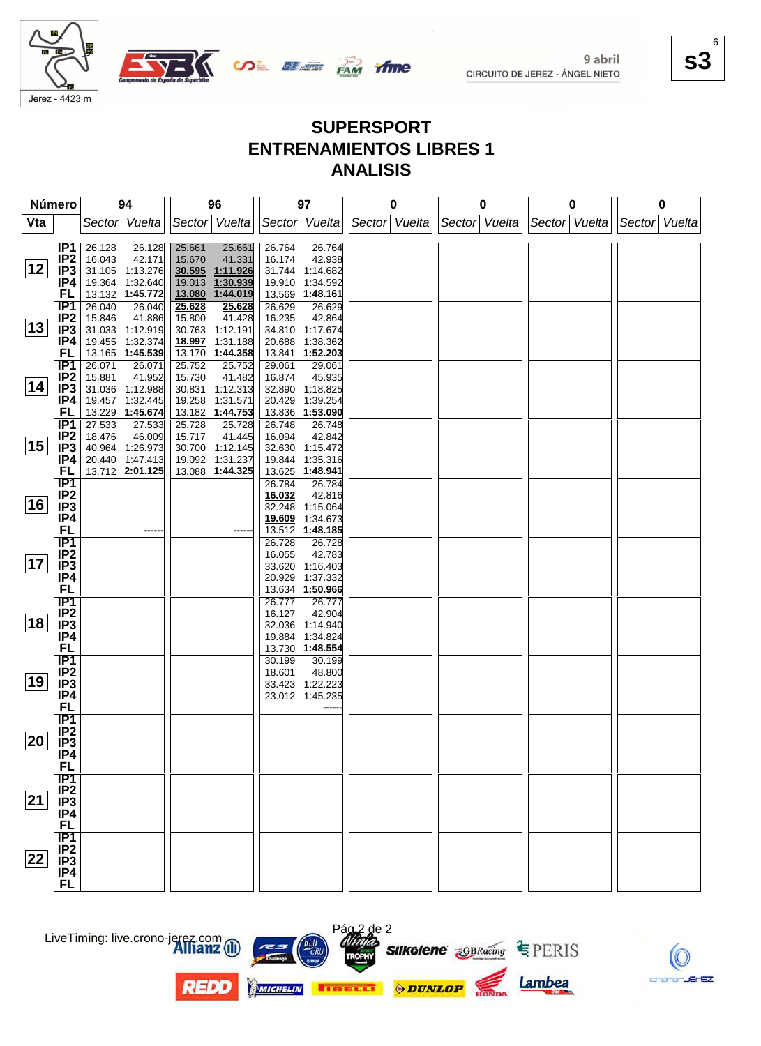

OR BE PAM

**s3** 6

#### **SUPERSPORT ENTRENAMIENTOS LIBRES 1 ANALISIS**

*if me* 

| Número |                                     | 94                                   | 96                                   | 97                                       | 0             | 0             | $\bf{0}$      | 0             |
|--------|-------------------------------------|--------------------------------------|--------------------------------------|------------------------------------------|---------------|---------------|---------------|---------------|
| Vta    |                                     | Sector Vuelta                        | Sector Vuelta                        | Sector Vuelta                            | Sector Vuelta | Sector Vuelta | Sector Vuelta | Sector Vuelta |
|        |                                     |                                      |                                      |                                          |               |               |               |               |
|        | IP1<br>IP <sub>2</sub>              | 26.128<br>26.128<br>16.043<br>42.171 | 25.661<br>25.661<br>15.670<br>41.331 | 26.764<br>26.764<br>16.174<br>42.938     |               |               |               |               |
| 12     | IP3                                 | 31.105 1:13.276                      | 30.595 1:11.926                      | 31.744 1:14.682                          |               |               |               |               |
|        | IP4                                 | 19.364 1:32.640                      | 19.013<br>1:30.939                   | 19.910 1:34.592                          |               |               |               |               |
|        | FL                                  | 13.132 1:45.772                      | 13.080 1:44.019                      | 13.569 1:48.161                          |               |               |               |               |
|        | IP1                                 | 26.040<br>26.040                     | 25.628<br>25.628                     | 26.629<br>26.629                         |               |               |               |               |
| 13     | IP <sub>2</sub><br>IP3              | 15.846<br>41.886<br>31.033 1:12.919  | 41.428<br>15.800<br>30.763 1:12.191  | 16.235<br>42.864<br>34.810 1:17.674      |               |               |               |               |
|        | IP4                                 | 19.455 1:32.374                      | 18.997 1:31.188                      | 20.688<br>1:38.362                       |               |               |               |               |
|        | FL                                  | 13.165 1:45.539                      | 13.170 1:44.358                      | 13.841 1:52.203                          |               |               |               |               |
|        | $\overline{IP1}$                    | 26.071<br>26.071                     | 25.752<br>25.752                     | 29.061<br>29.061                         |               |               |               |               |
|        | IP <sub>2</sub>                     | 15.881<br>41.952                     | 15.730<br>41.482                     | 45.935<br>16.874                         |               |               |               |               |
| 14     | IP <sub>3</sub>                     | 31.036 1:12.988                      | 30.831 1:12.313                      | 32.890 1:18.825                          |               |               |               |               |
|        | IP4<br><b>FL</b>                    | 19.457 1:32.445<br>13.229 1:45.674   | 19.258 1:31.571<br>13.182 1:44.753   | 20.429<br>1:39.254<br>13.836<br>1:53.090 |               |               |               |               |
|        | <b>IP1</b>                          | 27.533<br>27.533                     | 25.728<br>25.728                     | 26.748<br>26.748                         |               |               |               |               |
|        | IP <sub>2</sub>                     | 18.476<br>46.009                     | 41.445<br>15.717                     | 42.842<br>16.094                         |               |               |               |               |
| 15     | IP3                                 | 40.964 1:26.973                      | 30.700 1:12.145                      | 32.630 1:15.472                          |               |               |               |               |
|        | IP4                                 | 20.440 1:47.413                      | 19.092 1:31.237                      | 19.844<br>1:35.316                       |               |               |               |               |
|        | FL                                  | 13.712 2:01.125                      | 13.088 1:44.325                      | 13.625<br>1:48.941                       |               |               |               |               |
|        | $\overline{IP1}$<br>IP <sub>2</sub> |                                      |                                      | 26.784<br>26.784<br>16.032<br>42.816     |               |               |               |               |
| 16     | IP <sub>3</sub>                     |                                      |                                      | 32.248<br>1:15.064                       |               |               |               |               |
|        | IP4                                 |                                      |                                      | 19.609<br>1:34.673                       |               |               |               |               |
|        | <b>FL</b>                           |                                      |                                      | 1:48.185<br>13.512                       |               |               |               |               |
|        | IP1                                 |                                      |                                      | 26.728<br>26.728                         |               |               |               |               |
|        | IP <sub>2</sub>                     |                                      |                                      | 16.055<br>42.783                         |               |               |               |               |
| 17     | IP <sub>3</sub>                     |                                      |                                      | 33.620 1:16.403                          |               |               |               |               |
|        | IP4<br><b>FL</b>                    |                                      |                                      | 20.929<br>1:37.332<br>13.634 1:50.966    |               |               |               |               |
|        | <b>IP1</b>                          |                                      |                                      | 26.777<br>26.777                         |               |               |               |               |
|        | IP <sub>2</sub>                     |                                      |                                      | 16.127<br>42.904                         |               |               |               |               |
| 18     | IP <sub>3</sub>                     |                                      |                                      | 32.036 1:14.940                          |               |               |               |               |
|        | IP4                                 |                                      |                                      | 19.884 1:34.824                          |               |               |               |               |
|        | <b>FL</b>                           |                                      |                                      | 13.730 1:48.554                          |               |               |               |               |
|        | IP1<br>IP <sub>2</sub>              |                                      |                                      | 30.199<br>30.199<br>48.800<br>18.601     |               |               |               |               |
| 19     | IP <sub>3</sub>                     |                                      |                                      | 33.423 1:22.223                          |               |               |               |               |
|        | IP4                                 |                                      |                                      | 23.012 1:45.235                          |               |               |               |               |
|        | <b>FL</b>                           |                                      |                                      |                                          |               |               |               |               |
|        | IP1                                 |                                      |                                      |                                          |               |               |               |               |
| 20     | IP <sub>2</sub>                     |                                      |                                      |                                          |               |               |               |               |
|        | IP <sub>3</sub><br>IP4              |                                      |                                      |                                          |               |               |               |               |
|        | <b>FL</b>                           |                                      |                                      |                                          |               |               |               |               |
|        | $\overline{IP1}$                    |                                      |                                      |                                          |               |               |               |               |
|        | IP <sub>2</sub>                     |                                      |                                      |                                          |               |               |               |               |
| 21     | IP3                                 |                                      |                                      |                                          |               |               |               |               |
|        | IP4                                 |                                      |                                      |                                          |               |               |               |               |
|        | <b>FL</b>                           |                                      |                                      |                                          |               |               |               |               |
|        | $\overline{IP1}$                    |                                      |                                      |                                          |               |               |               |               |
| 22     | IP <sub>2</sub><br>IP <sub>3</sub>  |                                      |                                      |                                          |               |               |               |               |
|        | IP4                                 |                                      |                                      |                                          |               |               |               |               |
|        | <b>FL</b>                           |                                      |                                      |                                          |               |               |               |               |



**REDO** 





Pág 2 de 2





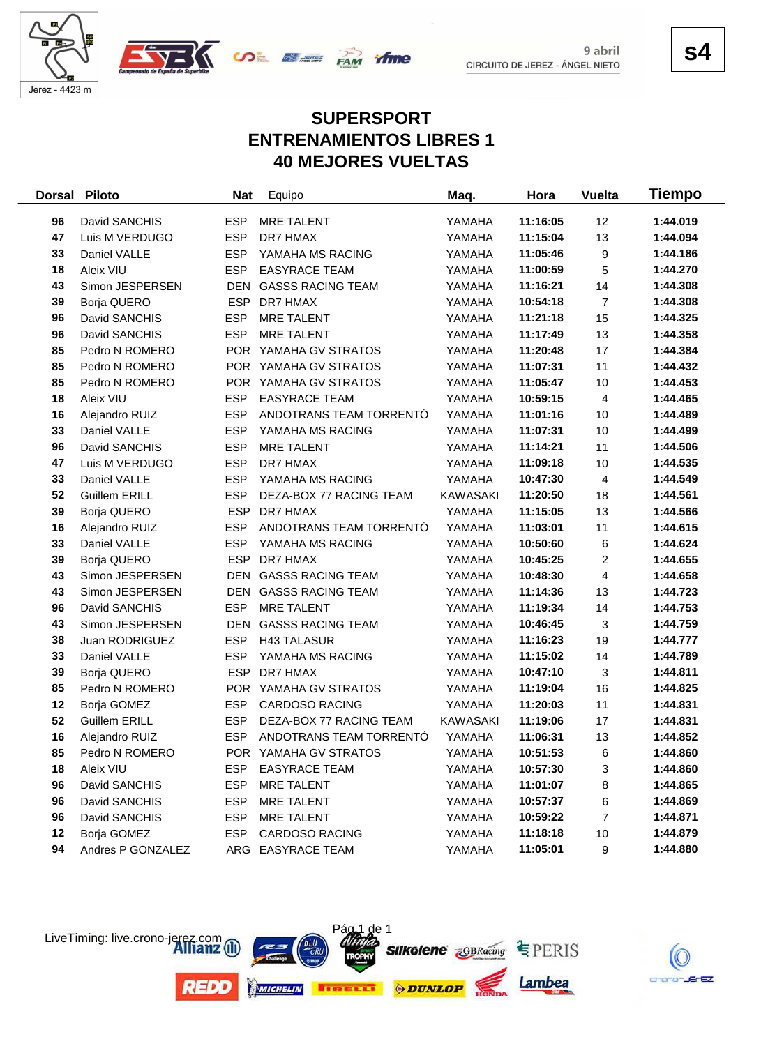



9 abril

## **SUPERSPORT ENTRENAMIENTOS LIBRES 1 40 MEJORES VUELTAS**

| <b>Dorsal</b> | <b>Piloto</b>        | <b>Nat</b> | Equipo                   | Maq.            | Hora     | <b>Vuelta</b>  | Tiempo   |
|---------------|----------------------|------------|--------------------------|-----------------|----------|----------------|----------|
| 96            | David SANCHIS        | <b>ESP</b> | MRE TALENT               | YAMAHA          | 11:16:05 | 12             | 1:44.019 |
| 47            | Luis M VERDUGO       | <b>ESP</b> | DR7 HMAX                 | YAMAHA          | 11:15:04 | 13             | 1:44.094 |
| 33            | Daniel VALLE         | <b>ESP</b> | YAMAHA MS RACING         | YAMAHA          | 11:05:46 | 9              | 1:44.186 |
| 18            | Aleix VIU            | <b>ESP</b> | <b>EASYRACE TEAM</b>     | YAMAHA          | 11:00:59 | 5              | 1:44.270 |
| 43            | Simon JESPERSEN      |            | DEN GASSS RACING TEAM    | YAMAHA          | 11:16:21 | 14             | 1:44.308 |
| 39            | Borja QUERO          | <b>ESP</b> | DR7 HMAX                 | YAMAHA          | 10:54:18 | $\overline{7}$ | 1:44.308 |
| 96            | David SANCHIS        | <b>ESP</b> | <b>MRE TALENT</b>        | YAMAHA          | 11:21:18 | 15             | 1:44.325 |
| 96            | David SANCHIS        | <b>ESP</b> | <b>MRE TALENT</b>        | YAMAHA          | 11:17:49 | 13             | 1:44.358 |
| 85            | Pedro N ROMERO       |            | POR YAMAHA GV STRATOS    | YAMAHA          | 11:20:48 | 17             | 1:44.384 |
| 85            | Pedro N ROMERO       |            | POR YAMAHA GV STRATOS    | YAMAHA          | 11:07:31 | 11             | 1:44.432 |
| 85            | Pedro N ROMERO       |            | POR YAMAHA GV STRATOS    | YAMAHA          | 11:05:47 | 10             | 1:44.453 |
| 18            | Aleix VIU            | <b>ESP</b> | <b>EASYRACE TEAM</b>     | YAMAHA          | 10:59:15 | 4              | 1:44.465 |
| 16            | Alejandro RUIZ       | <b>ESP</b> | ANDOTRANS TEAM TORRENTÓ  | YAMAHA          | 11:01:16 | 10             | 1:44.489 |
| 33            | Daniel VALLE         | <b>ESP</b> | YAMAHA MS RACING         | YAMAHA          | 11:07:31 | 10             | 1:44.499 |
| 96            | David SANCHIS        | <b>ESP</b> | <b>MRE TALENT</b>        | YAMAHA          | 11:14:21 | 11             | 1:44.506 |
| 47            | Luis M VERDUGO       | <b>ESP</b> | DR7 HMAX                 | YAMAHA          | 11:09:18 | $10$           | 1:44.535 |
| 33            | Daniel VALLE         | <b>ESP</b> | YAMAHA MS RACING         | YAMAHA          | 10:47:30 | 4              | 1:44.549 |
| 52            | <b>Guillem ERILL</b> | <b>ESP</b> | DEZA-BOX 77 RACING TEAM  | <b>KAWASAKI</b> | 11:20:50 | 18             | 1:44.561 |
| 39            | Borja QUERO          | <b>ESP</b> | DR7 HMAX                 | YAMAHA          | 11:15:05 | 13             | 1:44.566 |
| 16            | Alejandro RUIZ       | <b>ESP</b> | ANDOTRANS TEAM TORRENTÓ  | YAMAHA          | 11:03:01 | 11             | 1:44.615 |
| 33            | Daniel VALLE         | <b>ESP</b> | YAMAHA MS RACING         | YAMAHA          | 10:50:60 | 6              | 1:44.624 |
| 39            | Borja QUERO          | <b>ESP</b> | DR7 HMAX                 | YAMAHA          | 10:45:25 | $\overline{c}$ | 1:44.655 |
| 43            | Simon JESPERSEN      | <b>DEN</b> | <b>GASSS RACING TEAM</b> | YAMAHA          | 10:48:30 | 4              | 1:44.658 |
| 43            | Simon JESPERSEN      | <b>DEN</b> | <b>GASSS RACING TEAM</b> | YAMAHA          | 11:14:36 | 13             | 1:44.723 |
| 96            | David SANCHIS        | <b>ESP</b> | <b>MRE TALENT</b>        | YAMAHA          | 11:19:34 | 14             | 1:44.753 |
| 43            | Simon JESPERSEN      | <b>DEN</b> | <b>GASSS RACING TEAM</b> | YAMAHA          | 10:46:45 | 3              | 1:44.759 |
| 38            | Juan RODRIGUEZ       | <b>ESP</b> | <b>H43 TALASUR</b>       | YAMAHA          | 11:16:23 | 19             | 1:44.777 |
| 33            | Daniel VALLE         | <b>ESP</b> | YAMAHA MS RACING         | YAMAHA          | 11:15:02 | 14             | 1:44.789 |
| 39            | Borja QUERO          | <b>ESP</b> | DR7 HMAX                 | YAMAHA          | 10:47:10 | 3              | 1:44.811 |
| 85            | Pedro N ROMERO       |            | POR YAMAHA GV STRATOS    | YAMAHA          | 11:19:04 | 16             | 1:44.825 |
| 12            | Borja GOMEZ          | <b>ESP</b> | <b>CARDOSO RACING</b>    | YAMAHA          | 11:20:03 | 11             | 1:44.831 |
| 52            | <b>Guillem ERILL</b> | <b>ESP</b> | DEZA-BOX 77 RACING TEAM  | <b>KAWASAKI</b> | 11:19:06 | 17             | 1:44.831 |
| 16            | Alejandro RUIZ       | <b>ESP</b> | ANDOTRANS TEAM TORRENTÓ  | YAMAHA          | 11:06:31 | 13             | 1:44.852 |
| 85            | Pedro N ROMERO       |            | POR YAMAHA GV STRATOS    | YAMAHA          | 10:51:53 | 6              | 1:44.860 |
| 18            | Aleix VIU            | <b>ESP</b> | <b>EASYRACE TEAM</b>     | YAMAHA          | 10:57:30 | 3              | 1:44.860 |
| 96            | David SANCHIS        | <b>ESP</b> | <b>MRE TALENT</b>        | YAMAHA          | 11:01:07 | 8              | 1:44.865 |
| 96            | David SANCHIS        | <b>ESP</b> | <b>MRE TALENT</b>        | YAMAHA          | 10:57:37 | 6              | 1:44.869 |
| 96            | David SANCHIS        | ESP        | <b>MRE TALENT</b>        | YAMAHA          | 10:59:22 | 7              | 1:44.871 |
| 12            | Borja GOMEZ          | ESP        | <b>CARDOSO RACING</b>    | YAMAHA          | 11:18:18 | 10             | 1:44.879 |
| 94            | Andres P GONZALEZ    |            | ARG EASYRACE TEAM        | YAMAHA          | 11:05:01 | 9              | 1:44.880 |





**s4**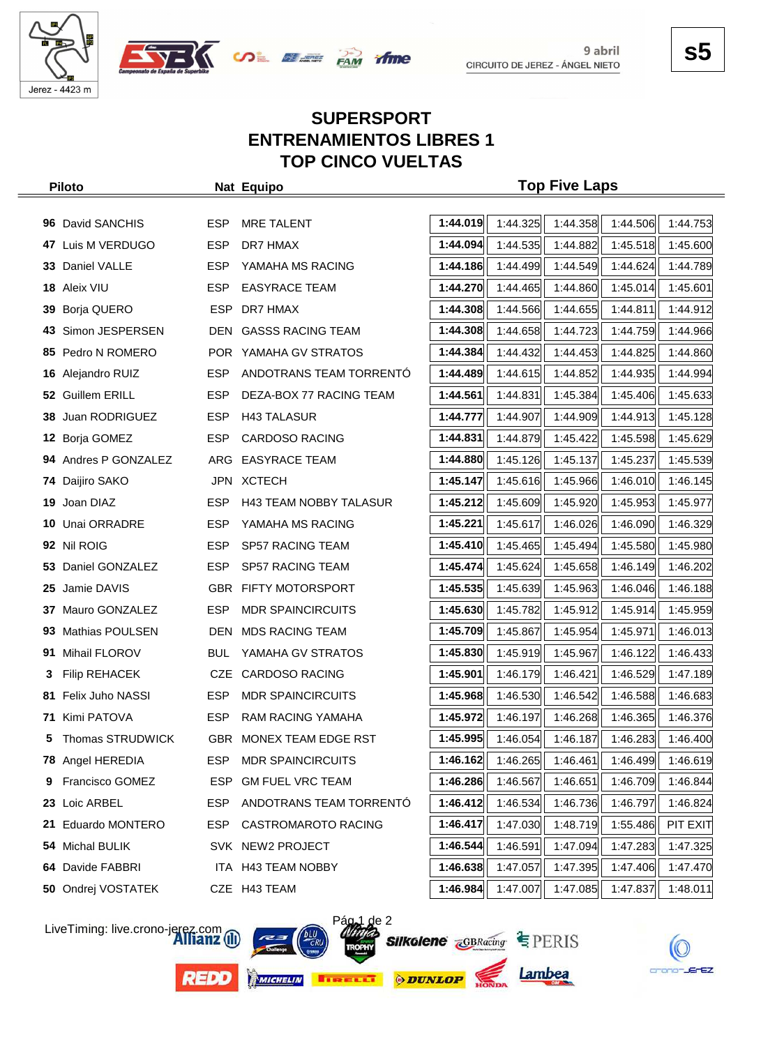



#### **SUPERSPORT ENTRENAMIENTOS LIBRES 1 TOP CINCO VUELTAS**

| <b>Piloto</b>                |            | Nat Equipo                    |          |                                                     | <b>Top Five Laps</b> |          |          |
|------------------------------|------------|-------------------------------|----------|-----------------------------------------------------|----------------------|----------|----------|
|                              |            |                               |          |                                                     |                      |          |          |
| 96 David SANCHIS             | <b>ESP</b> | <b>MRE TALENT</b>             | 1:44.019 | 1:44.325                                            | 1:44.358             | 1:44.506 | 1:44.753 |
| Luis M VERDUGO<br>47         | <b>ESP</b> | DR7 HMAX                      | 1:44.094 | 1:44.535                                            | 1:44.882             | 1:45.518 | 1:45.600 |
| Daniel VALLE<br>33           | <b>ESP</b> | YAMAHA MS RACING              | 1:44.186 | 1:44.499                                            | 1:44.549             | 1:44.624 | 1:44.789 |
| 18 Aleix VIU                 | <b>ESP</b> | <b>EASYRACE TEAM</b>          | 1:44.270 | 1:44.465                                            | 1:44.860             | 1:45.014 | 1:45.601 |
| Borja QUERO<br>39            | <b>ESP</b> | DR7 HMAX                      | 1:44.308 | 1:44.566                                            | 1:44.655             | 1:44.811 | 1:44.912 |
| Simon JESPERSEN<br>43        | <b>DEN</b> | <b>GASSS RACING TEAM</b>      | 1:44.308 | 1:44.658                                            | 1:44.723             | 1:44.759 | 1:44.966 |
| 85 Pedro N ROMERO            |            | POR YAMAHA GV STRATOS         | 1:44.384 | 1:44.432                                            | 1:44.453             | 1:44.825 | 1:44.860 |
| Alejandro RUIZ<br>16         | <b>ESP</b> | ANDOTRANS TEAM TORRENTO       | 1:44.489 | 1:44.615                                            | 1:44.852             | 1:44.935 | 1:44.994 |
| <b>Guillem ERILL</b><br>52   | <b>ESP</b> | DEZA-BOX 77 RACING TEAM       | 1:44.561 | 1:44.831                                            | 1:45.384             | 1:45.406 | 1:45.633 |
| Juan RODRIGUEZ<br>38         | <b>ESP</b> | <b>H43 TALASUR</b>            | 1:44.777 | 1:44.907                                            | 1:44.909             | 1:44.913 | 1:45.128 |
| Borja GOMEZ<br>12            | <b>ESP</b> | <b>CARDOSO RACING</b>         | 1:44.831 | 1:44.879                                            | 1:45.422             | 1:45.598 | 1:45.629 |
| 94 Andres P GONZALEZ         | ARG        | <b>EASYRACE TEAM</b>          | 1:44.880 | 1:45.126                                            | 1:45.137             | 1:45.237 | 1:45.539 |
| Daijiro SAKO<br>74           |            | JPN XCTECH                    | 1:45.147 | 1:45.616                                            | 1:45.966             | 1:46.010 | 1:46.145 |
| Joan DIAZ<br>19              | <b>ESP</b> | <b>H43 TEAM NOBBY TALASUR</b> | 1:45.212 | 1:45.609                                            | 1:45.920             | 1:45.953 | 1:45.977 |
| Unai ORRADRE<br>10           | <b>ESP</b> | YAMAHA MS RACING              | 1:45.221 | 1:45.617                                            | 1:46.026             | 1:46.090 | 1:46.329 |
| 92 Nil ROIG                  | <b>ESP</b> | SP57 RACING TEAM              | 1:45.410 | 1:45.465                                            | 1:45.494             | 1:45.580 | 1:45.980 |
| Daniel GONZALEZ<br>53        | <b>ESP</b> | <b>SP57 RACING TEAM</b>       | 1:45.474 | 1:45.624                                            | 1:45.658             | 1:46.149 | 1:46.202 |
| Jamie DAVIS<br>25            |            | <b>GBR FIFTY MOTORSPORT</b>   | 1:45.535 | 1:45.639                                            | 1:45.963             | 1:46.046 | 1:46.188 |
| Mauro GONZALEZ<br>37         | <b>ESP</b> | <b>MDR SPAINCIRCUITS</b>      | 1:45.630 | 1:45.782                                            | 1:45.912             | 1:45.914 | 1:45.959 |
| <b>Mathias POULSEN</b><br>93 | <b>DEN</b> | <b>MDS RACING TEAM</b>        | 1:45.709 | 1:45.867                                            | 1:45.954             | 1:45.971 | 1:46.013 |
| Mihail FLOROV<br>91          | <b>BUL</b> | YAMAHA GV STRATOS             | 1:45.830 | 1:45.919                                            | 1:45.967             | 1:46.122 | 1:46.433 |
| <b>Filip REHACEK</b><br>3    |            | CZE CARDOSO RACING            | 1:45.901 | 1:46.179                                            | 1:46.421             | 1:46.529 | 1:47.189 |
| Felix Juho NASSI<br>81.      | <b>ESP</b> | <b>MDR SPAINCIRCUITS</b>      | 1:45.968 | 1:46.530                                            | 1:46.542             | 1:46.588 | 1:46.683 |
| Kimi PATOVA<br>71            | <b>ESP</b> | <b>RAM RACING YAMAHA</b>      | 1:45.972 | 1:46.197                                            | 1:46.268             | 1:46.365 | 1:46.376 |
| Thomas STRUDWICK             |            | GBR MONEX TEAM EDGE RST       |          | <b>1:45.995</b> 1:46.054 1:46.187 1:46.283 1:46.400 |                      |          |          |
| 78 Angel HEREDIA             | ESP        | <b>MDR SPAINCIRCUITS</b>      | 1:46.162 | 1:46.265                                            | 1:46.461             | 1:46.499 | 1:46.619 |
| Francisco GOMEZ<br>9         | ESP        | <b>GM FUEL VRC TEAM</b>       | 1:46.286 | 1:46.567                                            | 1:46.651             | 1:46.709 | 1:46.844 |
| Loic ARBEL<br>23             | ESP        | ANDOTRANS TEAM TORRENTÓ       | 1:46.412 | 1:46.534                                            | 1:46.736             | 1:46.797 | 1:46.824 |
| Eduardo MONTERO<br>21        | ESP        | <b>CASTROMAROTO RACING</b>    | 1:46.417 | 1:47.030                                            | 1:48.719             | 1:55.486 | PIT EXIT |
| Michal BULIK<br>54           |            | SVK NEW2 PROJECT              | 1:46.544 | 1:46.591                                            | 1:47.094             | 1:47.283 | 1:47.325 |
| Davide FABBRI<br>64          |            | ITA H43 TEAM NOBBY            | 1:46.638 | 1:47.057                                            | 1:47.395             | 1:47.406 | 1:47.470 |
| Ondrej VOSTATEK<br>50        |            | CZE H43 TEAM                  | 1:46.984 | 1:47.007                                            | 1:47.085             | 1:47.837 | 1:48.011 |

LiveTiming: live.crono-jerez.com





**Silkolene GBRacing EPERIS** 

 $\overline{2}$ 



Lambea

crono-JErEZ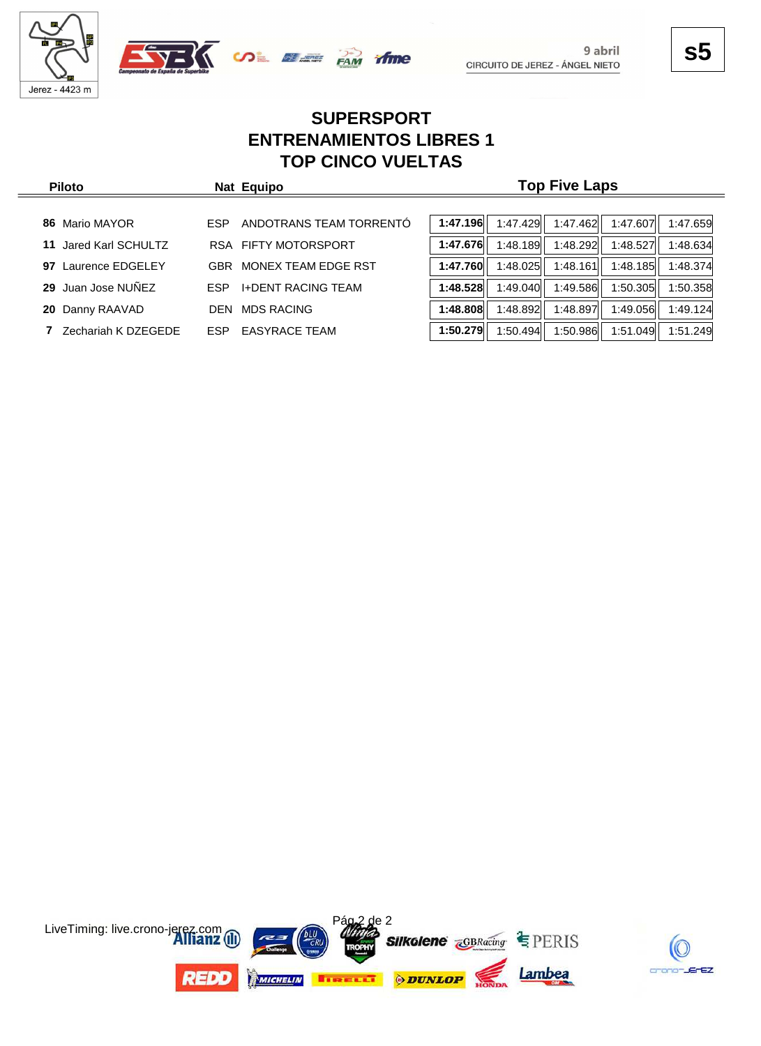





**s5**

9 abril

# **SUPERSPORT ENTRENAMIENTOS LIBRES 1 TOP CINCO VUELTAS**

| <b>Piloto</b>            | Nat Equipo                              | <b>Top Five Laps</b>                                     |  |  |  |  |  |  |
|--------------------------|-----------------------------------------|----------------------------------------------------------|--|--|--|--|--|--|
|                          |                                         |                                                          |  |  |  |  |  |  |
| Mario MAYOR<br>86        | ANDOTRANS TEAM TORRENTO<br><b>ESP</b>   | 1:47.196<br>1:47.429<br>1:47.462<br>1:47.607<br>1:47.659 |  |  |  |  |  |  |
| Jared Karl SCHULTZ<br>11 | <b>RSA FIFTY MOTORSPORT</b>             | 1:47.676<br>1:48.189<br>1:48.292<br>1:48.527<br>1:48.634 |  |  |  |  |  |  |
| Laurence EDGELEY<br>97   | MONEX TEAM EDGE RST<br><b>GBR</b>       | 1:47.760<br>1:48.185<br>1:48.025<br>1:48.161<br>1:48.374 |  |  |  |  |  |  |
| Juan Jose NUÑEZ<br>29    | <b>I+DENT RACING TEAM</b><br><b>ESP</b> | 1:48.528<br>1:49.586<br>1:50.305<br>1:49.040<br>1:50.358 |  |  |  |  |  |  |
| 20 Danny RAAVAD          | <b>MDS RACING</b><br><b>DEN</b>         | 1:48.808<br>1:48.897<br>1:49.056<br>1:48.892<br>1:49.124 |  |  |  |  |  |  |
| Zechariah K DZEGEDE      | <b>EASYRACE TEAM</b><br><b>ESP</b>      | 1:51.049<br>1:50.494<br>1:50.986<br>1:51.249<br>1:50.279 |  |  |  |  |  |  |

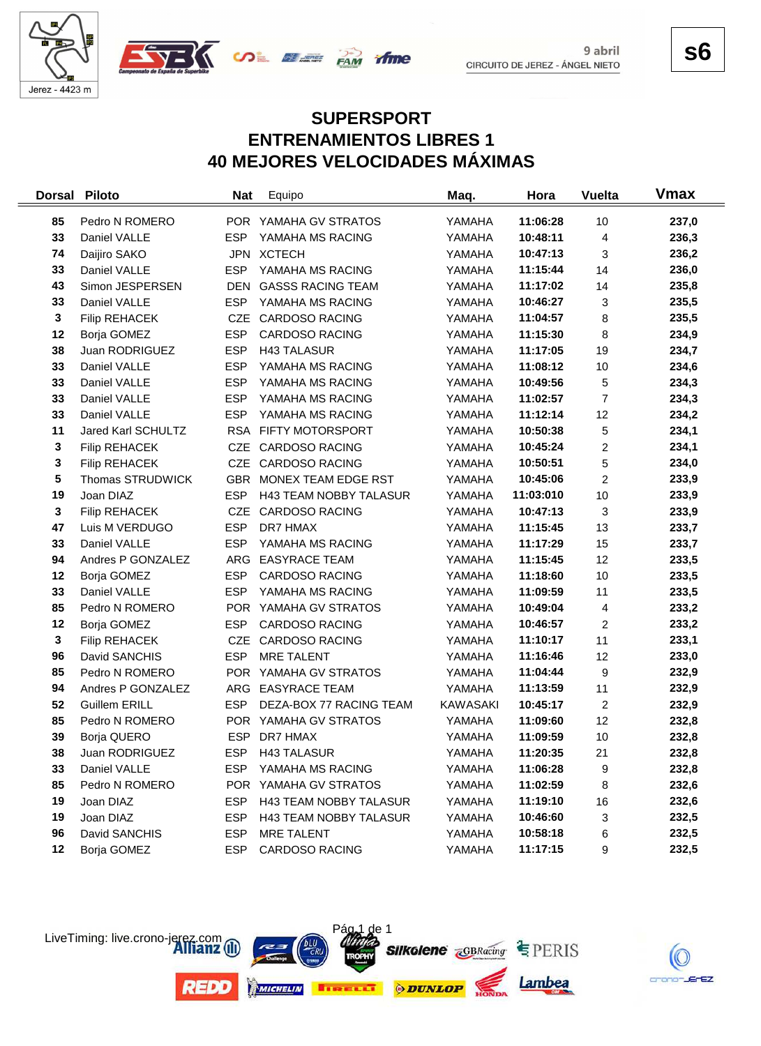



**s6**

crano-JErEZ

#### **SUPERSPORT ENTRENAMIENTOS LIBRES 1 40 MEJORES VELOCIDADES MÁXIMAS**

| <b>Dorsal</b> | <b>Piloto</b>        | <b>Nat</b> | Equipo                        | Maq.     | Hora      | <b>Vuelta</b>           | <b>V</b> max |
|---------------|----------------------|------------|-------------------------------|----------|-----------|-------------------------|--------------|
| 85            | Pedro N ROMERO       |            | POR YAMAHA GV STRATOS         | YAMAHA   | 11:06:28  | 10                      | 237,0        |
| 33            | Daniel VALLE         | <b>ESP</b> | YAMAHA MS RACING              | YAMAHA   | 10:48:11  | 4                       | 236,3        |
| 74            | Daijiro SAKO         |            | JPN XCTECH                    | YAMAHA   | 10:47:13  | 3                       | 236,2        |
| 33            | Daniel VALLE         | <b>ESP</b> | YAMAHA MS RACING              | YAMAHA   | 11:15:44  | 14                      | 236,0        |
| 43            | Simon JESPERSEN      | <b>DEN</b> | <b>GASSS RACING TEAM</b>      | YAMAHA   | 11:17:02  | 14                      | 235,8        |
| 33            | Daniel VALLE         | <b>ESP</b> | YAMAHA MS RACING              | YAMAHA   | 10:46:27  | 3                       | 235,5        |
| $\mathbf{3}$  | <b>Filip REHACEK</b> |            | CZE CARDOSO RACING            | YAMAHA   | 11:04:57  | 8                       | 235,5        |
| 12            | Borja GOMEZ          | <b>ESP</b> | <b>CARDOSO RACING</b>         | YAMAHA   | 11:15:30  | 8                       | 234,9        |
| 38            | Juan RODRIGUEZ       | <b>ESP</b> | <b>H43 TALASUR</b>            | YAMAHA   | 11:17:05  | 19                      | 234,7        |
| 33            | Daniel VALLE         | <b>ESP</b> | YAMAHA MS RACING              | YAMAHA   | 11:08:12  | 10                      | 234,6        |
| 33            | Daniel VALLE         | <b>ESP</b> | YAMAHA MS RACING              | YAMAHA   | 10:49:56  | 5                       | 234,3        |
| 33            | Daniel VALLE         | <b>ESP</b> | YAMAHA MS RACING              | YAMAHA   | 11:02:57  | $\overline{7}$          | 234,3        |
| 33            | Daniel VALLE         | <b>ESP</b> | YAMAHA MS RACING              | YAMAHA   | 11:12:14  | 12                      | 234,2        |
| 11            | Jared Karl SCHULTZ   |            | RSA FIFTY MOTORSPORT          | YAMAHA   | 10:50:38  | 5                       | 234,1        |
| 3             | <b>Filip REHACEK</b> |            | CZE CARDOSO RACING            | YAMAHA   | 10:45:24  | $\overline{\mathbf{c}}$ | 234,1        |
| 3             | <b>Filip REHACEK</b> |            | CZE CARDOSO RACING            | YAMAHA   | 10:50:51  | 5                       | 234,0        |
| 5             | Thomas STRUDWICK     | <b>GBR</b> | MONEX TEAM EDGE RST           | YAMAHA   | 10:45:06  | $\overline{2}$          | 233,9        |
| 19            | Joan DIAZ            | <b>ESP</b> | <b>H43 TEAM NOBBY TALASUR</b> | YAMAHA   | 11:03:010 | 10                      | 233,9        |
| 3             | <b>Filip REHACEK</b> |            | CZE CARDOSO RACING            | YAMAHA   | 10:47:13  | 3                       | 233,9        |
| 47            | Luis M VERDUGO       | <b>ESP</b> | DR7 HMAX                      | YAMAHA   | 11:15:45  | 13                      | 233,7        |
| 33            | Daniel VALLE         | <b>ESP</b> | YAMAHA MS RACING              | YAMAHA   | 11:17:29  | 15                      | 233,7        |
| 94            | Andres P GONZALEZ    |            | ARG EASYRACE TEAM             | YAMAHA   | 11:15:45  | 12                      | 233,5        |
| 12            | Borja GOMEZ          | <b>ESP</b> | CARDOSO RACING                | YAMAHA   | 11:18:60  | 10                      | 233,5        |
| 33            | Daniel VALLE         | <b>ESP</b> | YAMAHA MS RACING              | YAMAHA   | 11:09:59  | 11                      | 233,5        |
| 85            | Pedro N ROMERO       |            | POR YAMAHA GV STRATOS         | YAMAHA   | 10:49:04  | 4                       | 233,2        |
| 12            | Borja GOMEZ          | <b>ESP</b> | <b>CARDOSO RACING</b>         | YAMAHA   | 10:46:57  | 2                       | 233,2        |
| 3             | <b>Filip REHACEK</b> |            | CZE CARDOSO RACING            | YAMAHA   | 11:10:17  | 11                      | 233,1        |
| 96            | David SANCHIS        | <b>ESP</b> | <b>MRE TALENT</b>             | YAMAHA   | 11:16:46  | 12                      | 233,0        |
| 85            | Pedro N ROMERO       |            | POR YAMAHA GV STRATOS         | YAMAHA   | 11:04:44  | 9                       | 232,9        |
| 94            | Andres P GONZALEZ    |            | ARG EASYRACE TEAM             | YAMAHA   | 11:13:59  | 11                      | 232,9        |
| 52            | Guillem ERILL        | <b>ESP</b> | DEZA-BOX 77 RACING TEAM       | KAWASAKI | 10:45:17  | $\overline{c}$          | 232,9        |
| 85            | Pedro N ROMERO       |            | POR YAMAHA GV STRATOS         | YAMAHA   | 11:09:60  | 12                      | 232,8        |
| 39            | Borja QUERO          | <b>ESP</b> | DR7 HMAX                      | YAMAHA   | 11:09:59  | 10                      | 232,8        |
| 38            | Juan RODRIGUEZ       | ESP        | <b>H43 TALASUR</b>            | YAMAHA   | 11:20:35  | 21                      | 232,8        |
| 33            | Daniel VALLE         | <b>ESP</b> | YAMAHA MS RACING              | YAMAHA   | 11:06:28  | 9                       | 232,8        |
| 85            | Pedro N ROMERO       |            | POR YAMAHA GV STRATOS         | YAMAHA   | 11:02:59  | 8                       | 232,6        |
| 19            | Joan DIAZ            | <b>ESP</b> | H43 TEAM NOBBY TALASUR        | YAMAHA   | 11:19:10  | 16                      | 232,6        |
| 19            | Joan DIAZ            | <b>ESP</b> | H43 TEAM NOBBY TALASUR        | YAMAHA   | 10:46:60  | 3                       | 232,5        |
| 96            | David SANCHIS        | <b>ESP</b> | MRE TALENT                    | YAMAHA   | 10:58:18  | 6                       | 232,5        |
| 12            | Borja GOMEZ          | <b>ESP</b> | <b>CARDOSO RACING</b>         | YAMAHA   | 11:17:15  | 9                       | 232,5        |

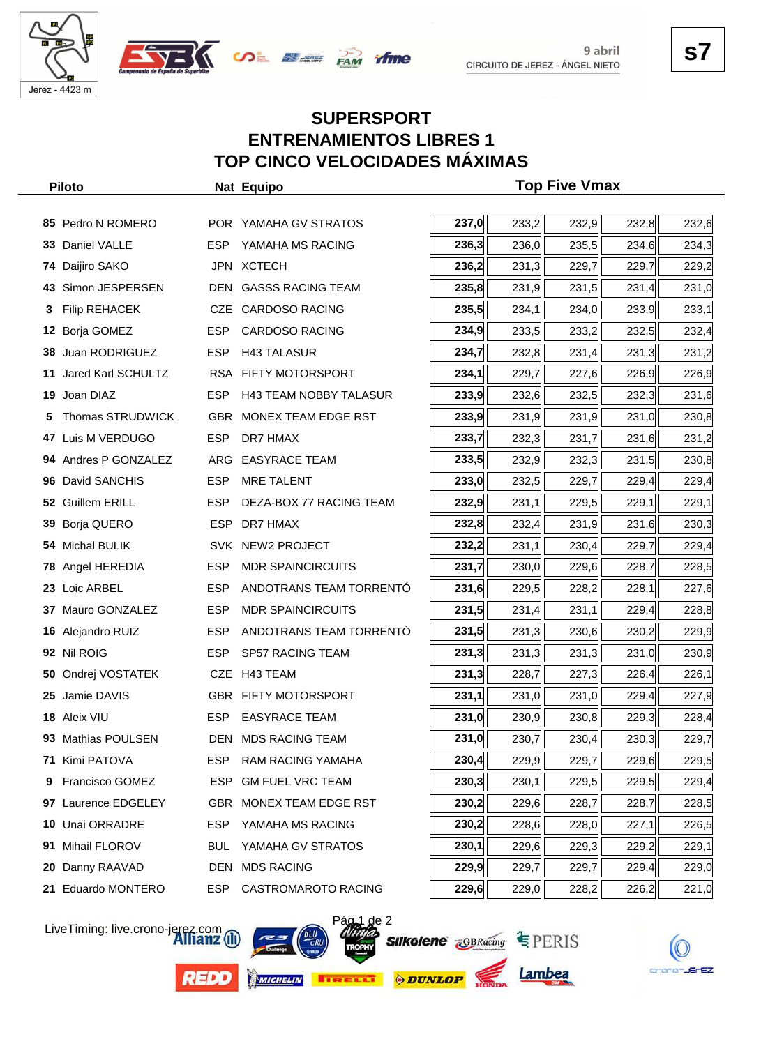





## **SUPERSPORT ENTRENAMIENTOS LIBRES 1 TOP CINCO VELOCIDADES MÁXIMAS**

|    | <b>Piloto</b>        |            | Nat Equipo                    |       |       | <b>Top Five Vmax</b> |       |       |
|----|----------------------|------------|-------------------------------|-------|-------|----------------------|-------|-------|
|    |                      |            |                               |       |       |                      |       |       |
|    | 85 Pedro N ROMERO    |            | POR YAMAHA GV STRATOS         | 237,0 | 233,2 | 232,9                | 232,8 | 232,6 |
| 33 | Daniel VALLE         | <b>ESP</b> | YAMAHA MS RACING              | 236,3 | 236,0 | 235,5                | 234,6 | 234,3 |
| 74 | Daijiro SAKO         |            | JPN XCTECH                    | 236,2 | 231,3 | 229,7                | 229,7 | 229,2 |
| 43 | Simon JESPERSEN      |            | DEN GASSS RACING TEAM         | 235,8 | 231,9 | 231,5                | 231,4 | 231,0 |
| 3  | <b>Filip REHACEK</b> |            | CZE CARDOSO RACING            | 235,5 | 234,1 | 234,0                | 233,9 | 233,1 |
| 12 | Borja GOMEZ          | <b>ESP</b> | <b>CARDOSO RACING</b>         | 234,9 | 233,5 | 233,2                | 232,5 | 232,4 |
| 38 | Juan RODRIGUEZ       | <b>ESP</b> | <b>H43 TALASUR</b>            | 234,7 | 232,8 | 231,4                | 231,3 | 231,2 |
| 11 | Jared Karl SCHULTZ   |            | RSA FIFTY MOTORSPORT          | 234,1 | 229,7 | 227,6                | 226,9 | 226,9 |
| 19 | Joan DIAZ            | <b>ESP</b> | <b>H43 TEAM NOBBY TALASUR</b> | 233,9 | 232,6 | 232,5                | 232,3 | 231,6 |
| 5  | Thomas STRUDWICK     |            | GBR MONEX TEAM EDGE RST       | 233,9 | 231,9 | 231,9                | 231,0 | 230,8 |
| 47 | Luis M VERDUGO       | <b>ESP</b> | DR7 HMAX                      | 233,7 | 232,3 | 231,7                | 231,6 | 231,2 |
|    | 94 Andres P GONZALEZ | ARG        | <b>EASYRACE TEAM</b>          | 233,5 | 232,9 | 232,3                | 231,5 | 230,8 |
| 96 | David SANCHIS        | <b>ESP</b> | <b>MRE TALENT</b>             | 233,0 | 232,5 | 229,7                | 229,4 | 229,4 |
|    | 52 Guillem ERILL     | <b>ESP</b> | DEZA-BOX 77 RACING TEAM       | 232,9 | 231,1 | 229,5                | 229,1 | 229,1 |
| 39 | Borja QUERO          | <b>ESP</b> | DR7 HMAX                      | 232,8 | 232,4 | 231,9                | 231,6 | 230,3 |
| 54 | <b>Michal BULIK</b>  |            | SVK NEW2 PROJECT              | 232,2 | 231,1 | 230,4                | 229,7 | 229,4 |
| 78 | Angel HEREDIA        | <b>ESP</b> | <b>MDR SPAINCIRCUITS</b>      | 231,7 | 230,0 | 229,6                | 228,7 | 228,5 |
| 23 | Loic ARBEL           | <b>ESP</b> | ANDOTRANS TEAM TORRENTO       | 231,6 | 229,5 | 228,2                | 228,1 | 227,6 |
| 37 | Mauro GONZALEZ       | <b>ESP</b> | <b>MDR SPAINCIRCUITS</b>      | 231,5 | 231,4 | 231,1                | 229,4 | 228,8 |
|    | 16 Alejandro RUIZ    | <b>ESP</b> | ANDOTRANS TEAM TORRENTO       | 231,5 | 231,3 | 230,6                | 230,2 | 229,9 |
|    | 92 Nil ROIG          | <b>ESP</b> | <b>SP57 RACING TEAM</b>       | 231,3 | 231,3 | 231,3                | 231,0 | 230,9 |
| 50 | Ondrej VOSTATEK      |            | CZE H43 TEAM                  | 231,3 | 228,7 | 227,3                | 226,4 | 226,1 |
| 25 | Jamie DAVIS          |            | GBR FIFTY MOTORSPORT          | 231,1 | 231,0 | 231,0                | 229,4 | 227,9 |
|    | 18 Aleix VIU         | <b>ESP</b> | <b>EASYRACE TEAM</b>          | 231,0 | 230,9 | 230,8                | 229,3 | 228,4 |
|    | 93 Mathias POULSEN   |            | DEN MDS RACING TEAM           | 231,0 | 230,7 | 230,4                | 230,3 | 229,7 |
| 71 | Kimi PATOVA          | <b>ESP</b> | RAM RACING YAMAHA             | 230,4 | 229,9 | 229,7                | 229,6 | 229,5 |
| 9  | Francisco GOMEZ      | ESP        | <b>GM FUEL VRC TEAM</b>       | 230,3 | 230,1 | 229,5                | 229,5 | 229,4 |
| 97 | Laurence EDGELEY     | GBR        | MONEX TEAM EDGE RST           | 230,2 | 229,6 | 228,7                | 228,7 | 228,5 |
| 10 | Unai ORRADRE         | ESP        | YAMAHA MS RACING              | 230,2 | 228,6 | 228,0                | 227,1 | 226,5 |
| 91 | Mihail FLOROV        | <b>BUL</b> | YAMAHA GV STRATOS             | 230,1 | 229,6 | 229,3                | 229,2 | 229,1 |
| 20 | Danny RAAVAD         | DEN        | <b>MDS RACING</b>             | 229,9 | 229,7 | 229,7                | 229,4 | 229,0 |
| 21 | Eduardo MONTERO      | ESP.       | CASTROMAROTO RACING           | 229,6 | 229,0 | 228,2                | 226,2 | 221,0 |

LiveTiming: live.crono-jerez.com





**Silkolene GBRacing EPERIS** 



Lambea



crono-JErEZ